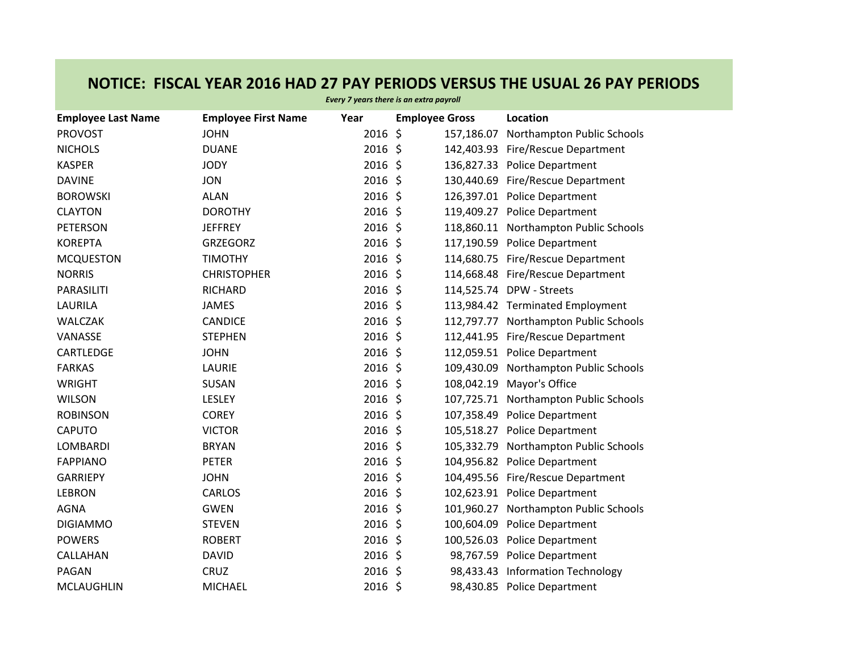## **NOTICE: FISCAL YEAR 2016 HAD 27 PAY PERIODS VERSUS THE USUAL 26 PAY PERIODS**

| <b>Employee Last Name</b> | <b>Employee First Name</b> | Year      | <b>Employee Gross</b> |            | Location                              |
|---------------------------|----------------------------|-----------|-----------------------|------------|---------------------------------------|
| <b>PROVOST</b>            | <b>JOHN</b>                | 2016 \$   |                       | 157,186.07 | Northampton Public Schools            |
| <b>NICHOLS</b>            | <b>DUANE</b>               | $2016$ \$ |                       |            | 142,403.93 Fire/Rescue Department     |
| <b>KASPER</b>             | <b>JODY</b>                | $2016$ \$ |                       |            | 136,827.33 Police Department          |
| <b>DAVINE</b>             | <b>JON</b>                 | 2016 \$   |                       | 130,440.69 | Fire/Rescue Department                |
| <b>BOROWSKI</b>           | <b>ALAN</b>                | $2016$ \$ |                       |            | 126,397.01 Police Department          |
| <b>CLAYTON</b>            | <b>DOROTHY</b>             | 2016 \$   |                       |            | 119,409.27 Police Department          |
| <b>PETERSON</b>           | <b>JEFFREY</b>             | 2016 \$   |                       |            | 118,860.11 Northampton Public Schools |
| <b>KOREPTA</b>            | <b>GRZEGORZ</b>            | $2016$ \$ |                       |            | 117,190.59 Police Department          |
| <b>MCQUESTON</b>          | <b>TIMOTHY</b>             | 2016 \$   |                       |            | 114,680.75 Fire/Rescue Department     |
| <b>NORRIS</b>             | <b>CHRISTOPHER</b>         | $2016$ \$ |                       |            | 114,668.48 Fire/Rescue Department     |
| PARASILITI                | <b>RICHARD</b>             | 2016 \$   |                       |            | 114,525.74 DPW - Streets              |
| <b>LAURILA</b>            | <b>JAMES</b>               | 2016 \$   |                       |            | 113,984.42 Terminated Employment      |
| WALCZAK                   | <b>CANDICE</b>             | $2016$ \$ |                       |            | 112,797.77 Northampton Public Schools |
| VANASSE                   | <b>STEPHEN</b>             | 2016 \$   |                       |            | 112,441.95 Fire/Rescue Department     |
| CARTLEDGE                 | <b>JOHN</b>                | $2016$ \$ |                       |            | 112,059.51 Police Department          |
| <b>FARKAS</b>             | LAURIE                     | 2016 \$   |                       |            | 109,430.09 Northampton Public Schools |
| <b>WRIGHT</b>             | SUSAN                      | 2016 \$   |                       | 108,042.19 | Mayor's Office                        |
| <b>WILSON</b>             | LESLEY                     | $2016$ \$ |                       |            | 107,725.71 Northampton Public Schools |
| <b>ROBINSON</b>           | <b>COREY</b>               | 2016 \$   |                       |            | 107,358.49 Police Department          |
| <b>CAPUTO</b>             | <b>VICTOR</b>              | $2016$ \$ |                       |            | 105,518.27 Police Department          |
| <b>LOMBARDI</b>           | <b>BRYAN</b>               | 2016 \$   |                       |            | 105,332.79 Northampton Public Schools |
| <b>FAPPIANO</b>           | <b>PETER</b>               | $2016$ \$ |                       |            | 104,956.82 Police Department          |
| <b>GARRIEPY</b>           | <b>JOHN</b>                | $2016$ \$ |                       |            | 104,495.56 Fire/Rescue Department     |
| <b>LEBRON</b>             | <b>CARLOS</b>              | 2016 \$   |                       |            | 102,623.91 Police Department          |
| <b>AGNA</b>               | <b>GWEN</b>                | $2016$ \$ |                       |            | 101,960.27 Northampton Public Schools |
| <b>DIGIAMMO</b>           | <b>STEVEN</b>              | 2016 \$   |                       | 100,604.09 | <b>Police Department</b>              |
| <b>POWERS</b>             | <b>ROBERT</b>              | $2016$ \$ |                       |            | 100,526.03 Police Department          |
| CALLAHAN                  | <b>DAVID</b>               | $2016$ \$ |                       |            | 98,767.59 Police Department           |
| PAGAN                     | CRUZ                       | 2016      | \$                    |            | 98,433.43 Information Technology      |
| <b>MCLAUGHLIN</b>         | <b>MICHAEL</b>             | 2016      | \$                    |            | 98,430.85 Police Department           |

*Every 7 years there is an extra payroll*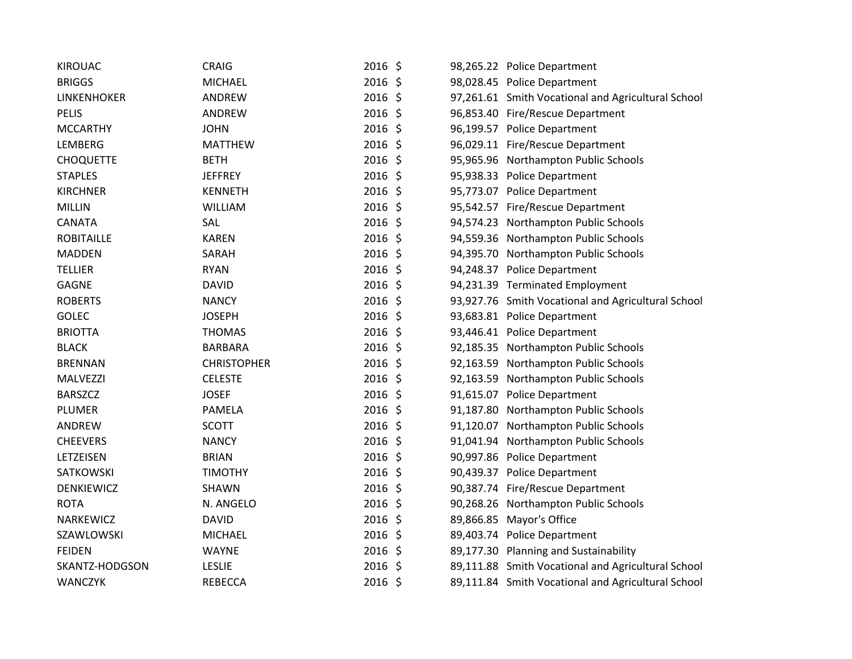| <b>KIROUAC</b>     | <b>CRAIG</b>       | 2016 \$   | 98,265.22 Police Department                        |
|--------------------|--------------------|-----------|----------------------------------------------------|
| <b>BRIGGS</b>      | <b>MICHAEL</b>     | 2016 \$   | 98,028.45 Police Department                        |
| <b>LINKENHOKER</b> | ANDREW             | 2016 \$   | 97,261.61 Smith Vocational and Agricultural School |
| <b>PELIS</b>       | ANDREW             | 2016 \$   | 96,853.40 Fire/Rescue Department                   |
| <b>MCCARTHY</b>    | <b>JOHN</b>        | 2016 \$   | 96,199.57 Police Department                        |
| LEMBERG            | <b>MATTHEW</b>     | 2016 \$   | 96,029.11 Fire/Rescue Department                   |
| <b>CHOQUETTE</b>   | <b>BETH</b>        | 2016 \$   | 95,965.96 Northampton Public Schools               |
| <b>STAPLES</b>     | <b>JEFFREY</b>     | 2016 \$   | 95,938.33 Police Department                        |
| <b>KIRCHNER</b>    | <b>KENNETH</b>     | $2016$ \$ | 95,773.07 Police Department                        |
| <b>MILLIN</b>      | <b>WILLIAM</b>     | 2016 \$   | 95,542.57 Fire/Rescue Department                   |
| <b>CANATA</b>      | SAL                | 2016 \$   | 94,574.23 Northampton Public Schools               |
| <b>ROBITAILLE</b>  | <b>KAREN</b>       | 2016 \$   | 94,559.36 Northampton Public Schools               |
| <b>MADDEN</b>      | SARAH              | 2016 \$   | 94,395.70 Northampton Public Schools               |
| <b>TELLIER</b>     | <b>RYAN</b>        | 2016 \$   | 94,248.37 Police Department                        |
| <b>GAGNE</b>       | <b>DAVID</b>       | 2016 \$   | 94,231.39 Terminated Employment                    |
| <b>ROBERTS</b>     | <b>NANCY</b>       | 2016 \$   | 93,927.76 Smith Vocational and Agricultural School |
| <b>GOLEC</b>       | <b>JOSEPH</b>      | 2016 \$   | 93,683.81 Police Department                        |
| <b>BRIOTTA</b>     | <b>THOMAS</b>      | 2016 \$   | 93,446.41 Police Department                        |
| <b>BLACK</b>       | <b>BARBARA</b>     | 2016 \$   | 92,185.35 Northampton Public Schools               |
| <b>BRENNAN</b>     | <b>CHRISTOPHER</b> | 2016 \$   | 92,163.59 Northampton Public Schools               |
| <b>MALVEZZI</b>    | <b>CELESTE</b>     | 2016 \$   | 92,163.59 Northampton Public Schools               |
| <b>BARSZCZ</b>     | <b>JOSEF</b>       | 2016 \$   | 91,615.07 Police Department                        |
| PLUMER             | PAMELA             | 2016 \$   | 91,187.80 Northampton Public Schools               |
| ANDREW             | <b>SCOTT</b>       | 2016 \$   | 91,120.07 Northampton Public Schools               |
| <b>CHEEVERS</b>    | <b>NANCY</b>       | 2016 \$   | 91,041.94 Northampton Public Schools               |
| LETZEISEN          | <b>BRIAN</b>       | 2016 \$   | 90,997.86 Police Department                        |
| SATKOWSKI          | <b>TIMOTHY</b>     | 2016 \$   | 90,439.37 Police Department                        |
| DENKIEWICZ         | SHAWN              | 2016 \$   | 90,387.74 Fire/Rescue Department                   |
| <b>ROTA</b>        | N. ANGELO          | 2016 \$   | 90,268.26 Northampton Public Schools               |
| NARKEWICZ          | <b>DAVID</b>       | 2016 \$   | 89,866.85 Mayor's Office                           |
| SZAWLOWSKI         | <b>MICHAEL</b>     | 2016 \$   | 89,403.74 Police Department                        |
| <b>FEIDEN</b>      | <b>WAYNE</b>       | 2016 \$   | 89,177.30 Planning and Sustainability              |
| SKANTZ-HODGSON     | <b>LESLIE</b>      | 2016 \$   | 89,111.88 Smith Vocational and Agricultural School |
| <b>WANCZYK</b>     | <b>REBECCA</b>     | 2016 \$   | 89,111.84 Smith Vocational and Agricultural School |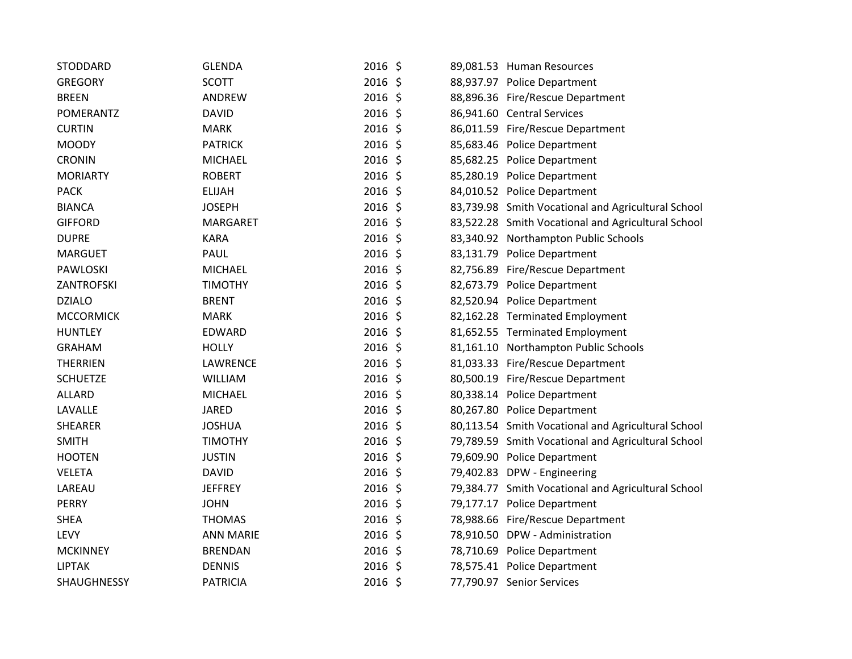| <b>STODDARD</b>  | <b>GLENDA</b>    | $2016$ \$ | 89,081.53 Human Resources                          |
|------------------|------------------|-----------|----------------------------------------------------|
| <b>GREGORY</b>   | <b>SCOTT</b>     | $2016$ \$ | 88,937.97 Police Department                        |
| <b>BREEN</b>     | ANDREW           | $2016$ \$ | 88,896.36 Fire/Rescue Department                   |
| <b>POMERANTZ</b> | <b>DAVID</b>     | $2016$ \$ | 86,941.60 Central Services                         |
| <b>CURTIN</b>    | <b>MARK</b>      | $2016$ \$ | 86,011.59 Fire/Rescue Department                   |
| <b>MOODY</b>     | <b>PATRICK</b>   | $2016$ \$ | 85,683.46 Police Department                        |
| <b>CRONIN</b>    | <b>MICHAEL</b>   | $2016$ \$ | 85,682.25 Police Department                        |
| <b>MORIARTY</b>  | <b>ROBERT</b>    | $2016$ \$ | 85,280.19 Police Department                        |
| <b>PACK</b>      | <b>ELIJAH</b>    | $2016$ \$ | 84,010.52 Police Department                        |
| <b>BIANCA</b>    | <b>JOSEPH</b>    | $2016$ \$ | 83,739.98 Smith Vocational and Agricultural School |
| <b>GIFFORD</b>   | <b>MARGARET</b>  | $2016$ \$ | 83,522.28 Smith Vocational and Agricultural School |
| <b>DUPRE</b>     | <b>KARA</b>      | $2016$ \$ | 83,340.92 Northampton Public Schools               |
| <b>MARGUET</b>   | PAUL             | $2016$ \$ | 83,131.79 Police Department                        |
| <b>PAWLOSKI</b>  | MICHAEL          | 2016 \$   | 82,756.89 Fire/Rescue Department                   |
| ZANTROFSKI       | <b>TIMOTHY</b>   | $2016$ \$ | 82,673.79 Police Department                        |
| <b>DZIALO</b>    | <b>BRENT</b>     | $2016$ \$ | 82,520.94 Police Department                        |
| <b>MCCORMICK</b> | <b>MARK</b>      | $2016$ \$ | 82,162.28 Terminated Employment                    |
| <b>HUNTLEY</b>   | EDWARD           | $2016$ \$ | 81,652.55 Terminated Employment                    |
| <b>GRAHAM</b>    | <b>HOLLY</b>     | $2016$ \$ | 81,161.10 Northampton Public Schools               |
| <b>THERRIEN</b>  | <b>LAWRENCE</b>  | $2016$ \$ | 81,033.33 Fire/Rescue Department                   |
| <b>SCHUETZE</b>  | <b>WILLIAM</b>   | $2016$ \$ | 80,500.19 Fire/Rescue Department                   |
| <b>ALLARD</b>    | <b>MICHAEL</b>   | $2016$ \$ | 80,338.14 Police Department                        |
| LAVALLE          | <b>JARED</b>     | $2016$ \$ | 80,267.80 Police Department                        |
| <b>SHEARER</b>   | <b>JOSHUA</b>    | $2016$ \$ | 80,113.54 Smith Vocational and Agricultural School |
| <b>SMITH</b>     | <b>TIMOTHY</b>   | $2016$ \$ | 79,789.59 Smith Vocational and Agricultural School |
| <b>HOOTEN</b>    | <b>JUSTIN</b>    | $2016$ \$ | 79,609.90 Police Department                        |
| <b>VELETA</b>    | <b>DAVID</b>     | $2016$ \$ | 79,402.83 DPW - Engineering                        |
| LAREAU           | <b>JEFFREY</b>   | $2016$ \$ | 79,384.77 Smith Vocational and Agricultural School |
| <b>PERRY</b>     | <b>JOHN</b>      | $2016$ \$ | 79,177.17 Police Department                        |
| <b>SHEA</b>      | <b>THOMAS</b>    | $2016$ \$ | 78,988.66 Fire/Rescue Department                   |
| LEVY             | <b>ANN MARIE</b> | $2016$ \$ | 78,910.50 DPW - Administration                     |
| <b>MCKINNEY</b>  | <b>BRENDAN</b>   | $2016$ \$ | 78,710.69 Police Department                        |
| <b>LIPTAK</b>    | <b>DENNIS</b>    | 2016 \$   | 78,575.41 Police Department                        |
| SHAUGHNESSY      | <b>PATRICIA</b>  | $2016$ \$ | 77,790.97 Senior Services                          |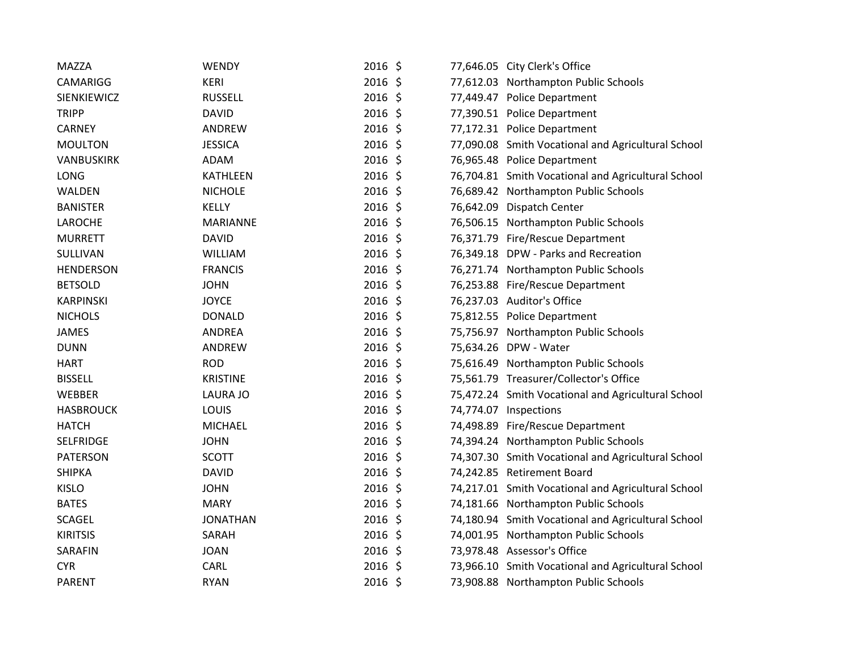| <b>MAZZA</b>      | WENDY           | $2016$ \$ | 77,646.05 City Clerk's Office                      |
|-------------------|-----------------|-----------|----------------------------------------------------|
| <b>CAMARIGG</b>   | <b>KERI</b>     | 2016 \$   | 77,612.03 Northampton Public Schools               |
| SIENKIEWICZ       | <b>RUSSELL</b>  | $2016$ \$ | 77,449.47 Police Department                        |
| <b>TRIPP</b>      | <b>DAVID</b>    | $2016$ \$ | 77,390.51 Police Department                        |
| <b>CARNEY</b>     | ANDREW          | $2016$ \$ | 77,172.31 Police Department                        |
| <b>MOULTON</b>    | <b>JESSICA</b>  | $2016$ \$ | 77,090.08 Smith Vocational and Agricultural School |
| <b>VANBUSKIRK</b> | ADAM            | 2016 \$   | 76,965.48 Police Department                        |
| LONG              | <b>KATHLEEN</b> | $2016$ \$ | 76,704.81 Smith Vocational and Agricultural School |
| WALDEN            | <b>NICHOLE</b>  | 2016 \$   | 76,689.42 Northampton Public Schools               |
| <b>BANISTER</b>   | <b>KELLY</b>    | $2016$ \$ | 76,642.09 Dispatch Center                          |
| LAROCHE           | <b>MARIANNE</b> | $2016$ \$ | 76,506.15 Northampton Public Schools               |
| <b>MURRETT</b>    | <b>DAVID</b>    | $2016$ \$ | 76,371.79 Fire/Rescue Department                   |
| SULLIVAN          | <b>WILLIAM</b>  | $2016$ \$ | 76,349.18 DPW - Parks and Recreation               |
| <b>HENDERSON</b>  | <b>FRANCIS</b>  | $2016$ \$ | 76,271.74 Northampton Public Schools               |
| <b>BETSOLD</b>    | <b>JOHN</b>     | $2016$ \$ | 76,253.88 Fire/Rescue Department                   |
| <b>KARPINSKI</b>  | <b>JOYCE</b>    | $2016$ \$ | 76,237.03 Auditor's Office                         |
| <b>NICHOLS</b>    | <b>DONALD</b>   | $2016$ \$ | 75,812.55 Police Department                        |
| <b>JAMES</b>      | ANDREA          | $2016$ \$ | 75,756.97 Northampton Public Schools               |
| <b>DUNN</b>       | ANDREW          | $2016$ \$ | 75,634.26 DPW - Water                              |
| <b>HART</b>       | <b>ROD</b>      | $2016$ \$ | 75,616.49 Northampton Public Schools               |
| <b>BISSELL</b>    | <b>KRISTINE</b> | $2016$ \$ | 75,561.79 Treasurer/Collector's Office             |
| <b>WEBBER</b>     | <b>LAURA JO</b> | $2016$ \$ | 75,472.24 Smith Vocational and Agricultural School |
| <b>HASBROUCK</b>  | LOUIS           | $2016$ \$ | 74,774.07 Inspections                              |
| <b>HATCH</b>      | <b>MICHAEL</b>  | $2016$ \$ | 74,498.89 Fire/Rescue Department                   |
| <b>SELFRIDGE</b>  | <b>JOHN</b>     | $2016$ \$ | 74,394.24 Northampton Public Schools               |
| <b>PATERSON</b>   | <b>SCOTT</b>    | $2016$ \$ | 74,307.30 Smith Vocational and Agricultural School |
| <b>SHIPKA</b>     | <b>DAVID</b>    | $2016$ \$ | 74,242.85 Retirement Board                         |
| <b>KISLO</b>      | <b>JOHN</b>     | $2016$ \$ | 74,217.01 Smith Vocational and Agricultural School |
| <b>BATES</b>      | <b>MARY</b>     | $2016$ \$ | 74,181.66 Northampton Public Schools               |
| <b>SCAGEL</b>     | <b>JONATHAN</b> | $2016$ \$ | 74,180.94 Smith Vocational and Agricultural School |
| <b>KIRITSIS</b>   | SARAH           | $2016$ \$ | 74,001.95 Northampton Public Schools               |
| SARAFIN           | <b>JOAN</b>     | $2016$ \$ | 73,978.48 Assessor's Office                        |
| <b>CYR</b>        | CARL            | 2016 \$   | 73,966.10 Smith Vocational and Agricultural School |
| <b>PARENT</b>     | <b>RYAN</b>     | $2016$ \$ | 73,908.88 Northampton Public Schools               |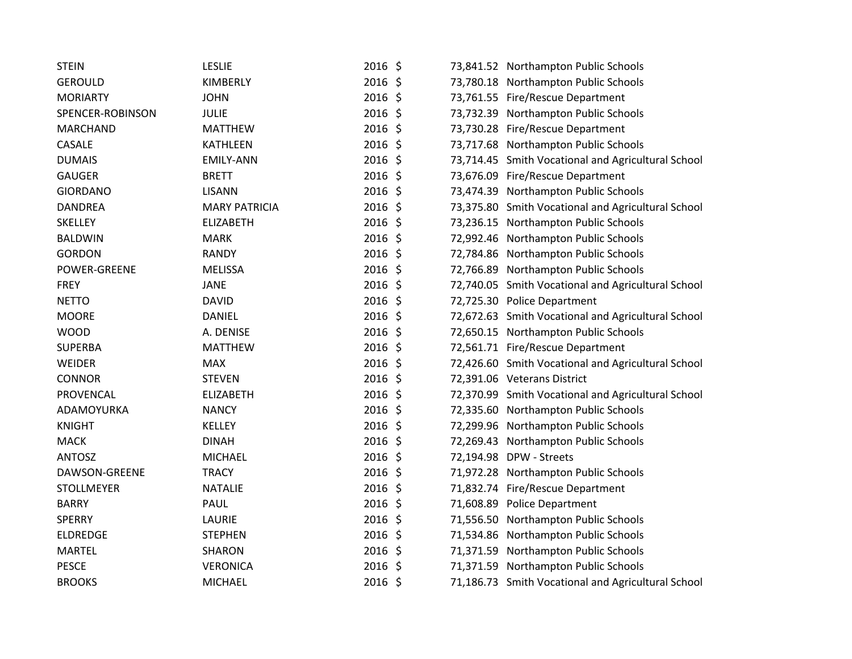| <b>STEIN</b>      | <b>LESLIE</b>        | 2016 \$   | 73,841.52 Northampton Public Schools               |
|-------------------|----------------------|-----------|----------------------------------------------------|
| <b>GEROULD</b>    | KIMBERLY             | $2016$ \$ | 73,780.18 Northampton Public Schools               |
| <b>MORIARTY</b>   | <b>JOHN</b>          | $2016$ \$ | 73,761.55 Fire/Rescue Department                   |
| SPENCER-ROBINSON  | <b>JULIE</b>         | $2016$ \$ | 73,732.39 Northampton Public Schools               |
| <b>MARCHAND</b>   | <b>MATTHEW</b>       | $2016$ \$ | 73,730.28 Fire/Rescue Department                   |
| CASALE            | <b>KATHLEEN</b>      | $2016$ \$ | 73,717.68 Northampton Public Schools               |
| <b>DUMAIS</b>     | <b>EMILY-ANN</b>     | $2016$ \$ | 73,714.45 Smith Vocational and Agricultural School |
| <b>GAUGER</b>     | <b>BRETT</b>         | $2016$ \$ | 73,676.09 Fire/Rescue Department                   |
| <b>GIORDANO</b>   | <b>LISANN</b>        | $2016$ \$ | 73,474.39 Northampton Public Schools               |
| <b>DANDREA</b>    | <b>MARY PATRICIA</b> | 2016 \$   | 73,375.80 Smith Vocational and Agricultural School |
| <b>SKELLEY</b>    | <b>ELIZABETH</b>     | $2016$ \$ | 73,236.15 Northampton Public Schools               |
| <b>BALDWIN</b>    | <b>MARK</b>          | $2016$ \$ | 72,992.46 Northampton Public Schools               |
| <b>GORDON</b>     | <b>RANDY</b>         | $2016$ \$ | 72,784.86 Northampton Public Schools               |
| POWER-GREENE      | MELISSA              | $2016$ \$ | 72,766.89 Northampton Public Schools               |
| <b>FREY</b>       | <b>JANE</b>          | $2016$ \$ | 72,740.05 Smith Vocational and Agricultural School |
| <b>NETTO</b>      | <b>DAVID</b>         | $2016$ \$ | 72,725.30 Police Department                        |
| <b>MOORE</b>      | <b>DANIEL</b>        | $2016$ \$ | 72,672.63 Smith Vocational and Agricultural School |
| <b>WOOD</b>       | A. DENISE            | $2016$ \$ | 72,650.15 Northampton Public Schools               |
| <b>SUPERBA</b>    | <b>MATTHEW</b>       | 2016 \$   | 72,561.71 Fire/Rescue Department                   |
| WEIDER            | <b>MAX</b>           | $2016$ \$ | 72,426.60 Smith Vocational and Agricultural School |
| <b>CONNOR</b>     | <b>STEVEN</b>        | $2016$ \$ | 72,391.06 Veterans District                        |
| PROVENCAL         | <b>ELIZABETH</b>     | $2016$ \$ | 72,370.99 Smith Vocational and Agricultural School |
| ADAMOYURKA        | <b>NANCY</b>         | $2016$ \$ | 72,335.60 Northampton Public Schools               |
| <b>KNIGHT</b>     | <b>KELLEY</b>        | $2016$ \$ | 72,299.96 Northampton Public Schools               |
| <b>MACK</b>       | <b>DINAH</b>         | $2016$ \$ | 72,269.43 Northampton Public Schools               |
| <b>ANTOSZ</b>     | <b>MICHAEL</b>       | $2016$ \$ | 72,194.98 DPW - Streets                            |
| DAWSON-GREENE     | <b>TRACY</b>         | $2016$ \$ | 71,972.28 Northampton Public Schools               |
| <b>STOLLMEYER</b> | <b>NATALIE</b>       | $2016$ \$ | 71,832.74 Fire/Rescue Department                   |
| <b>BARRY</b>      | PAUL                 | $2016$ \$ | 71,608.89 Police Department                        |
| <b>SPERRY</b>     | LAURIE               | $2016$ \$ | 71,556.50 Northampton Public Schools               |
| <b>ELDREDGE</b>   | <b>STEPHEN</b>       | $2016$ \$ | 71,534.86 Northampton Public Schools               |
| <b>MARTEL</b>     | SHARON               | $2016$ \$ | 71,371.59 Northampton Public Schools               |
| <b>PESCE</b>      | <b>VERONICA</b>      | 2016 \$   | 71,371.59 Northampton Public Schools               |
| <b>BROOKS</b>     | <b>MICHAEL</b>       | $2016$ \$ | 71,186.73 Smith Vocational and Agricultural School |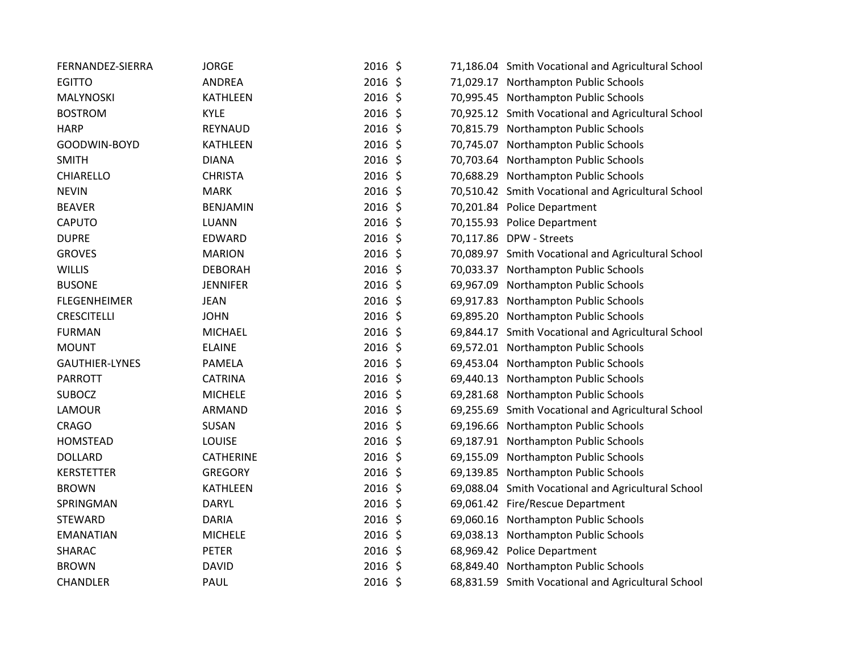| FERNANDEZ-SIERRA      | <b>JORGE</b>     | 2016 \$   | 71,186.04 Smith Vocational and Agricultural School |
|-----------------------|------------------|-----------|----------------------------------------------------|
| <b>EGITTO</b>         | ANDREA           | 2016 \$   | 71,029.17 Northampton Public Schools               |
| <b>MALYNOSKI</b>      | <b>KATHLEEN</b>  | 2016 \$   | 70,995.45 Northampton Public Schools               |
| <b>BOSTROM</b>        | <b>KYLE</b>      | 2016 \$   | 70,925.12 Smith Vocational and Agricultural School |
| <b>HARP</b>           | REYNAUD          | 2016 \$   | 70,815.79 Northampton Public Schools               |
| GOODWIN-BOYD          | <b>KATHLEEN</b>  | 2016 \$   | 70,745.07 Northampton Public Schools               |
| <b>SMITH</b>          | <b>DIANA</b>     | 2016 \$   | 70,703.64 Northampton Public Schools               |
| <b>CHIARELLO</b>      | <b>CHRISTA</b>   | $2016$ \$ | 70,688.29 Northampton Public Schools               |
| <b>NEVIN</b>          | <b>MARK</b>      | 2016 \$   | 70,510.42 Smith Vocational and Agricultural School |
| <b>BEAVER</b>         | <b>BENJAMIN</b>  | 2016 \$   | 70,201.84 Police Department                        |
| <b>CAPUTO</b>         | <b>LUANN</b>     | 2016 \$   | 70,155.93 Police Department                        |
| <b>DUPRE</b>          | EDWARD           | $2016$ \$ | 70,117.86 DPW - Streets                            |
| <b>GROVES</b>         | <b>MARION</b>    | 2016 \$   | 70,089.97 Smith Vocational and Agricultural School |
| WILLIS                | <b>DEBORAH</b>   | 2016 \$   | 70,033.37 Northampton Public Schools               |
| <b>BUSONE</b>         | <b>JENNIFER</b>  | 2016 \$   | 69,967.09 Northampton Public Schools               |
| <b>FLEGENHEIMER</b>   | <b>JEAN</b>      | 2016 \$   | 69,917.83 Northampton Public Schools               |
| <b>CRESCITELLI</b>    | <b>JOHN</b>      | 2016 \$   | 69,895.20 Northampton Public Schools               |
| <b>FURMAN</b>         | MICHAEL          | 2016 \$   | 69,844.17 Smith Vocational and Agricultural School |
| <b>MOUNT</b>          | <b>ELAINE</b>    | $2016$ \$ | 69,572.01 Northampton Public Schools               |
| <b>GAUTHIER-LYNES</b> | <b>PAMELA</b>    | $2016$ \$ | 69,453.04 Northampton Public Schools               |
| <b>PARROTT</b>        | <b>CATRINA</b>   | 2016 \$   | 69,440.13 Northampton Public Schools               |
| <b>SUBOCZ</b>         | <b>MICHELE</b>   | 2016 \$   | 69,281.68 Northampton Public Schools               |
| LAMOUR                | ARMAND           | $2016$ \$ | 69,255.69 Smith Vocational and Agricultural School |
| <b>CRAGO</b>          | SUSAN            | $2016$ \$ | 69,196.66 Northampton Public Schools               |
| <b>HOMSTEAD</b>       | LOUISE           | 2016 \$   | 69,187.91 Northampton Public Schools               |
| <b>DOLLARD</b>        | <b>CATHERINE</b> | 2016 \$   | 69,155.09 Northampton Public Schools               |
| <b>KERSTETTER</b>     | <b>GREGORY</b>   | $2016$ \$ | 69,139.85 Northampton Public Schools               |
| <b>BROWN</b>          | <b>KATHLEEN</b>  | 2016 \$   | 69,088.04 Smith Vocational and Agricultural School |
| SPRINGMAN             | <b>DARYL</b>     | 2016 \$   | 69,061.42 Fire/Rescue Department                   |
| <b>STEWARD</b>        | <b>DARIA</b>     | 2016 \$   | 69,060.16 Northampton Public Schools               |
| <b>EMANATIAN</b>      | <b>MICHELE</b>   | 2016 \$   | 69,038.13 Northampton Public Schools               |
| SHARAC                | <b>PETER</b>     | 2016 \$   | 68,969.42 Police Department                        |
| <b>BROWN</b>          | <b>DAVID</b>     | 2016 \$   | 68,849.40 Northampton Public Schools               |
| <b>CHANDLER</b>       | PAUL             | 2016 \$   | 68,831.59 Smith Vocational and Agricultural School |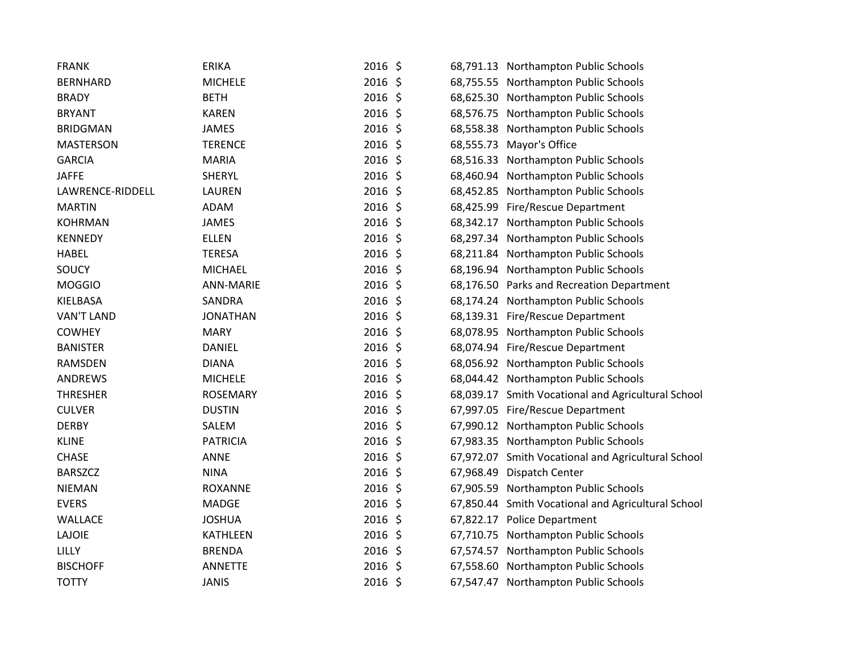| <b>FRANK</b>      | <b>ERIKA</b>     | 2016 \$   |  | 68,791.13 Northampton Public Schools               |
|-------------------|------------------|-----------|--|----------------------------------------------------|
| <b>BERNHARD</b>   | <b>MICHELE</b>   | $2016$ \$ |  | 68,755.55 Northampton Public Schools               |
| <b>BRADY</b>      | <b>BETH</b>      | 2016 \$   |  | 68,625.30 Northampton Public Schools               |
| <b>BRYANT</b>     | <b>KAREN</b>     | $2016$ \$ |  | 68,576.75 Northampton Public Schools               |
| <b>BRIDGMAN</b>   | <b>JAMES</b>     | 2016 \$   |  | 68,558.38 Northampton Public Schools               |
| <b>MASTERSON</b>  | <b>TERENCE</b>   | $2016$ \$ |  | 68,555.73 Mayor's Office                           |
| <b>GARCIA</b>     | <b>MARIA</b>     | 2016 \$   |  | 68,516.33 Northampton Public Schools               |
| <b>JAFFE</b>      | SHERYL           | $2016$ \$ |  | 68,460.94 Northampton Public Schools               |
| LAWRENCE-RIDDELL  | <b>LAUREN</b>    | 2016 \$   |  | 68,452.85 Northampton Public Schools               |
| <b>MARTIN</b>     | <b>ADAM</b>      | $2016$ \$ |  | 68,425.99 Fire/Rescue Department                   |
| <b>KOHRMAN</b>    | <b>JAMES</b>     | 2016 \$   |  | 68,342.17 Northampton Public Schools               |
| <b>KENNEDY</b>    | ELLEN            | $2016$ \$ |  | 68,297.34 Northampton Public Schools               |
| <b>HABEL</b>      | <b>TERESA</b>    | 2016 \$   |  | 68,211.84 Northampton Public Schools               |
| SOUCY             | <b>MICHAEL</b>   | $2016$ \$ |  | 68,196.94 Northampton Public Schools               |
| <b>MOGGIO</b>     | <b>ANN-MARIE</b> | $2016$ \$ |  | 68,176.50 Parks and Recreation Department          |
| KIELBASA          | SANDRA           | 2016 \$   |  | 68,174.24 Northampton Public Schools               |
| <b>VAN'T LAND</b> | <b>JONATHAN</b>  | 2016 \$   |  | 68,139.31 Fire/Rescue Department                   |
| <b>COWHEY</b>     | <b>MARY</b>      | 2016 \$   |  | 68,078.95 Northampton Public Schools               |
| <b>BANISTER</b>   | <b>DANIEL</b>    | 2016 \$   |  | 68,074.94 Fire/Rescue Department                   |
| RAMSDEN           | <b>DIANA</b>     | $2016$ \$ |  | 68,056.92 Northampton Public Schools               |
| ANDREWS           | <b>MICHELE</b>   | 2016 \$   |  | 68,044.42 Northampton Public Schools               |
| <b>THRESHER</b>   | <b>ROSEMARY</b>  | 2016 \$   |  | 68,039.17 Smith Vocational and Agricultural School |
| <b>CULVER</b>     | <b>DUSTIN</b>    | 2016 \$   |  | 67,997.05 Fire/Rescue Department                   |
| <b>DERBY</b>      | SALEM            | $2016$ \$ |  | 67,990.12 Northampton Public Schools               |
| <b>KLINE</b>      | <b>PATRICIA</b>  | $2016$ \$ |  | 67,983.35 Northampton Public Schools               |
| <b>CHASE</b>      | ANNE             | $2016$ \$ |  | 67,972.07 Smith Vocational and Agricultural School |
| <b>BARSZCZ</b>    | <b>NINA</b>      | 2016 \$   |  | 67,968.49 Dispatch Center                          |
| <b>NIEMAN</b>     | <b>ROXANNE</b>   | 2016 \$   |  | 67,905.59 Northampton Public Schools               |
| <b>EVERS</b>      | <b>MADGE</b>     | $2016$ \$ |  | 67,850.44 Smith Vocational and Agricultural School |
| WALLACE           | <b>JOSHUA</b>    | $2016$ \$ |  | 67,822.17 Police Department                        |
| <b>LAJOIE</b>     | <b>KATHLEEN</b>  | $2016$ \$ |  | 67,710.75 Northampton Public Schools               |
| LILLY             | <b>BRENDA</b>    | $2016$ \$ |  | 67,574.57 Northampton Public Schools               |
| <b>BISCHOFF</b>   | <b>ANNETTE</b>   | 2016 \$   |  | 67,558.60 Northampton Public Schools               |
| <b>TOTTY</b>      | <b>JANIS</b>     | 2016 \$   |  | 67,547.47 Northampton Public Schools               |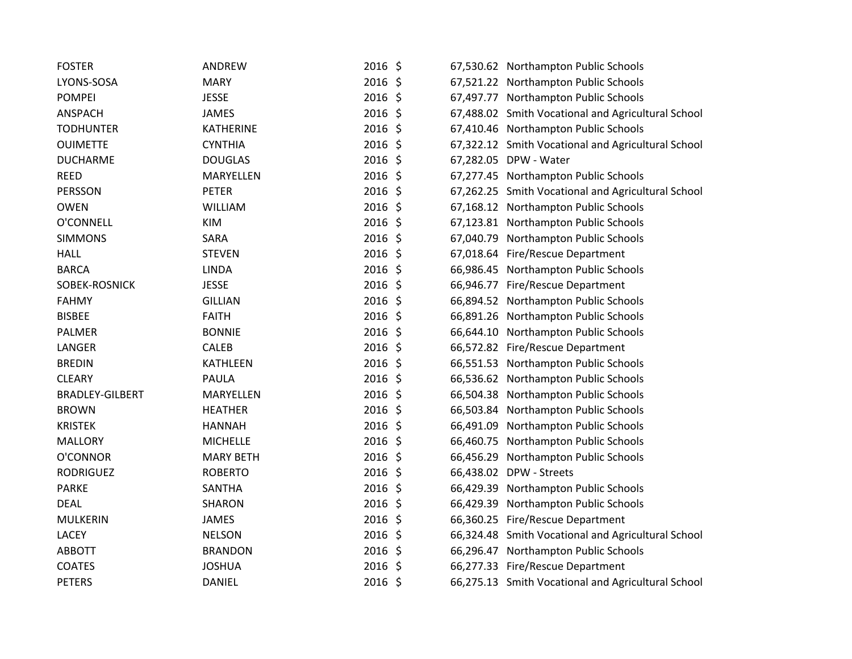| <b>FOSTER</b>    | <b>ANDREW</b>    | $2016$ \$ | 67,530.62 Northampton Public Schools               |
|------------------|------------------|-----------|----------------------------------------------------|
| LYONS-SOSA       | <b>MARY</b>      | 2016 \$   | 67,521.22 Northampton Public Schools               |
| <b>POMPEI</b>    | <b>JESSE</b>     | 2016 \$   | 67,497.77 Northampton Public Schools               |
| <b>ANSPACH</b>   | <b>JAMES</b>     | 2016 \$   | 67,488.02 Smith Vocational and Agricultural School |
| <b>TODHUNTER</b> | <b>KATHERINE</b> | $2016$ \$ | 67,410.46 Northampton Public Schools               |
| <b>OUIMETTE</b>  | <b>CYNTHIA</b>   | 2016 \$   | 67,322.12 Smith Vocational and Agricultural School |
| <b>DUCHARME</b>  | <b>DOUGLAS</b>   | $2016$ \$ | 67,282.05 DPW - Water                              |
| <b>REED</b>      | MARYELLEN        | 2016 \$   | 67,277.45 Northampton Public Schools               |
| PERSSON          | <b>PETER</b>     | $2016$ \$ | 67,262.25 Smith Vocational and Agricultural School |
| <b>OWEN</b>      | WILLIAM          | $2016$ \$ | 67,168.12 Northampton Public Schools               |
| <b>O'CONNELL</b> | KIM              | 2016 \$   | 67,123.81 Northampton Public Schools               |
| <b>SIMMONS</b>   | SARA             | 2016 \$   | 67,040.79 Northampton Public Schools               |
| <b>HALL</b>      | <b>STEVEN</b>    | $2016$ \$ | 67,018.64 Fire/Rescue Department                   |
| <b>BARCA</b>     | <b>LINDA</b>     | 2016 \$   | 66,986.45 Northampton Public Schools               |
| SOBEK-ROSNICK    | <b>JESSE</b>     | 2016 \$   | 66,946.77 Fire/Rescue Department                   |
| <b>FAHMY</b>     | <b>GILLIAN</b>   | 2016 \$   | 66,894.52 Northampton Public Schools               |
| <b>BISBEE</b>    | <b>FAITH</b>     | $2016$ \$ | 66,891.26 Northampton Public Schools               |
| <b>PALMER</b>    | <b>BONNIE</b>    | 2016 \$   | 66,644.10 Northampton Public Schools               |
| LANGER           | CALEB            | $2016$ \$ | 66,572.82 Fire/Rescue Department                   |
| <b>BREDIN</b>    | <b>KATHLEEN</b>  | $2016$ \$ | 66,551.53 Northampton Public Schools               |
| <b>CLEARY</b>    | PAULA            | $2016$ \$ | 66,536.62 Northampton Public Schools               |
| BRADLEY-GILBERT  | MARYELLEN        | 2016 \$   | 66,504.38 Northampton Public Schools               |
| <b>BROWN</b>     | <b>HEATHER</b>   | 2016 \$   | 66,503.84 Northampton Public Schools               |
| <b>KRISTEK</b>   | <b>HANNAH</b>    | $2016$ \$ | 66,491.09 Northampton Public Schools               |
| <b>MALLORY</b>   | <b>MICHELLE</b>  | 2016 \$   | 66,460.75 Northampton Public Schools               |
| O'CONNOR         | <b>MARY BETH</b> | $2016$ \$ | 66,456.29 Northampton Public Schools               |
| <b>RODRIGUEZ</b> | <b>ROBERTO</b>   | 2016 \$   | 66,438.02 DPW - Streets                            |
| <b>PARKE</b>     | <b>SANTHA</b>    | 2016 \$   | 66,429.39 Northampton Public Schools               |
| <b>DEAL</b>      | <b>SHARON</b>    | $2016$ \$ | 66,429.39 Northampton Public Schools               |
| <b>MULKERIN</b>  | JAMES            | $2016$ \$ | 66,360.25 Fire/Rescue Department                   |
| <b>LACEY</b>     | <b>NELSON</b>    | 2016 \$   | 66,324.48 Smith Vocational and Agricultural School |
| <b>ABBOTT</b>    | <b>BRANDON</b>   | 2016 \$   | 66,296.47 Northampton Public Schools               |
| <b>COATES</b>    | <b>JOSHUA</b>    | 2016 \$   | 66,277.33 Fire/Rescue Department                   |
| <b>PETERS</b>    | <b>DANIEL</b>    | 2016 \$   | 66,275.13 Smith Vocational and Agricultural School |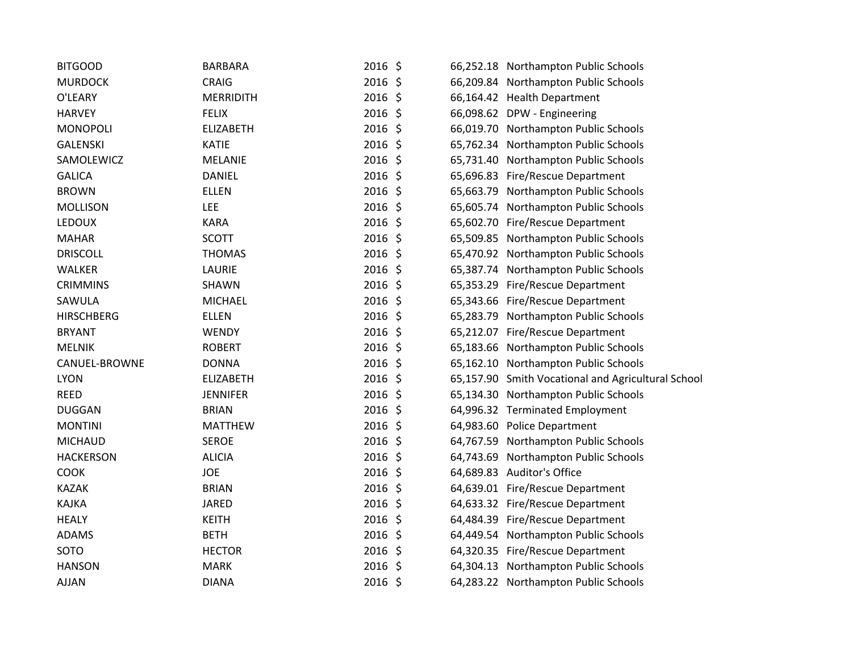| <b>BITGOOD</b>    | <b>BARBARA</b>   | 2016 \$   |  | 66,252.18 Northampton Public Schools               |
|-------------------|------------------|-----------|--|----------------------------------------------------|
| <b>MURDOCK</b>    | <b>CRAIG</b>     | 2016 \$   |  | 66,209.84 Northampton Public Schools               |
| O'LEARY           | <b>MERRIDITH</b> | 2016 \$   |  | 66,164.42 Health Department                        |
| <b>HARVEY</b>     | <b>FELIX</b>     | $2016$ \$ |  | 66,098.62 DPW - Engineering                        |
| <b>MONOPOLI</b>   | <b>ELIZABETH</b> | 2016 \$   |  | 66,019.70 Northampton Public Schools               |
| <b>GALENSKI</b>   | <b>KATIE</b>     | 2016 \$   |  | 65,762.34 Northampton Public Schools               |
| SAMOLEWICZ        | <b>MELANIE</b>   | 2016 \$   |  | 65,731.40 Northampton Public Schools               |
| <b>GALICA</b>     | <b>DANIEL</b>    | 2016 \$   |  | 65,696.83 Fire/Rescue Department                   |
| <b>BROWN</b>      | <b>ELLEN</b>     | 2016 \$   |  | 65,663.79 Northampton Public Schools               |
| <b>MOLLISON</b>   | LEE              | $2016$ \$ |  | 65,605.74 Northampton Public Schools               |
| <b>LEDOUX</b>     | <b>KARA</b>      | 2016 \$   |  | 65,602.70 Fire/Rescue Department                   |
| <b>MAHAR</b>      | <b>SCOTT</b>     | 2016 \$   |  | 65,509.85 Northampton Public Schools               |
| <b>DRISCOLL</b>   | <b>THOMAS</b>    | $2016$ \$ |  | 65,470.92 Northampton Public Schools               |
| WALKER            | LAURIE           | $2016$ \$ |  | 65,387.74 Northampton Public Schools               |
| <b>CRIMMINS</b>   | SHAWN            | $2016$ \$ |  | 65,353.29 Fire/Rescue Department                   |
| SAWULA            | <b>MICHAEL</b>   | 2016 \$   |  | 65,343.66 Fire/Rescue Department                   |
| <b>HIRSCHBERG</b> | <b>ELLEN</b>     | 2016 \$   |  | 65,283.79 Northampton Public Schools               |
| <b>BRYANT</b>     | WENDY            | 2016 \$   |  | 65,212.07 Fire/Rescue Department                   |
| <b>MELNIK</b>     | <b>ROBERT</b>    | 2016 \$   |  | 65,183.66 Northampton Public Schools               |
| CANUEL-BROWNE     | <b>DONNA</b>     | 2016 \$   |  | 65,162.10 Northampton Public Schools               |
| <b>LYON</b>       | <b>ELIZABETH</b> | 2016 \$   |  | 65,157.90 Smith Vocational and Agricultural School |
| <b>REED</b>       | <b>JENNIFER</b>  | 2016 \$   |  | 65,134.30 Northampton Public Schools               |
| <b>DUGGAN</b>     | <b>BRIAN</b>     | $2016$ \$ |  | 64,996.32 Terminated Employment                    |
| <b>MONTINI</b>    | <b>MATTHEW</b>   | 2016 \$   |  | 64,983.60 Police Department                        |
| <b>MICHAUD</b>    | <b>SEROE</b>     | $2016$ \$ |  | 64,767.59 Northampton Public Schools               |
| <b>HACKERSON</b>  | <b>ALICIA</b>    | 2016 \$   |  | 64,743.69 Northampton Public Schools               |
| <b>COOK</b>       | <b>JOE</b>       | 2016 \$   |  | 64,689.83 Auditor's Office                         |
| <b>KAZAK</b>      | <b>BRIAN</b>     | 2016 \$   |  | 64,639.01 Fire/Rescue Department                   |
| KAJKA             | <b>JARED</b>     | $2016$ \$ |  | 64,633.32 Fire/Rescue Department                   |
| <b>HEALY</b>      | <b>KEITH</b>     | $2016$ \$ |  | 64,484.39 Fire/Rescue Department                   |
| ADAMS             | <b>BETH</b>      | $2016$ \$ |  | 64,449.54 Northampton Public Schools               |
| SOTO              | <b>HECTOR</b>    | 2016 \$   |  | 64,320.35 Fire/Rescue Department                   |
| <b>HANSON</b>     | <b>MARK</b>      | 2016 \$   |  | 64,304.13 Northampton Public Schools               |
| <b>AJJAN</b>      | <b>DIANA</b>     | 2016 \$   |  | 64,283.22 Northampton Public Schools               |
|                   |                  |           |  |                                                    |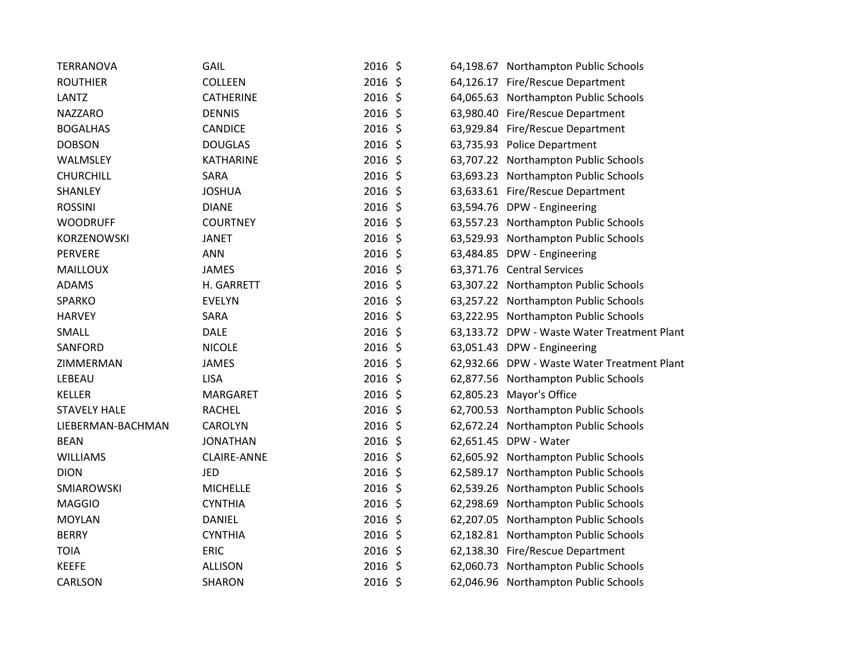| <b>TERRANOVA</b>    | GAIL               | 2016 \$   | 64,198.67 Northampton Public Schools        |
|---------------------|--------------------|-----------|---------------------------------------------|
| <b>ROUTHIER</b>     | <b>COLLEEN</b>     | $2016$ \$ | 64,126.17 Fire/Rescue Department            |
| <b>LANTZ</b>        | <b>CATHERINE</b>   | 2016 \$   | 64,065.63 Northampton Public Schools        |
| <b>NAZZARO</b>      | <b>DENNIS</b>      | $2016$ \$ | 63,980.40 Fire/Rescue Department            |
| <b>BOGALHAS</b>     | <b>CANDICE</b>     | $2016$ \$ | 63,929.84 Fire/Rescue Department            |
| <b>DOBSON</b>       | <b>DOUGLAS</b>     | $2016$ \$ | 63,735.93 Police Department                 |
| WALMSLEY            | <b>KATHARINE</b>   | 2016 \$   | 63,707.22 Northampton Public Schools        |
| <b>CHURCHILL</b>    | SARA               | $2016$ \$ | 63,693.23 Northampton Public Schools        |
| SHANLEY             | <b>JOSHUA</b>      | $2016$ \$ | 63,633.61 Fire/Rescue Department            |
| <b>ROSSINI</b>      | <b>DIANE</b>       | $2016$ \$ | 63,594.76 DPW - Engineering                 |
| <b>WOODRUFF</b>     | <b>COURTNEY</b>    | $2016$ \$ | 63,557.23 Northampton Public Schools        |
| KORZENOWSKI         | <b>JANET</b>       | $2016$ \$ | 63,529.93 Northampton Public Schools        |
| PERVERE             | <b>ANN</b>         | $2016$ \$ | 63,484.85 DPW - Engineering                 |
| <b>MAILLOUX</b>     | <b>JAMES</b>       | $2016$ \$ | 63,371.76 Central Services                  |
| <b>ADAMS</b>        | H. GARRETT         | $2016$ \$ | 63,307.22 Northampton Public Schools        |
| SPARKO              | <b>EVELYN</b>      | $2016$ \$ | 63,257.22 Northampton Public Schools        |
| <b>HARVEY</b>       | SARA               | $2016$ \$ | 63,222.95 Northampton Public Schools        |
| SMALL               | <b>DALE</b>        | 2016 \$   | 63,133.72 DPW - Waste Water Treatment Plant |
| SANFORD             | <b>NICOLE</b>      | $2016$ \$ | 63,051.43 DPW - Engineering                 |
| ZIMMERMAN           | <b>JAMES</b>       | $2016$ \$ | 62,932.66 DPW - Waste Water Treatment Plant |
| LEBEAU              | <b>LISA</b>        | $2016$ \$ | 62,877.56 Northampton Public Schools        |
| <b>KELLER</b>       | <b>MARGARET</b>    | 2016 \$   | 62,805.23 Mayor's Office                    |
| <b>STAVELY HALE</b> | <b>RACHEL</b>      | $2016$ \$ | 62,700.53 Northampton Public Schools        |
| LIEBERMAN-BACHMAN   | <b>CAROLYN</b>     | $2016$ \$ | 62,672.24 Northampton Public Schools        |
| <b>BEAN</b>         | <b>JONATHAN</b>    | $2016$ \$ | 62,651.45 DPW - Water                       |
| <b>WILLIAMS</b>     | <b>CLAIRE-ANNE</b> | $2016$ \$ | 62,605.92 Northampton Public Schools        |
| <b>DION</b>         | JED                | $2016$ \$ | 62,589.17 Northampton Public Schools        |
| SMIAROWSKI          | <b>MICHELLE</b>    | $2016$ \$ | 62,539.26 Northampton Public Schools        |
| <b>MAGGIO</b>       | <b>CYNTHIA</b>     | $2016$ \$ | 62,298.69 Northampton Public Schools        |
| <b>MOYLAN</b>       | <b>DANIEL</b>      | $2016$ \$ | 62,207.05 Northampton Public Schools        |
| <b>BERRY</b>        | <b>CYNTHIA</b>     | $2016$ \$ | 62,182.81 Northampton Public Schools        |
| <b>TOIA</b>         | <b>ERIC</b>        | $2016$ \$ | 62,138.30 Fire/Rescue Department            |
| <b>KEEFE</b>        | <b>ALLISON</b>     | $2016$ \$ | 62,060.73 Northampton Public Schools        |
| CARLSON             | <b>SHARON</b>      | $2016$ \$ | 62,046.96 Northampton Public Schools        |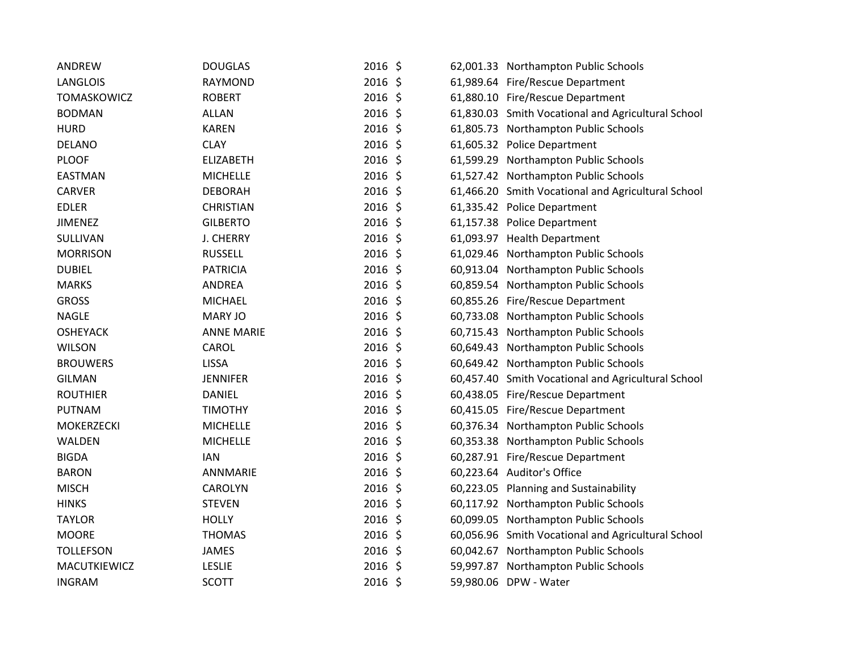| ANDREW            | <b>DOUGLAS</b>    | 2016 \$   | 62,001.33 Northampton Public Schools               |
|-------------------|-------------------|-----------|----------------------------------------------------|
| <b>LANGLOIS</b>   | <b>RAYMOND</b>    | $2016$ \$ | 61,989.64 Fire/Rescue Department                   |
| TOMASKOWICZ       | <b>ROBERT</b>     | $2016$ \$ | 61,880.10 Fire/Rescue Department                   |
| <b>BODMAN</b>     | <b>ALLAN</b>      | $2016$ \$ | 61,830.03 Smith Vocational and Agricultural School |
| <b>HURD</b>       | <b>KAREN</b>      | 2016 \$   | 61,805.73 Northampton Public Schools               |
| <b>DELANO</b>     | <b>CLAY</b>       | $2016$ \$ | 61,605.32 Police Department                        |
| <b>PLOOF</b>      | <b>ELIZABETH</b>  | $2016$ \$ | 61,599.29 Northampton Public Schools               |
| <b>EASTMAN</b>    | <b>MICHELLE</b>   | $2016$ \$ | 61,527.42 Northampton Public Schools               |
| <b>CARVER</b>     | <b>DEBORAH</b>    | $2016$ \$ | 61,466.20 Smith Vocational and Agricultural School |
| <b>EDLER</b>      | <b>CHRISTIAN</b>  | $2016$ \$ | 61,335.42 Police Department                        |
| <b>JIMENEZ</b>    | <b>GILBERTO</b>   | 2016 \$   | 61,157.38 Police Department                        |
| SULLIVAN          | <b>J. CHERRY</b>  | $2016$ \$ | 61,093.97 Health Department                        |
| <b>MORRISON</b>   | <b>RUSSELL</b>    | $2016$ \$ | 61,029.46 Northampton Public Schools               |
| <b>DUBIEL</b>     | <b>PATRICIA</b>   | $2016$ \$ | 60,913.04 Northampton Public Schools               |
| <b>MARKS</b>      | <b>ANDREA</b>     | 2016 \$   | 60,859.54 Northampton Public Schools               |
| <b>GROSS</b>      | <b>MICHAEL</b>    | $2016$ \$ | 60,855.26 Fire/Rescue Department                   |
| <b>NAGLE</b>      | MARY JO           | 2016 \$   | 60,733.08 Northampton Public Schools               |
| <b>OSHEYACK</b>   | <b>ANNE MARIE</b> | 2016 \$   | 60,715.43 Northampton Public Schools               |
| <b>WILSON</b>     | CAROL             | $2016$ \$ | 60,649.43 Northampton Public Schools               |
| <b>BROUWERS</b>   | <b>LISSA</b>      | $2016$ \$ | 60,649.42 Northampton Public Schools               |
| <b>GILMAN</b>     | <b>JENNIFER</b>   | 2016 \$   | 60,457.40 Smith Vocational and Agricultural School |
| <b>ROUTHIER</b>   | <b>DANIEL</b>     | 2016 \$   | 60,438.05 Fire/Rescue Department                   |
| <b>PUTNAM</b>     | <b>TIMOTHY</b>    | 2016 \$   | 60,415.05 Fire/Rescue Department                   |
| <b>MOKERZECKI</b> | <b>MICHELLE</b>   | $2016$ \$ | 60,376.34 Northampton Public Schools               |
| WALDEN            | <b>MICHELLE</b>   | $2016$ \$ | 60,353.38 Northampton Public Schools               |
| <b>BIGDA</b>      | IAN               | $2016$ \$ | 60,287.91 Fire/Rescue Department                   |
| <b>BARON</b>      | ANNMARIE          | 2016 \$   | 60,223.64 Auditor's Office                         |
| <b>MISCH</b>      | <b>CAROLYN</b>    | $2016$ \$ | 60,223.05 Planning and Sustainability              |
| <b>HINKS</b>      | <b>STEVEN</b>     | $2016$ \$ | 60,117.92 Northampton Public Schools               |
| <b>TAYLOR</b>     | <b>HOLLY</b>      | $2016$ \$ | 60,099.05 Northampton Public Schools               |
| <b>MOORE</b>      | <b>THOMAS</b>     | $2016$ \$ | 60,056.96 Smith Vocational and Agricultural School |
| <b>TOLLEFSON</b>  | <b>JAMES</b>      | $2016$ \$ | 60,042.67 Northampton Public Schools               |
| MACUTKIEWICZ      | <b>LESLIE</b>     | $2016$ \$ | 59,997.87 Northampton Public Schools               |
| <b>INGRAM</b>     | <b>SCOTT</b>      | $2016$ \$ | 59,980.06 DPW - Water                              |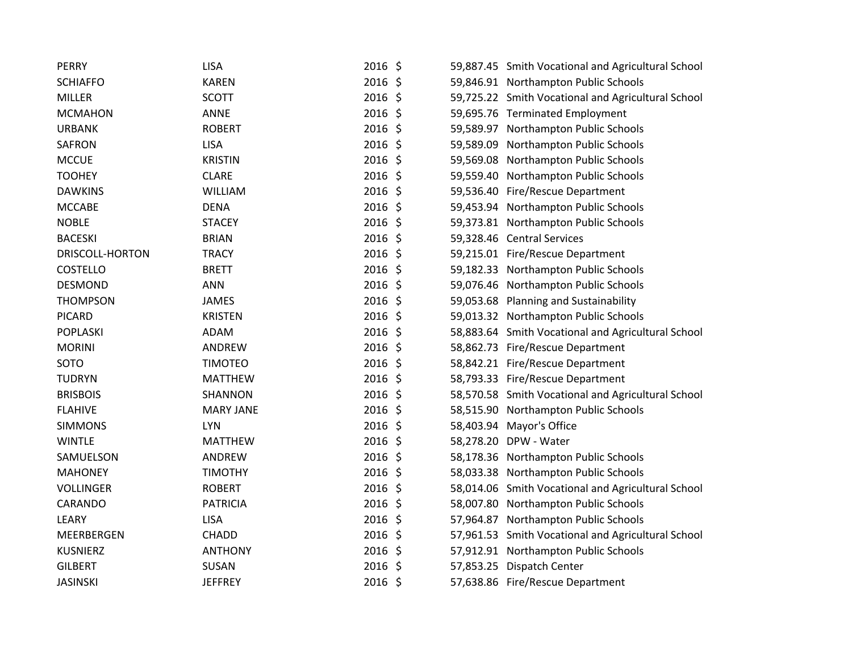| <b>PERRY</b>     | <b>LISA</b>      | $2016$ \$ | 59,887.45 Smith Vocational and Agricultural School |
|------------------|------------------|-----------|----------------------------------------------------|
| <b>SCHIAFFO</b>  | <b>KAREN</b>     | 2016 \$   | 59,846.91 Northampton Public Schools               |
| <b>MILLER</b>    | <b>SCOTT</b>     | 2016 \$   | 59,725.22 Smith Vocational and Agricultural School |
| <b>MCMAHON</b>   | ANNE             | 2016 \$   | 59,695.76 Terminated Employment                    |
| <b>URBANK</b>    | <b>ROBERT</b>    | 2016 \$   | 59,589.97 Northampton Public Schools               |
| <b>SAFRON</b>    | <b>LISA</b>      | 2016 \$   | 59,589.09 Northampton Public Schools               |
| <b>MCCUE</b>     | <b>KRISTIN</b>   | 2016 \$   | 59,569.08 Northampton Public Schools               |
| <b>TOOHEY</b>    | <b>CLARE</b>     | 2016 \$   | 59,559.40 Northampton Public Schools               |
| <b>DAWKINS</b>   | WILLIAM          | $2016$ \$ | 59,536.40 Fire/Rescue Department                   |
| <b>MCCABE</b>    | <b>DENA</b>      | $2016$ \$ | 59,453.94 Northampton Public Schools               |
| <b>NOBLE</b>     | <b>STACEY</b>    | 2016 \$   | 59,373.81 Northampton Public Schools               |
| <b>BACESKI</b>   | <b>BRIAN</b>     | 2016 \$   | 59,328.46 Central Services                         |
| DRISCOLL-HORTON  | <b>TRACY</b>     | $2016$ \$ | 59,215.01 Fire/Rescue Department                   |
| <b>COSTELLO</b>  | <b>BRETT</b>     | 2016 \$   | 59,182.33 Northampton Public Schools               |
| <b>DESMOND</b>   | <b>ANN</b>       | 2016 \$   | 59,076.46 Northampton Public Schools               |
| <b>THOMPSON</b>  | <b>JAMES</b>     | 2016 \$   | 59,053.68 Planning and Sustainability              |
| <b>PICARD</b>    | <b>KRISTEN</b>   | 2016 \$   | 59,013.32 Northampton Public Schools               |
| <b>POPLASKI</b>  | <b>ADAM</b>      | $2016$ \$ | 58,883.64 Smith Vocational and Agricultural School |
| <b>MORINI</b>    | ANDREW           | $2016$ \$ | 58,862.73 Fire/Rescue Department                   |
| SOTO             | <b>TIMOTEO</b>   | $2016$ \$ | 58,842.21 Fire/Rescue Department                   |
| <b>TUDRYN</b>    | <b>MATTHEW</b>   | 2016 \$   | 58,793.33 Fire/Rescue Department                   |
| <b>BRISBOIS</b>  | SHANNON          | $2016$ \$ | 58,570.58 Smith Vocational and Agricultural School |
| <b>FLAHIVE</b>   | <b>MARY JANE</b> | $2016$ \$ | 58,515.90 Northampton Public Schools               |
| <b>SIMMONS</b>   | <b>LYN</b>       | $2016$ \$ | 58,403.94 Mayor's Office                           |
| <b>WINTLE</b>    | <b>MATTHEW</b>   | $2016$ \$ | 58,278.20 DPW - Water                              |
| SAMUELSON        | ANDREW           | $2016$ \$ | 58,178.36 Northampton Public Schools               |
| <b>MAHONEY</b>   | <b>TIMOTHY</b>   | 2016 \$   | 58,033.38 Northampton Public Schools               |
| <b>VOLLINGER</b> | <b>ROBERT</b>    | $2016$ \$ | 58,014.06 Smith Vocational and Agricultural School |
| CARANDO          | <b>PATRICIA</b>  | 2016 \$   | 58,007.80 Northampton Public Schools               |
| LEARY            | <b>LISA</b>      | $2016$ \$ | 57,964.87 Northampton Public Schools               |
| MEERBERGEN       | <b>CHADD</b>     | 2016 \$   | 57,961.53 Smith Vocational and Agricultural School |
| <b>KUSNIERZ</b>  | <b>ANTHONY</b>   | $2016$ \$ | 57,912.91 Northampton Public Schools               |
| <b>GILBERT</b>   | SUSAN            | 2016 \$   | 57,853.25 Dispatch Center                          |
| <b>JASINSKI</b>  | <b>JEFFREY</b>   | 2016 \$   | 57,638.86 Fire/Rescue Department                   |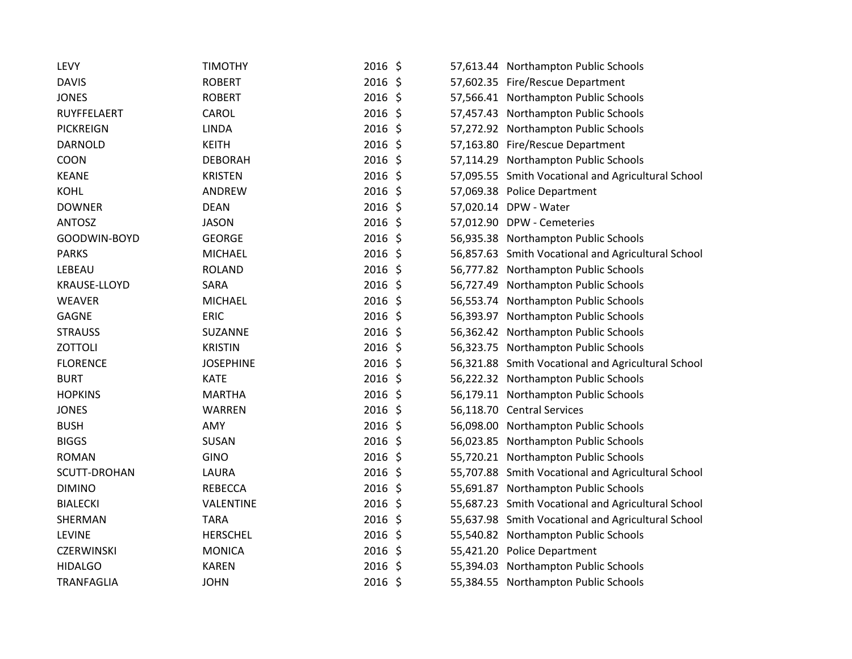| LEVY               | <b>TIMOTHY</b>   | $2016$ \$ | 57,613.44 Northampton Public Schools               |
|--------------------|------------------|-----------|----------------------------------------------------|
| <b>DAVIS</b>       | <b>ROBERT</b>    | $2016$ \$ | 57,602.35 Fire/Rescue Department                   |
| <b>JONES</b>       | <b>ROBERT</b>    | $2016$ \$ | 57,566.41 Northampton Public Schools               |
| <b>RUYFFELAERT</b> | CAROL            | $2016$ \$ | 57,457.43 Northampton Public Schools               |
| <b>PICKREIGN</b>   | <b>LINDA</b>     | $2016$ \$ | 57,272.92 Northampton Public Schools               |
| <b>DARNOLD</b>     | <b>KEITH</b>     | $2016$ \$ | 57,163.80 Fire/Rescue Department                   |
| COON               | <b>DEBORAH</b>   | $2016$ \$ | 57,114.29 Northampton Public Schools               |
| <b>KEANE</b>       | <b>KRISTEN</b>   | $2016$ \$ | 57,095.55 Smith Vocational and Agricultural School |
| <b>KOHL</b>        | ANDREW           | $2016$ \$ | 57,069.38 Police Department                        |
| <b>DOWNER</b>      | <b>DEAN</b>      | $2016$ \$ | 57,020.14 DPW - Water                              |
| <b>ANTOSZ</b>      | <b>JASON</b>     | $2016$ \$ | 57,012.90 DPW - Cemeteries                         |
| GOODWIN-BOYD       | <b>GEORGE</b>    | $2016$ \$ | 56,935.38 Northampton Public Schools               |
| <b>PARKS</b>       | <b>MICHAEL</b>   | $2016$ \$ | 56,857.63 Smith Vocational and Agricultural School |
| LEBEAU             | <b>ROLAND</b>    | $2016$ \$ | 56,777.82 Northampton Public Schools               |
| KRAUSE-LLOYD       | SARA             | $2016$ \$ | 56,727.49 Northampton Public Schools               |
| <b>WEAVER</b>      | <b>MICHAEL</b>   | $2016$ \$ | 56,553.74 Northampton Public Schools               |
| <b>GAGNE</b>       | <b>ERIC</b>      | $2016$ \$ | 56,393.97 Northampton Public Schools               |
| <b>STRAUSS</b>     | SUZANNE          | $2016$ \$ | 56,362.42 Northampton Public Schools               |
| <b>ZOTTOLI</b>     | <b>KRISTIN</b>   | $2016$ \$ | 56,323.75 Northampton Public Schools               |
| <b>FLORENCE</b>    | <b>JOSEPHINE</b> | $2016$ \$ | 56,321.88 Smith Vocational and Agricultural School |
| <b>BURT</b>        | <b>KATE</b>      | $2016$ \$ | 56,222.32 Northampton Public Schools               |
| <b>HOPKINS</b>     | <b>MARTHA</b>    | 2016 \$   | 56,179.11 Northampton Public Schools               |
| <b>JONES</b>       | <b>WARREN</b>    | $2016$ \$ | 56,118.70 Central Services                         |
| <b>BUSH</b>        | AMY              | $2016$ \$ | 56,098.00 Northampton Public Schools               |
| <b>BIGGS</b>       | SUSAN            | $2016$ \$ | 56,023.85 Northampton Public Schools               |
| <b>ROMAN</b>       | <b>GINO</b>      | $2016$ \$ | 55,720.21 Northampton Public Schools               |
| SCUTT-DROHAN       | LAURA            | $2016$ \$ | 55,707.88 Smith Vocational and Agricultural School |
| <b>DIMINO</b>      | <b>REBECCA</b>   | $2016$ \$ | 55,691.87 Northampton Public Schools               |
| <b>BIALECKI</b>    | VALENTINE        | $2016$ \$ | 55,687.23 Smith Vocational and Agricultural School |
| SHERMAN            | <b>TARA</b>      | $2016$ \$ | 55,637.98 Smith Vocational and Agricultural School |
| <b>LEVINE</b>      | <b>HERSCHEL</b>  | $2016$ \$ | 55,540.82 Northampton Public Schools               |
| <b>CZERWINSKI</b>  | <b>MONICA</b>    | $2016$ \$ | 55,421.20 Police Department                        |
| <b>HIDALGO</b>     | <b>KAREN</b>     | $2016$ \$ | 55,394.03 Northampton Public Schools               |
| TRANFAGLIA         | <b>JOHN</b>      | $2016$ \$ | 55,384.55 Northampton Public Schools               |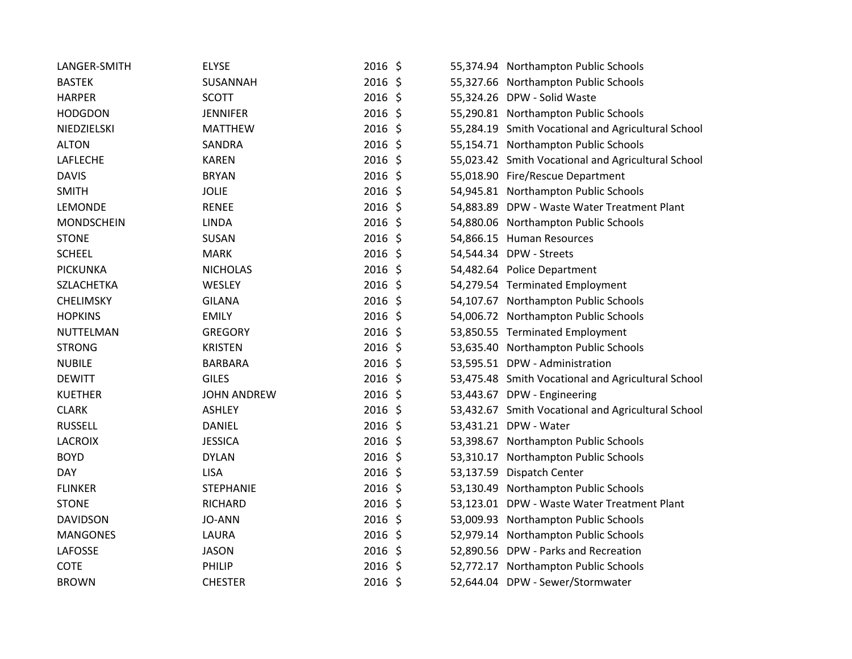| LANGER-SMITH      | <b>ELYSE</b>       | $2016$ \$ | 55,374.94 Northampton Public Schools               |
|-------------------|--------------------|-----------|----------------------------------------------------|
| <b>BASTEK</b>     | SUSANNAH           | $2016$ \$ | 55,327.66 Northampton Public Schools               |
| <b>HARPER</b>     | <b>SCOTT</b>       | $2016$ \$ | 55,324.26 DPW - Solid Waste                        |
| <b>HODGDON</b>    | <b>JENNIFER</b>    | $2016$ \$ | 55,290.81 Northampton Public Schools               |
| NIEDZIELSKI       | <b>MATTHEW</b>     | $2016$ \$ | 55,284.19 Smith Vocational and Agricultural School |
| <b>ALTON</b>      | SANDRA             | $2016$ \$ | 55,154.71 Northampton Public Schools               |
| LAFLECHE          | <b>KAREN</b>       | $2016$ \$ | 55,023.42 Smith Vocational and Agricultural School |
| <b>DAVIS</b>      | <b>BRYAN</b>       | $2016$ \$ | 55,018.90 Fire/Rescue Department                   |
| <b>SMITH</b>      | <b>JOLIE</b>       | $2016$ \$ | 54,945.81 Northampton Public Schools               |
| LEMONDE           | <b>RENEE</b>       | $2016$ \$ | 54,883.89 DPW - Waste Water Treatment Plant        |
| <b>MONDSCHEIN</b> | <b>LINDA</b>       | $2016$ \$ | 54,880.06 Northampton Public Schools               |
| <b>STONE</b>      | SUSAN              | $2016$ \$ | 54,866.15 Human Resources                          |
| <b>SCHEEL</b>     | <b>MARK</b>        | $2016$ \$ | 54,544.34 DPW - Streets                            |
| <b>PICKUNKA</b>   | <b>NICHOLAS</b>    | $2016$ \$ | 54,482.64 Police Department                        |
| <b>SZLACHETKA</b> | WESLEY             | $2016$ \$ | 54,279.54 Terminated Employment                    |
| <b>CHELIMSKY</b>  | <b>GILANA</b>      | $2016$ \$ | 54,107.67 Northampton Public Schools               |
| <b>HOPKINS</b>    | <b>EMILY</b>       | $2016$ \$ | 54,006.72 Northampton Public Schools               |
| NUTTELMAN         | <b>GREGORY</b>     | $2016$ \$ | 53,850.55 Terminated Employment                    |
| <b>STRONG</b>     | <b>KRISTEN</b>     | $2016$ \$ | 53,635.40 Northampton Public Schools               |
| <b>NUBILE</b>     | <b>BARBARA</b>     | $2016$ \$ | 53,595.51 DPW - Administration                     |
| <b>DEWITT</b>     | <b>GILES</b>       | $2016$ \$ | 53,475.48 Smith Vocational and Agricultural School |
| <b>KUETHER</b>    | <b>JOHN ANDREW</b> | $2016$ \$ | 53,443.67 DPW - Engineering                        |
| <b>CLARK</b>      | <b>ASHLEY</b>      | $2016$ \$ | 53,432.67 Smith Vocational and Agricultural School |
| <b>RUSSELL</b>    | <b>DANIEL</b>      | $2016$ \$ | 53,431.21 DPW - Water                              |
| <b>LACROIX</b>    | <b>JESSICA</b>     | $2016$ \$ | 53,398.67 Northampton Public Schools               |
| <b>BOYD</b>       | <b>DYLAN</b>       | $2016$ \$ | 53,310.17 Northampton Public Schools               |
| <b>DAY</b>        | <b>LISA</b>        | $2016$ \$ | 53,137.59 Dispatch Center                          |
| <b>FLINKER</b>    | <b>STEPHANIE</b>   | $2016$ \$ | 53,130.49 Northampton Public Schools               |
| <b>STONE</b>      | <b>RICHARD</b>     | $2016$ \$ | 53,123.01 DPW - Waste Water Treatment Plant        |
| <b>DAVIDSON</b>   | <b>JO-ANN</b>      | $2016$ \$ | 53,009.93 Northampton Public Schools               |
| <b>MANGONES</b>   | LAURA              | $2016$ \$ | 52,979.14 Northampton Public Schools               |
| LAFOSSE           | <b>JASON</b>       | $2016$ \$ | 52,890.56 DPW - Parks and Recreation               |
| COTE              | PHILIP             | $2016$ \$ | 52,772.17 Northampton Public Schools               |
| <b>BROWN</b>      | <b>CHESTER</b>     | $2016$ \$ | 52,644.04 DPW - Sewer/Stormwater                   |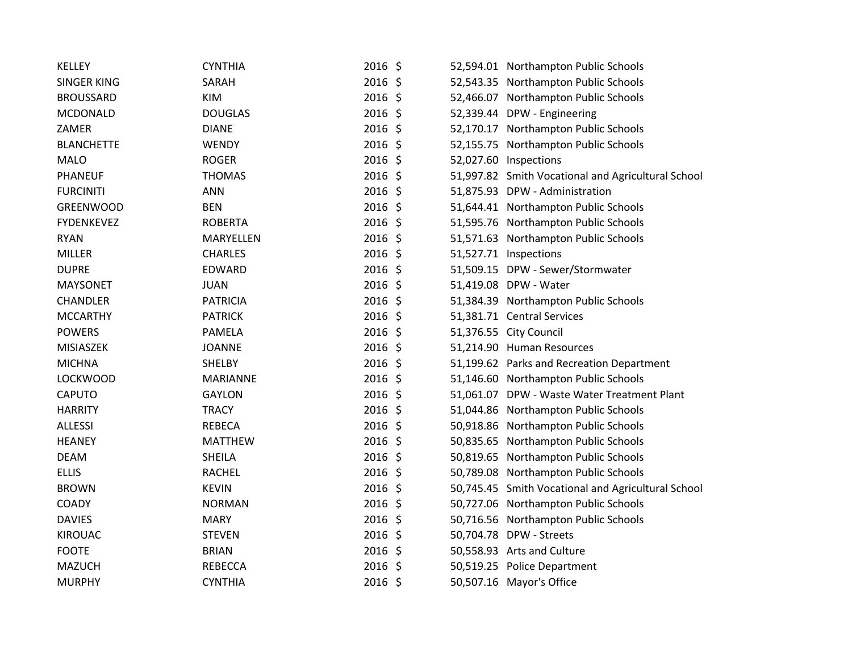| <b>KELLEY</b>      | <b>CYNTHIA</b>  | $2016$ \$ | 52,594.01 Northampton Public Schools               |
|--------------------|-----------------|-----------|----------------------------------------------------|
| <b>SINGER KING</b> | SARAH           | 2016 \$   | 52,543.35 Northampton Public Schools               |
| <b>BROUSSARD</b>   | KIM             | $2016$ \$ | 52,466.07 Northampton Public Schools               |
| <b>MCDONALD</b>    | <b>DOUGLAS</b>  | 2016 \$   | 52,339.44 DPW - Engineering                        |
| ZAMER              | <b>DIANE</b>    | 2016 \$   | 52,170.17 Northampton Public Schools               |
| <b>BLANCHETTE</b>  | WENDY           | 2016 \$   | 52,155.75 Northampton Public Schools               |
| <b>MALO</b>        | <b>ROGER</b>    | 2016 \$   | 52,027.60 Inspections                              |
| <b>PHANEUF</b>     | <b>THOMAS</b>   | 2016 \$   | 51,997.82 Smith Vocational and Agricultural School |
| <b>FURCINITI</b>   | <b>ANN</b>      | $2016$ \$ | 51,875.93 DPW - Administration                     |
| <b>GREENWOOD</b>   | <b>BEN</b>      | 2016 \$   | 51,644.41 Northampton Public Schools               |
| <b>FYDENKEVEZ</b>  | <b>ROBERTA</b>  | 2016 \$   | 51,595.76 Northampton Public Schools               |
| <b>RYAN</b>        | MARYELLEN       | 2016 \$   | 51,571.63 Northampton Public Schools               |
| <b>MILLER</b>      | <b>CHARLES</b>  | $2016$ \$ | 51,527.71 Inspections                              |
| <b>DUPRE</b>       | <b>EDWARD</b>   | 2016 \$   | 51,509.15 DPW - Sewer/Stormwater                   |
| <b>MAYSONET</b>    | <b>JUAN</b>     | 2016 \$   | 51,419.08 DPW - Water                              |
| <b>CHANDLER</b>    | <b>PATRICIA</b> | 2016 \$   | 51,384.39 Northampton Public Schools               |
| <b>MCCARTHY</b>    | <b>PATRICK</b>  | 2016 \$   | 51,381.71 Central Services                         |
| <b>POWERS</b>      | <b>PAMELA</b>   | 2016 \$   | 51,376.55 City Council                             |
| MISIASZEK          | <b>JOANNE</b>   | 2016 \$   | 51,214.90 Human Resources                          |
| <b>MICHNA</b>      | SHELBY          | $2016$ \$ | 51,199.62 Parks and Recreation Department          |
| <b>LOCKWOOD</b>    | <b>MARIANNE</b> | 2016 \$   | 51,146.60 Northampton Public Schools               |
| CAPUTO             | <b>GAYLON</b>   | 2016 \$   | 51,061.07 DPW - Waste Water Treatment Plant        |
| <b>HARRITY</b>     | <b>TRACY</b>    | 2016 \$   | 51,044.86 Northampton Public Schools               |
| <b>ALLESSI</b>     | <b>REBECA</b>   | 2016 \$   | 50,918.86 Northampton Public Schools               |
| <b>HEANEY</b>      | <b>MATTHEW</b>  | 2016 \$   | 50,835.65 Northampton Public Schools               |
| <b>DEAM</b>        | <b>SHEILA</b>   | $2016$ \$ | 50,819.65 Northampton Public Schools               |
| <b>ELLIS</b>       | <b>RACHEL</b>   | 2016 \$   | 50,789.08 Northampton Public Schools               |
| <b>BROWN</b>       | <b>KEVIN</b>    | $2016$ \$ | 50,745.45 Smith Vocational and Agricultural School |
| <b>COADY</b>       | <b>NORMAN</b>   | 2016 \$   | 50,727.06 Northampton Public Schools               |
| <b>DAVIES</b>      | <b>MARY</b>     | $2016$ \$ | 50,716.56 Northampton Public Schools               |
| <b>KIROUAC</b>     | <b>STEVEN</b>   | 2016 \$   | 50,704.78 DPW - Streets                            |
| <b>FOOTE</b>       | <b>BRIAN</b>    | $2016$ \$ | 50,558.93 Arts and Culture                         |
| <b>MAZUCH</b>      | <b>REBECCA</b>  | 2016 \$   | 50,519.25 Police Department                        |
| <b>MURPHY</b>      | <b>CYNTHIA</b>  | 2016 \$   | 50,507.16 Mayor's Office                           |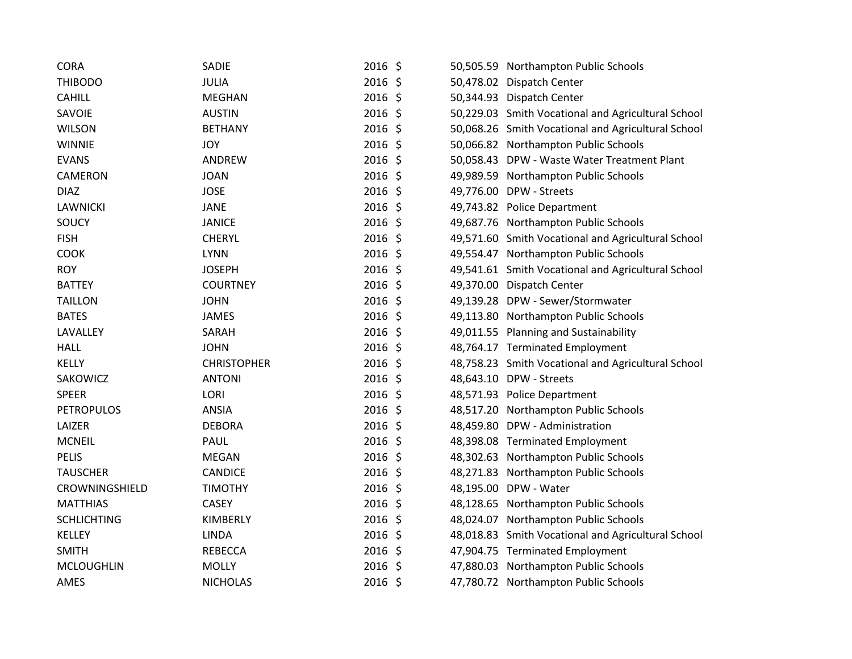| <b>CORA</b>        | SADIE              | $2016$ \$ | 50,505.59 Northampton Public Schools               |
|--------------------|--------------------|-----------|----------------------------------------------------|
| <b>THIBODO</b>     | <b>JULIA</b>       | $2016$ \$ | 50,478.02 Dispatch Center                          |
| <b>CAHILL</b>      | <b>MEGHAN</b>      | $2016$ \$ | 50,344.93 Dispatch Center                          |
| SAVOIE             | <b>AUSTIN</b>      | $2016$ \$ | 50,229.03 Smith Vocational and Agricultural School |
| <b>WILSON</b>      | <b>BETHANY</b>     | $2016$ \$ | 50,068.26 Smith Vocational and Agricultural School |
| <b>WINNIE</b>      | <b>JOY</b>         | $2016$ \$ | 50,066.82 Northampton Public Schools               |
| <b>EVANS</b>       | ANDREW             | $2016$ \$ | 50,058.43 DPW - Waste Water Treatment Plant        |
| <b>CAMERON</b>     | <b>JOAN</b>        | $2016$ \$ | 49,989.59 Northampton Public Schools               |
| <b>DIAZ</b>        | <b>JOSE</b>        | $2016$ \$ | 49,776.00 DPW - Streets                            |
| <b>LAWNICKI</b>    | <b>JANE</b>        | $2016$ \$ | 49,743.82 Police Department                        |
| SOUCY              | <b>JANICE</b>      | $2016$ \$ | 49,687.76 Northampton Public Schools               |
| <b>FISH</b>        | <b>CHERYL</b>      | $2016$ \$ | 49,571.60 Smith Vocational and Agricultural School |
| <b>COOK</b>        | <b>LYNN</b>        | $2016$ \$ | 49,554.47 Northampton Public Schools               |
| <b>ROY</b>         | <b>JOSEPH</b>      | $2016$ \$ | 49,541.61 Smith Vocational and Agricultural School |
| <b>BATTEY</b>      | <b>COURTNEY</b>    | $2016$ \$ | 49,370.00 Dispatch Center                          |
| <b>TAILLON</b>     | <b>JOHN</b>        | $2016$ \$ | 49,139.28 DPW - Sewer/Stormwater                   |
| <b>BATES</b>       | <b>JAMES</b>       | $2016$ \$ | 49,113.80 Northampton Public Schools               |
| LAVALLEY           | SARAH              | $2016$ \$ | 49,011.55 Planning and Sustainability              |
| <b>HALL</b>        | <b>JOHN</b>        | $2016$ \$ | 48,764.17 Terminated Employment                    |
| <b>KELLY</b>       | <b>CHRISTOPHER</b> | $2016$ \$ | 48,758.23 Smith Vocational and Agricultural School |
| SAKOWICZ           | <b>ANTONI</b>      | $2016$ \$ | 48,643.10 DPW - Streets                            |
| <b>SPEER</b>       | LORI               | $2016$ \$ | 48,571.93 Police Department                        |
| <b>PETROPULOS</b>  | ANSIA              | $2016$ \$ | 48,517.20 Northampton Public Schools               |
| LAIZER             | <b>DEBORA</b>      | $2016$ \$ | 48,459.80 DPW - Administration                     |
| <b>MCNEIL</b>      | PAUL               | $2016$ \$ | 48,398.08 Terminated Employment                    |
| <b>PELIS</b>       | <b>MEGAN</b>       | $2016$ \$ | 48,302.63 Northampton Public Schools               |
| <b>TAUSCHER</b>    | <b>CANDICE</b>     | $2016$ \$ | 48,271.83 Northampton Public Schools               |
| CROWNINGSHIELD     | <b>TIMOTHY</b>     | $2016$ \$ | 48,195.00 DPW - Water                              |
| <b>MATTHIAS</b>    | <b>CASEY</b>       | $2016$ \$ | 48,128.65 Northampton Public Schools               |
| <b>SCHLICHTING</b> | KIMBERLY           | $2016$ \$ | 48,024.07 Northampton Public Schools               |
| <b>KELLEY</b>      | <b>LINDA</b>       | $2016$ \$ | 48,018.83 Smith Vocational and Agricultural School |
| <b>SMITH</b>       | <b>REBECCA</b>     | $2016$ \$ | 47,904.75 Terminated Employment                    |
| <b>MCLOUGHLIN</b>  | <b>MOLLY</b>       | $2016$ \$ | 47,880.03 Northampton Public Schools               |
| AMES               | <b>NICHOLAS</b>    | $2016$ \$ | 47,780.72 Northampton Public Schools               |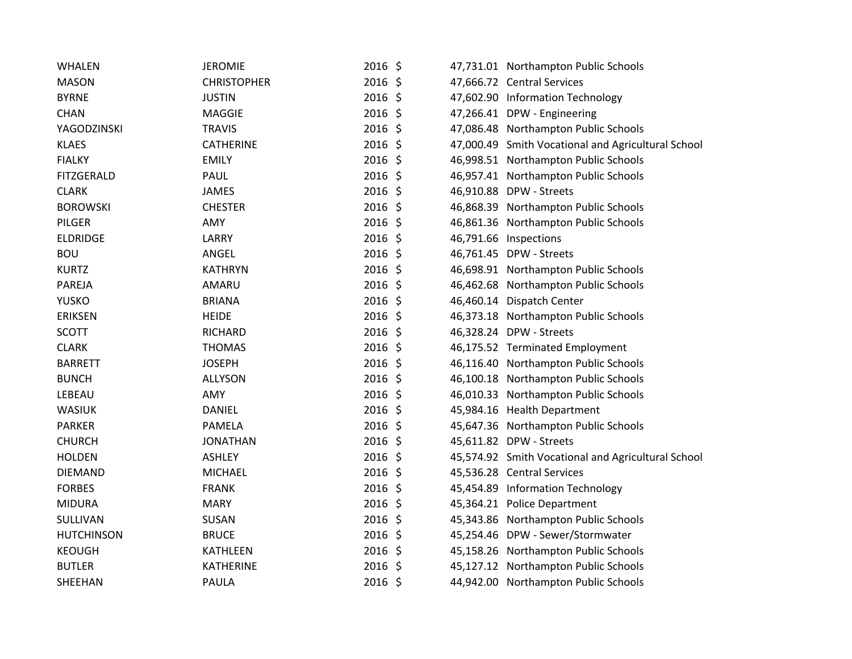| <b>WHALEN</b>     | <b>JEROMIE</b>     | 2016 \$   | 47,731.01 Northampton Public Schools               |
|-------------------|--------------------|-----------|----------------------------------------------------|
| <b>MASON</b>      | <b>CHRISTOPHER</b> | $2016$ \$ | 47,666.72 Central Services                         |
| <b>BYRNE</b>      | <b>JUSTIN</b>      | $2016$ \$ | 47,602.90 Information Technology                   |
| <b>CHAN</b>       | <b>MAGGIE</b>      | $2016$ \$ | 47,266.41 DPW - Engineering                        |
| YAGODZINSKI       | <b>TRAVIS</b>      | $2016$ \$ | 47,086.48 Northampton Public Schools               |
| <b>KLAES</b>      | <b>CATHERINE</b>   | $2016$ \$ | 47,000.49 Smith Vocational and Agricultural School |
| <b>FIALKY</b>     | <b>EMILY</b>       | $2016$ \$ | 46,998.51 Northampton Public Schools               |
| <b>FITZGERALD</b> | PAUL               | 2016 \$   | 46,957.41 Northampton Public Schools               |
| <b>CLARK</b>      | <b>JAMES</b>       | $2016$ \$ | 46,910.88 DPW - Streets                            |
| <b>BOROWSKI</b>   | <b>CHESTER</b>     | $2016$ \$ | 46,868.39 Northampton Public Schools               |
| <b>PILGER</b>     | AMY                | $2016$ \$ | 46,861.36 Northampton Public Schools               |
| <b>ELDRIDGE</b>   | LARRY              | $2016$ \$ | 46,791.66 Inspections                              |
| <b>BOU</b>        | ANGEL              | $2016$ \$ | 46,761.45 DPW - Streets                            |
| <b>KURTZ</b>      | <b>KATHRYN</b>     | 2016 \$   | 46,698.91 Northampton Public Schools               |
| PAREJA            | AMARU              | $2016$ \$ | 46,462.68 Northampton Public Schools               |
| <b>YUSKO</b>      | <b>BRIANA</b>      | $2016$ \$ | 46,460.14 Dispatch Center                          |
| <b>ERIKSEN</b>    | <b>HEIDE</b>       | $2016$ \$ | 46,373.18 Northampton Public Schools               |
| <b>SCOTT</b>      | <b>RICHARD</b>     | $2016$ \$ | 46,328.24 DPW - Streets                            |
| <b>CLARK</b>      | <b>THOMAS</b>      | $2016$ \$ | 46,175.52 Terminated Employment                    |
| <b>BARRETT</b>    | <b>JOSEPH</b>      | $2016$ \$ | 46,116.40 Northampton Public Schools               |
| <b>BUNCH</b>      | <b>ALLYSON</b>     | $2016$ \$ | 46,100.18 Northampton Public Schools               |
| LEBEAU            | AMY                | $2016$ \$ | 46,010.33 Northampton Public Schools               |
| <b>WASIUK</b>     | <b>DANIEL</b>      | $2016$ \$ | 45,984.16 Health Department                        |
| <b>PARKER</b>     | <b>PAMELA</b>      | $2016$ \$ | 45,647.36 Northampton Public Schools               |
| <b>CHURCH</b>     | <b>JONATHAN</b>    | $2016$ \$ | 45,611.82 DPW - Streets                            |
| <b>HOLDEN</b>     | <b>ASHLEY</b>      | $2016$ \$ | 45,574.92 Smith Vocational and Agricultural School |
| <b>DIEMAND</b>    | MICHAEL            | $2016$ \$ | 45,536.28 Central Services                         |
| <b>FORBES</b>     | <b>FRANK</b>       | $2016$ \$ | 45,454.89 Information Technology                   |
| <b>MIDURA</b>     | <b>MARY</b>        | $2016$ \$ | 45,364.21 Police Department                        |
| SULLIVAN          | SUSAN              | $2016$ \$ | 45,343.86 Northampton Public Schools               |
| <b>HUTCHINSON</b> | <b>BRUCE</b>       | $2016$ \$ | 45,254.46 DPW - Sewer/Stormwater                   |
| <b>KEOUGH</b>     | KATHLEEN           | $2016$ \$ | 45,158.26 Northampton Public Schools               |
| <b>BUTLER</b>     | <b>KATHERINE</b>   | $2016$ \$ | 45,127.12 Northampton Public Schools               |
| SHEEHAN           | PAULA              | $2016$ \$ | 44,942.00 Northampton Public Schools               |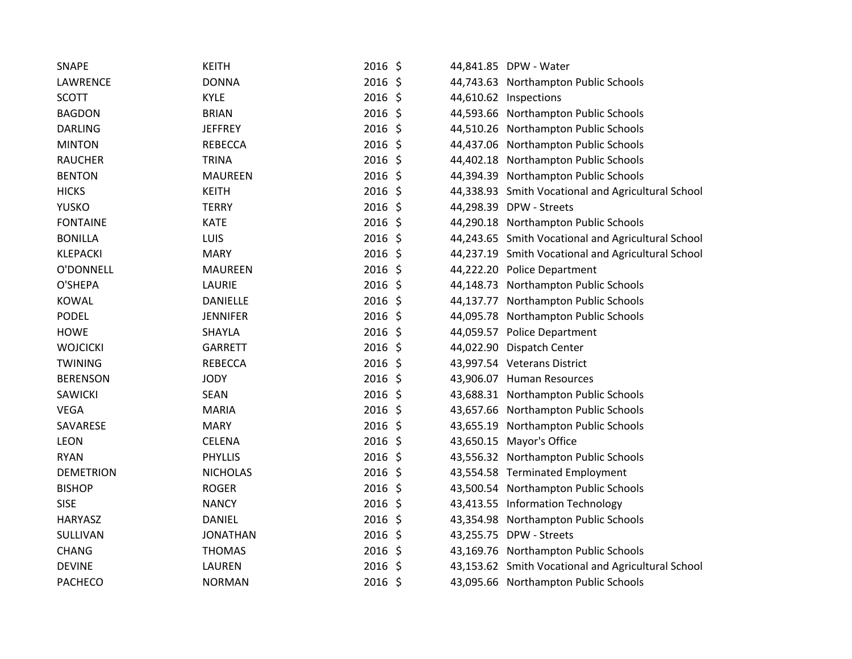| <b>SNAPE</b>     | <b>KEITH</b>    | $2016$ \$ | 44,841.85 DPW - Water                              |
|------------------|-----------------|-----------|----------------------------------------------------|
| LAWRENCE         | <b>DONNA</b>    | 2016 \$   | 44,743.63 Northampton Public Schools               |
| <b>SCOTT</b>     | <b>KYLE</b>     | 2016 \$   | 44,610.62 Inspections                              |
| <b>BAGDON</b>    | <b>BRIAN</b>    | 2016 \$   | 44,593.66 Northampton Public Schools               |
| <b>DARLING</b>   | <b>JEFFREY</b>  | $2016$ \$ | 44,510.26 Northampton Public Schools               |
| <b>MINTON</b>    | <b>REBECCA</b>  | 2016 \$   | 44,437.06 Northampton Public Schools               |
| <b>RAUCHER</b>   | <b>TRINA</b>    | 2016 \$   | 44,402.18 Northampton Public Schools               |
| <b>BENTON</b>    | <b>MAUREEN</b>  | 2016 \$   | 44,394.39 Northampton Public Schools               |
| <b>HICKS</b>     | <b>KEITH</b>    | 2016 \$   | 44,338.93 Smith Vocational and Agricultural School |
| <b>YUSKO</b>     | <b>TERRY</b>    | 2016 \$   | 44,298.39 DPW - Streets                            |
| <b>FONTAINE</b>  | <b>KATE</b>     | 2016 \$   | 44,290.18 Northampton Public Schools               |
| <b>BONILLA</b>   | <b>LUIS</b>     | 2016 \$   | 44,243.65 Smith Vocational and Agricultural School |
| <b>KLEPACKI</b>  | <b>MARY</b>     | 2016 \$   | 44,237.19 Smith Vocational and Agricultural School |
| O'DONNELL        | <b>MAUREEN</b>  | 2016 \$   | 44,222.20 Police Department                        |
| O'SHEPA          | LAURIE          | 2016 \$   | 44,148.73 Northampton Public Schools               |
| <b>KOWAL</b>     | <b>DANIELLE</b> | 2016 \$   | 44,137.77 Northampton Public Schools               |
| <b>PODEL</b>     | <b>JENNIFER</b> | 2016 \$   | 44,095.78 Northampton Public Schools               |
| <b>HOWE</b>      | <b>SHAYLA</b>   | $2016$ \$ | 44,059.57 Police Department                        |
| <b>WOJCICKI</b>  | <b>GARRETT</b>  | 2016 \$   | 44,022.90 Dispatch Center                          |
| <b>TWINING</b>   | <b>REBECCA</b>  | $2016$ \$ | 43,997.54 Veterans District                        |
| <b>BERENSON</b>  | <b>JODY</b>     | 2016 \$   | 43,906.07 Human Resources                          |
| <b>SAWICKI</b>   | <b>SEAN</b>     | $2016$ \$ | 43,688.31 Northampton Public Schools               |
| <b>VEGA</b>      | <b>MARIA</b>    | 2016 \$   | 43,657.66 Northampton Public Schools               |
| SAVARESE         | <b>MARY</b>     | 2016 \$   | 43,655.19 Northampton Public Schools               |
| LEON             | <b>CELENA</b>   | 2016 \$   | 43,650.15 Mayor's Office                           |
| <b>RYAN</b>      | <b>PHYLLIS</b>  | $2016$ \$ | 43,556.32 Northampton Public Schools               |
| <b>DEMETRION</b> | <b>NICHOLAS</b> | 2016 \$   | 43,554.58 Terminated Employment                    |
| <b>BISHOP</b>    | <b>ROGER</b>    | $2016$ \$ | 43,500.54 Northampton Public Schools               |
| <b>SISE</b>      | <b>NANCY</b>    | 2016 \$   | 43,413.55 Information Technology                   |
| <b>HARYASZ</b>   | <b>DANIEL</b>   | $2016$ \$ | 43,354.98 Northampton Public Schools               |
| SULLIVAN         | <b>JONATHAN</b> | 2016 \$   | 43,255.75 DPW - Streets                            |
| <b>CHANG</b>     | <b>THOMAS</b>   | $2016$ \$ | 43,169.76 Northampton Public Schools               |
| <b>DEVINE</b>    | <b>LAUREN</b>   | 2016 \$   | 43,153.62 Smith Vocational and Agricultural School |
| <b>PACHECO</b>   | <b>NORMAN</b>   | 2016 \$   | 43,095.66 Northampton Public Schools               |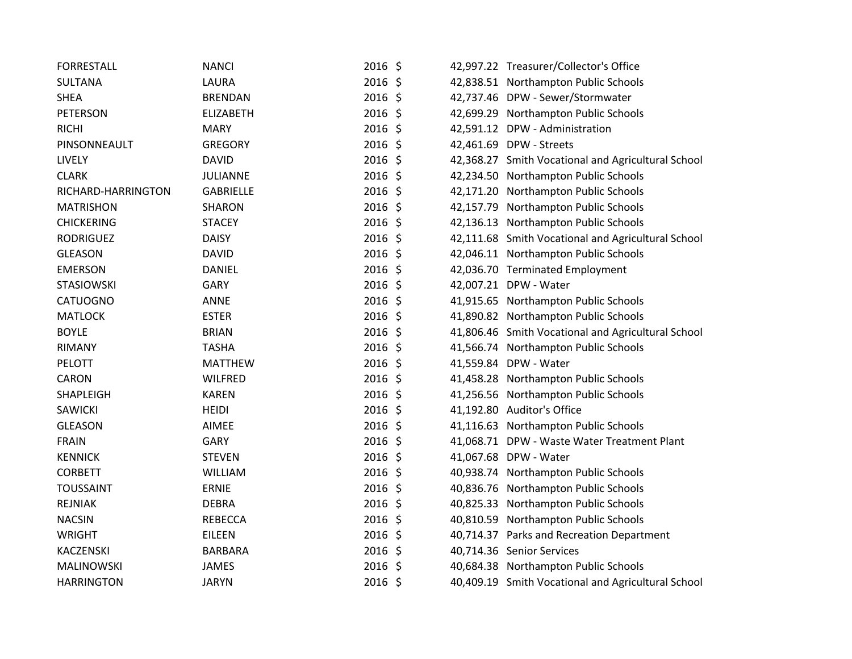| <b>FORRESTALL</b>  | <b>NANCI</b>     | 2016 \$   | 42,997.22 Treasurer/Collector's Office             |
|--------------------|------------------|-----------|----------------------------------------------------|
| <b>SULTANA</b>     | LAURA            | $2016$ \$ | 42,838.51 Northampton Public Schools               |
| <b>SHEA</b>        | <b>BRENDAN</b>   | $2016$ \$ | 42,737.46 DPW - Sewer/Stormwater                   |
| <b>PETERSON</b>    | <b>ELIZABETH</b> | $2016$ \$ | 42,699.29 Northampton Public Schools               |
| <b>RICHI</b>       | <b>MARY</b>      | 2016 \$   | 42,591.12 DPW - Administration                     |
| PINSONNEAULT       | <b>GREGORY</b>   | $2016$ \$ | 42,461.69 DPW - Streets                            |
| LIVELY             | <b>DAVID</b>     | $2016$ \$ | 42,368.27 Smith Vocational and Agricultural School |
| <b>CLARK</b>       | <b>JULIANNE</b>  | $2016$ \$ | 42,234.50 Northampton Public Schools               |
| RICHARD-HARRINGTON | <b>GABRIELLE</b> | $2016$ \$ | 42,171.20 Northampton Public Schools               |
| <b>MATRISHON</b>   | <b>SHARON</b>    | $2016$ \$ | 42,157.79 Northampton Public Schools               |
| <b>CHICKERING</b>  | <b>STACEY</b>    | $2016$ \$ | 42,136.13 Northampton Public Schools               |
| <b>RODRIGUEZ</b>   | <b>DAISY</b>     | $2016$ \$ | 42,111.68 Smith Vocational and Agricultural School |
| <b>GLEASON</b>     | <b>DAVID</b>     | $2016$ \$ | 42,046.11 Northampton Public Schools               |
| <b>EMERSON</b>     | <b>DANIEL</b>    | $2016$ \$ | 42,036.70 Terminated Employment                    |
| <b>STASIOWSKI</b>  | <b>GARY</b>      | $2016$ \$ | 42,007.21 DPW - Water                              |
| <b>CATUOGNO</b>    | <b>ANNE</b>      | $2016$ \$ | 41,915.65 Northampton Public Schools               |
| <b>MATLOCK</b>     | <b>ESTER</b>     | $2016$ \$ | 41,890.82 Northampton Public Schools               |
| <b>BOYLE</b>       | <b>BRIAN</b>     | $2016$ \$ | 41,806.46 Smith Vocational and Agricultural School |
| RIMANY             | <b>TASHA</b>     | $2016$ \$ | 41,566.74 Northampton Public Schools               |
| PELOTT             | <b>MATTHEW</b>   | $2016$ \$ | 41,559.84 DPW - Water                              |
| <b>CARON</b>       | <b>WILFRED</b>   | $2016$ \$ | 41,458.28 Northampton Public Schools               |
| SHAPLEIGH          | <b>KAREN</b>     | $2016$ \$ | 41,256.56 Northampton Public Schools               |
| <b>SAWICKI</b>     | <b>HEIDI</b>     | $2016$ \$ | 41,192.80 Auditor's Office                         |
| <b>GLEASON</b>     | <b>AIMEE</b>     | $2016$ \$ | 41,116.63 Northampton Public Schools               |
| <b>FRAIN</b>       | <b>GARY</b>      | $2016$ \$ | 41,068.71 DPW - Waste Water Treatment Plant        |
| <b>KENNICK</b>     | <b>STEVEN</b>    | $2016$ \$ | 41,067.68 DPW - Water                              |
| <b>CORBETT</b>     | <b>WILLIAM</b>   | 2016 \$   | 40,938.74 Northampton Public Schools               |
| <b>TOUSSAINT</b>   | <b>ERNIE</b>     | $2016$ \$ | 40,836.76 Northampton Public Schools               |
| <b>REJNIAK</b>     | <b>DEBRA</b>     | $2016$ \$ | 40,825.33 Northampton Public Schools               |
| <b>NACSIN</b>      | <b>REBECCA</b>   | $2016$ \$ | 40,810.59 Northampton Public Schools               |
| <b>WRIGHT</b>      | EILEEN           | $2016$ \$ | 40,714.37 Parks and Recreation Department          |
| <b>KACZENSKI</b>   | <b>BARBARA</b>   | $2016$ \$ | 40,714.36 Senior Services                          |
| <b>MALINOWSKI</b>  | <b>JAMES</b>     | $2016$ \$ | 40,684.38 Northampton Public Schools               |
| <b>HARRINGTON</b>  | <b>JARYN</b>     | 2016 \$   | 40,409.19 Smith Vocational and Agricultural School |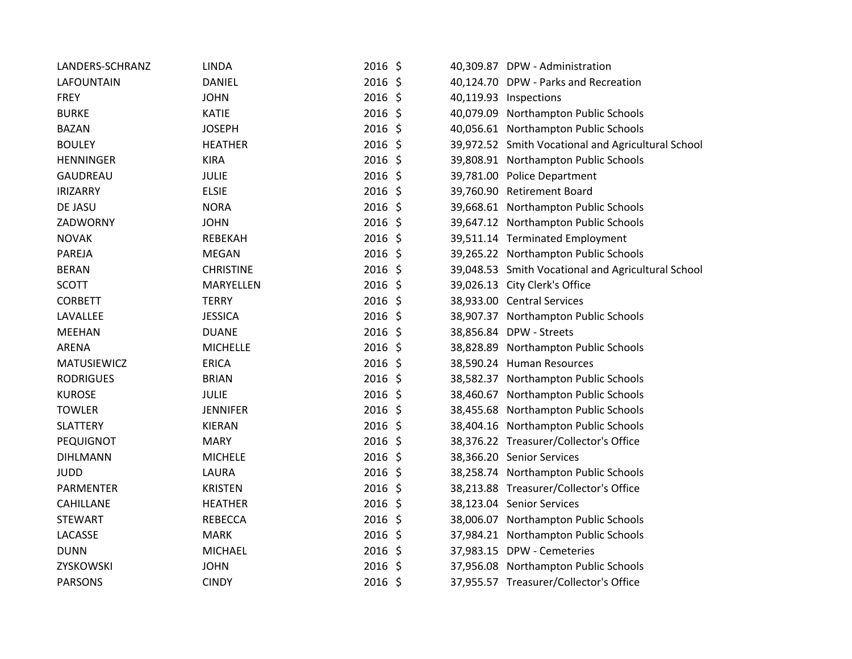| LANDERS-SCHRANZ    | <b>LINDA</b>     | 2016 \$   | 40,309.87 DPW - Administration                     |
|--------------------|------------------|-----------|----------------------------------------------------|
| <b>LAFOUNTAIN</b>  | <b>DANIEL</b>    | 2016 \$   | 40,124.70 DPW - Parks and Recreation               |
| <b>FREY</b>        | <b>JOHN</b>      | 2016 \$   | 40,119.93 Inspections                              |
| <b>BURKE</b>       | <b>KATIE</b>     | $2016$ \$ | 40,079.09 Northampton Public Schools               |
| <b>BAZAN</b>       | <b>JOSEPH</b>    | $2016$ \$ | 40,056.61 Northampton Public Schools               |
| <b>BOULEY</b>      | <b>HEATHER</b>   | 2016 \$   | 39,972.52 Smith Vocational and Agricultural School |
| <b>HENNINGER</b>   | <b>KIRA</b>      | $2016$ \$ | 39,808.91 Northampton Public Schools               |
| <b>GAUDREAU</b>    | <b>JULIE</b>     | 2016 \$   | 39,781.00 Police Department                        |
| <b>IRIZARRY</b>    | <b>ELSIE</b>     | $2016$ \$ | 39,760.90 Retirement Board                         |
| DE JASU            | <b>NORA</b>      | 2016 \$   | 39,668.61 Northampton Public Schools               |
| ZADWORNY           | <b>JOHN</b>      | 2016 \$   | 39,647.12 Northampton Public Schools               |
| <b>NOVAK</b>       | REBEKAH          | $2016$ \$ | 39,511.14 Terminated Employment                    |
| PAREJA             | <b>MEGAN</b>     | 2016 \$   | 39,265.22 Northampton Public Schools               |
| <b>BERAN</b>       | <b>CHRISTINE</b> | $2016$ \$ | 39,048.53 Smith Vocational and Agricultural School |
| <b>SCOTT</b>       | MARYELLEN        | 2016 \$   | 39,026.13 City Clerk's Office                      |
| <b>CORBETT</b>     | <b>TERRY</b>     | 2016 \$   | 38,933.00 Central Services                         |
| LAVALLEE           | <b>JESSICA</b>   | $2016$ \$ | 38,907.37 Northampton Public Schools               |
| <b>MEEHAN</b>      | <b>DUANE</b>     | 2016 \$   | 38,856.84 DPW - Streets                            |
| ARENA              | <b>MICHELLE</b>  | $2016$ \$ | 38,828.89 Northampton Public Schools               |
| <b>MATUSIEWICZ</b> | <b>ERICA</b>     | $2016$ \$ | 38,590.24 Human Resources                          |
| <b>RODRIGUES</b>   | <b>BRIAN</b>     | $2016$ \$ | 38,582.37 Northampton Public Schools               |
| <b>KUROSE</b>      | <b>JULIE</b>     | 2016 \$   | 38,460.67 Northampton Public Schools               |
| <b>TOWLER</b>      | <b>JENNIFER</b>  | 2016 \$   | 38,455.68 Northampton Public Schools               |
| <b>SLATTERY</b>    | <b>KIERAN</b>    | $2016$ \$ | 38,404.16 Northampton Public Schools               |
| PEQUIGNOT          | <b>MARY</b>      | 2016 \$   | 38,376.22 Treasurer/Collector's Office             |
| <b>DIHLMANN</b>    | <b>MICHELE</b>   | $2016$ \$ | 38,366.20 Senior Services                          |
| <b>JUDD</b>        | LAURA            | $2016$ \$ | 38,258.74 Northampton Public Schools               |
| <b>PARMENTER</b>   | <b>KRISTEN</b>   | 2016 \$   | 38,213.88 Treasurer/Collector's Office             |
| <b>CAHILLANE</b>   | <b>HEATHER</b>   | $2016$ \$ | 38,123.04 Senior Services                          |
| <b>STEWART</b>     | <b>REBECCA</b>   | 2016 \$   | 38,006.07 Northampton Public Schools               |
| LACASSE            | <b>MARK</b>      | $2016$ \$ | 37,984.21 Northampton Public Schools               |
| <b>DUNN</b>        | <b>MICHAEL</b>   | 2016 \$   | 37,983.15 DPW - Cemeteries                         |
| ZYSKOWSKI          | <b>JOHN</b>      | 2016 \$   | 37,956.08 Northampton Public Schools               |
| <b>PARSONS</b>     | <b>CINDY</b>     | 2016 \$   | 37,955.57 Treasurer/Collector's Office             |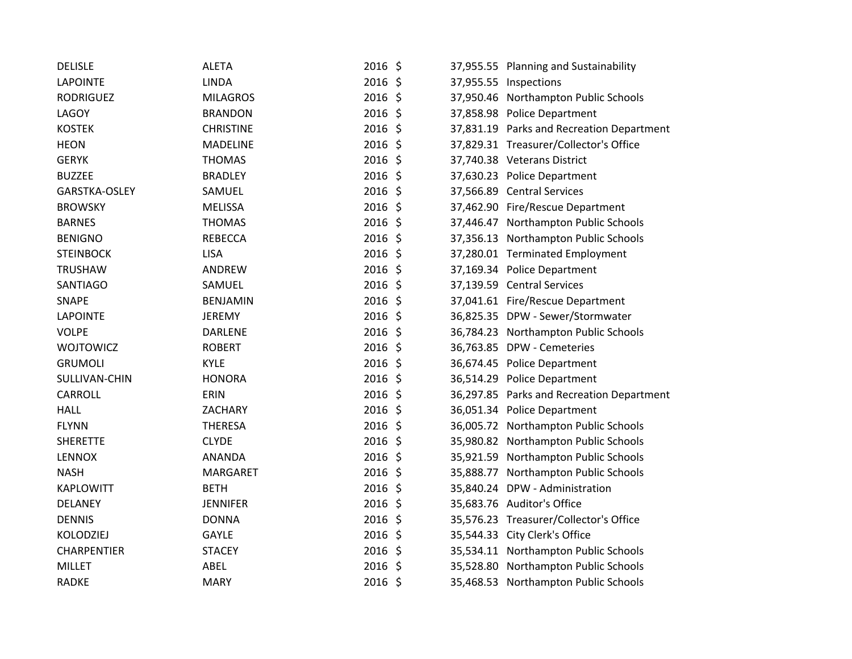| <b>DELISLE</b>       | <b>ALETA</b>     | $2016$ \$ |  | 37,955.55 Planning and Sustainability     |
|----------------------|------------------|-----------|--|-------------------------------------------|
| <b>LAPOINTE</b>      | <b>LINDA</b>     | $2016$ \$ |  | 37,955.55 Inspections                     |
| <b>RODRIGUEZ</b>     | <b>MILAGROS</b>  | 2016 \$   |  | 37,950.46 Northampton Public Schools      |
| LAGOY                | <b>BRANDON</b>   | $2016$ \$ |  | 37,858.98 Police Department               |
| <b>KOSTEK</b>        | <b>CHRISTINE</b> | $2016$ \$ |  | 37,831.19 Parks and Recreation Department |
| <b>HEON</b>          | <b>MADELINE</b>  | $2016$ \$ |  | 37,829.31 Treasurer/Collector's Office    |
| <b>GERYK</b>         | <b>THOMAS</b>    | $2016$ \$ |  | 37,740.38 Veterans District               |
| <b>BUZZEE</b>        | <b>BRADLEY</b>   | 2016 \$   |  | 37,630.23 Police Department               |
| <b>GARSTKA-OSLEY</b> | SAMUEL           | $2016$ \$ |  | 37,566.89 Central Services                |
| <b>BROWSKY</b>       | <b>MELISSA</b>   | $2016$ \$ |  | 37,462.90 Fire/Rescue Department          |
| <b>BARNES</b>        | <b>THOMAS</b>    | $2016$ \$ |  | 37,446.47 Northampton Public Schools      |
| <b>BENIGNO</b>       | <b>REBECCA</b>   | $2016$ \$ |  | 37,356.13 Northampton Public Schools      |
| <b>STEINBOCK</b>     | <b>LISA</b>      | $2016$ \$ |  | 37,280.01 Terminated Employment           |
| <b>TRUSHAW</b>       | ANDREW           | $2016$ \$ |  | 37,169.34 Police Department               |
| <b>SANTIAGO</b>      | SAMUEL           | $2016$ \$ |  | 37,139.59 Central Services                |
| SNAPE                | <b>BENJAMIN</b>  | $2016$ \$ |  | 37,041.61 Fire/Rescue Department          |
| <b>LAPOINTE</b>      | <b>JEREMY</b>    | $2016$ \$ |  | 36,825.35 DPW - Sewer/Stormwater          |
| <b>VOLPE</b>         | <b>DARLENE</b>   | $2016$ \$ |  | 36,784.23 Northampton Public Schools      |
| <b>WOJTOWICZ</b>     | <b>ROBERT</b>    | $2016$ \$ |  | 36,763.85 DPW - Cemeteries                |
| <b>GRUMOLI</b>       | <b>KYLE</b>      | $2016$ \$ |  | 36,674.45 Police Department               |
| SULLIVAN-CHIN        | <b>HONORA</b>    | $2016$ \$ |  | 36,514.29 Police Department               |
| CARROLL              | ERIN             | $2016$ \$ |  | 36,297.85 Parks and Recreation Department |
| <b>HALL</b>          | ZACHARY          | $2016$ \$ |  | 36,051.34 Police Department               |
| <b>FLYNN</b>         | <b>THERESA</b>   | $2016$ \$ |  | 36,005.72 Northampton Public Schools      |
| <b>SHERETTE</b>      | <b>CLYDE</b>     | $2016$ \$ |  | 35,980.82 Northampton Public Schools      |
| <b>LENNOX</b>        | <b>ANANDA</b>    | $2016$ \$ |  | 35,921.59 Northampton Public Schools      |
| <b>NASH</b>          | MARGARET         | $2016$ \$ |  | 35,888.77 Northampton Public Schools      |
| <b>KAPLOWITT</b>     | <b>BETH</b>      | $2016$ \$ |  | 35,840.24 DPW - Administration            |
| <b>DELANEY</b>       | <b>JENNIFER</b>  | $2016$ \$ |  | 35,683.76 Auditor's Office                |
| <b>DENNIS</b>        | <b>DONNA</b>     | $2016$ \$ |  | 35,576.23 Treasurer/Collector's Office    |
| <b>KOLODZIEJ</b>     | <b>GAYLE</b>     | $2016$ \$ |  | 35,544.33 City Clerk's Office             |
| <b>CHARPENTIER</b>   | <b>STACEY</b>    | 2016 \$   |  | 35,534.11 Northampton Public Schools      |
| <b>MILLET</b>        | ABEL             | $2016$ \$ |  | 35,528.80 Northampton Public Schools      |
| <b>RADKE</b>         | <b>MARY</b>      | 2016 \$   |  | 35,468.53 Northampton Public Schools      |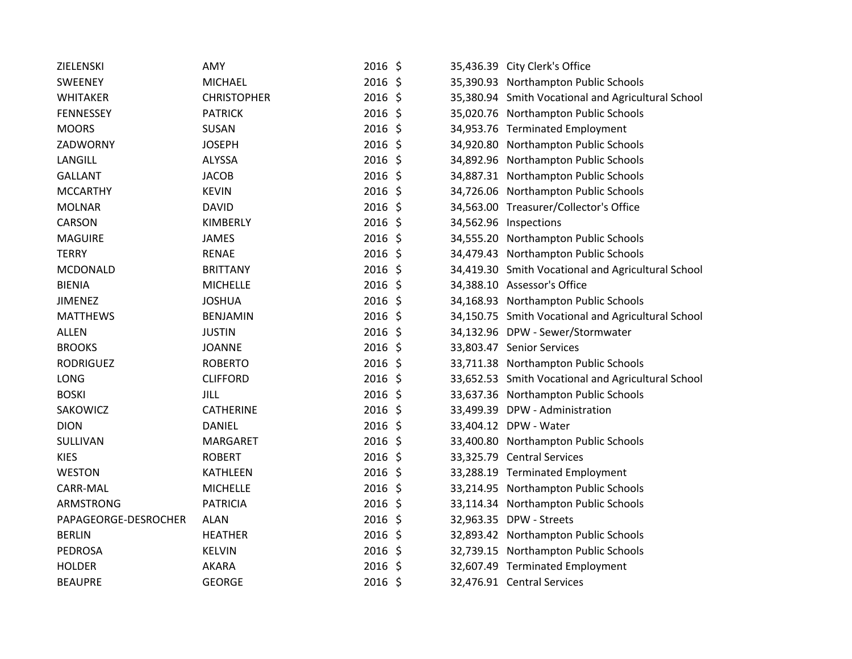| <b>ZIELENSKI</b>     | AMY                | 2016 \$   | 35,436.39 City Clerk's Office                      |
|----------------------|--------------------|-----------|----------------------------------------------------|
| <b>SWEENEY</b>       | <b>MICHAEL</b>     | $2016$ \$ | 35,390.93 Northampton Public Schools               |
| <b>WHITAKER</b>      | <b>CHRISTOPHER</b> | $2016$ \$ | 35,380.94 Smith Vocational and Agricultural School |
| <b>FENNESSEY</b>     | <b>PATRICK</b>     | $2016$ \$ | 35,020.76 Northampton Public Schools               |
| <b>MOORS</b>         | SUSAN              | $2016$ \$ | 34,953.76 Terminated Employment                    |
| ZADWORNY             | <b>JOSEPH</b>      | $2016$ \$ | 34,920.80 Northampton Public Schools               |
| LANGILL              | ALYSSA             | 2016 \$   | 34,892.96 Northampton Public Schools               |
| <b>GALLANT</b>       | <b>JACOB</b>       | $2016$ \$ | 34,887.31 Northampton Public Schools               |
| <b>MCCARTHY</b>      | <b>KEVIN</b>       | $2016$ \$ | 34,726.06 Northampton Public Schools               |
| <b>MOLNAR</b>        | <b>DAVID</b>       | $2016$ \$ | 34,563.00 Treasurer/Collector's Office             |
| <b>CARSON</b>        | KIMBERLY           | $2016$ \$ | 34,562.96 Inspections                              |
| <b>MAGUIRE</b>       | <b>JAMES</b>       | $2016$ \$ | 34,555.20 Northampton Public Schools               |
| <b>TERRY</b>         | <b>RENAE</b>       | $2016$ \$ | 34,479.43 Northampton Public Schools               |
| <b>MCDONALD</b>      | <b>BRITTANY</b>    | 2016 \$   | 34,419.30 Smith Vocational and Agricultural School |
| <b>BIENIA</b>        | <b>MICHELLE</b>    | $2016$ \$ | 34,388.10 Assessor's Office                        |
| <b>JIMENEZ</b>       | <b>JOSHUA</b>      | $2016$ \$ | 34,168.93 Northampton Public Schools               |
| <b>MATTHEWS</b>      | <b>BENJAMIN</b>    | $2016$ \$ | 34,150.75 Smith Vocational and Agricultural School |
| <b>ALLEN</b>         | <b>JUSTIN</b>      | $2016$ \$ | 34,132.96 DPW - Sewer/Stormwater                   |
| <b>BROOKS</b>        | <b>JOANNE</b>      | $2016$ \$ | 33,803.47 Senior Services                          |
| <b>RODRIGUEZ</b>     | <b>ROBERTO</b>     | $2016$ \$ | 33,711.38 Northampton Public Schools               |
| LONG                 | <b>CLIFFORD</b>    | $2016$ \$ | 33,652.53 Smith Vocational and Agricultural School |
| <b>BOSKI</b>         | JILL               | $2016$ \$ | 33,637.36 Northampton Public Schools               |
| SAKOWICZ             | <b>CATHERINE</b>   | $2016$ \$ | 33,499.39 DPW - Administration                     |
| <b>DION</b>          | <b>DANIEL</b>      | $2016$ \$ | 33,404.12 DPW - Water                              |
| SULLIVAN             | <b>MARGARET</b>    | $2016$ \$ | 33,400.80 Northampton Public Schools               |
| <b>KIES</b>          | <b>ROBERT</b>      | $2016$ \$ | 33,325.79 Central Services                         |
| <b>WESTON</b>        | <b>KATHLEEN</b>    | $2016$ \$ | 33,288.19 Terminated Employment                    |
| <b>CARR-MAL</b>      | <b>MICHELLE</b>    | $2016$ \$ | 33,214.95 Northampton Public Schools               |
| <b>ARMSTRONG</b>     | <b>PATRICIA</b>    | $2016$ \$ | 33,114.34 Northampton Public Schools               |
| PAPAGEORGE-DESROCHER | <b>ALAN</b>        | $2016$ \$ | 32,963.35 DPW - Streets                            |
| <b>BERLIN</b>        | <b>HEATHER</b>     | $2016$ \$ | 32,893.42 Northampton Public Schools               |
| <b>PEDROSA</b>       | <b>KELVIN</b>      | $2016$ \$ | 32,739.15 Northampton Public Schools               |
| <b>HOLDER</b>        | <b>AKARA</b>       | $2016$ \$ | 32,607.49 Terminated Employment                    |
| <b>BEAUPRE</b>       | <b>GEORGE</b>      | 2016 \$   | 32,476.91 Central Services                         |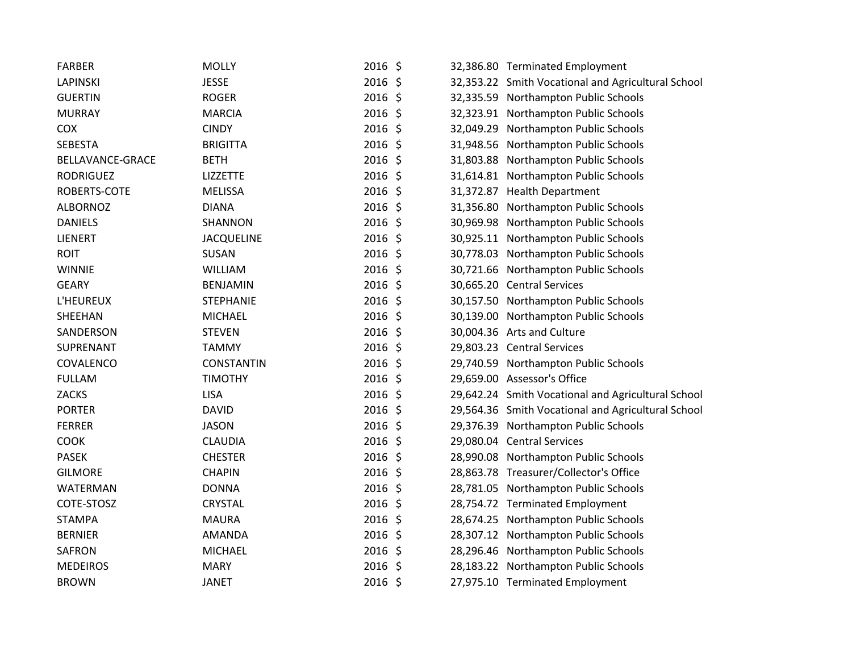| <b>MOLLY</b>      | $2016$ \$ | 32,386.80 Terminated Employment                    |
|-------------------|-----------|----------------------------------------------------|
| <b>JESSE</b>      | 2016 \$   | 32,353.22 Smith Vocational and Agricultural School |
| <b>ROGER</b>      | $2016$ \$ | 32,335.59 Northampton Public Schools               |
| <b>MARCIA</b>     | 2016 \$   | 32,323.91 Northampton Public Schools               |
| <b>CINDY</b>      | $2016$ \$ | 32,049.29 Northampton Public Schools               |
| <b>BRIGITTA</b>   | 2016 \$   | 31,948.56 Northampton Public Schools               |
| <b>BETH</b>       | 2016 \$   | 31,803.88 Northampton Public Schools               |
| <b>LIZZETTE</b>   | 2016 \$   | 31,614.81 Northampton Public Schools               |
| <b>MELISSA</b>    | 2016 \$   | 31,372.87 Health Department                        |
| <b>DIANA</b>      | 2016 \$   | 31,356.80 Northampton Public Schools               |
| <b>SHANNON</b>    | 2016 \$   | 30,969.98 Northampton Public Schools               |
| <b>JACQUELINE</b> | 2016 \$   | 30,925.11 Northampton Public Schools               |
| <b>SUSAN</b>      | 2016 \$   | 30,778.03 Northampton Public Schools               |
| <b>WILLIAM</b>    | 2016 \$   | 30,721.66 Northampton Public Schools               |
| <b>BENJAMIN</b>   | 2016 \$   | 30,665.20 Central Services                         |
| <b>STEPHANIE</b>  | 2016 \$   | 30,157.50 Northampton Public Schools               |
| <b>MICHAEL</b>    | 2016 \$   | 30,139.00 Northampton Public Schools               |
| <b>STEVEN</b>     | $2016$ \$ | 30,004.36 Arts and Culture                         |
| <b>TAMMY</b>      | 2016 \$   | 29,803.23 Central Services                         |
| <b>CONSTANTIN</b> | 2016 \$   | 29,740.59 Northampton Public Schools               |
| <b>TIMOTHY</b>    | 2016 \$   | 29,659.00 Assessor's Office                        |
| <b>LISA</b>       | $2016$ \$ | 29,642.24 Smith Vocational and Agricultural School |
| <b>DAVID</b>      | 2016 \$   | 29,564.36 Smith Vocational and Agricultural School |
| <b>JASON</b>      | 2016 \$   | 29,376.39 Northampton Public Schools               |
| <b>CLAUDIA</b>    | 2016 \$   | 29,080.04 Central Services                         |
| <b>CHESTER</b>    | $2016$ \$ | 28,990.08 Northampton Public Schools               |
| <b>CHAPIN</b>     | 2016 \$   | 28,863.78 Treasurer/Collector's Office             |
| <b>DONNA</b>      | $2016$ \$ | 28,781.05 Northampton Public Schools               |
| <b>CRYSTAL</b>    | $2016$ \$ | 28,754.72 Terminated Employment                    |
| <b>MAURA</b>      | $2016$ \$ | 28,674.25 Northampton Public Schools               |
| <b>AMANDA</b>     | 2016 \$   | 28,307.12 Northampton Public Schools               |
| <b>MICHAEL</b>    | $2016$ \$ | 28,296.46 Northampton Public Schools               |
| <b>MARY</b>       | 2016 \$   | 28,183.22 Northampton Public Schools               |
| <b>JANET</b>      | 2016 \$   | 27,975.10 Terminated Employment                    |
|                   |           |                                                    |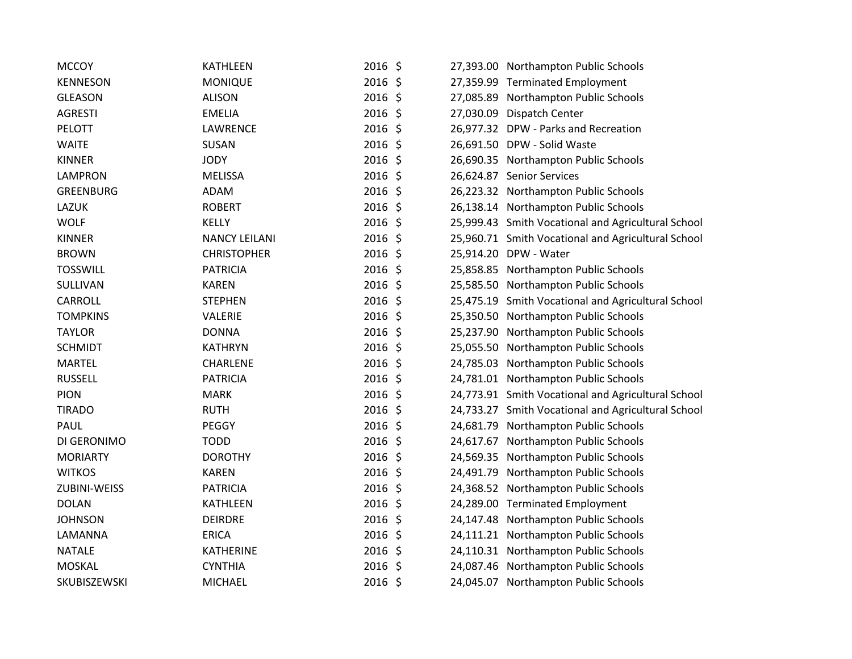| <b>MCCOY</b>     | <b>KATHLEEN</b>      | $2016$ \$ | 27,393.00 Northampton Public Schools               |
|------------------|----------------------|-----------|----------------------------------------------------|
| <b>KENNESON</b>  | <b>MONIQUE</b>       | 2016 \$   | 27,359.99 Terminated Employment                    |
| <b>GLEASON</b>   | <b>ALISON</b>        | 2016 \$   | 27,085.89 Northampton Public Schools               |
| <b>AGRESTI</b>   | <b>EMELIA</b>        | 2016 \$   | 27,030.09 Dispatch Center                          |
| PELOTT           | LAWRENCE             | 2016 \$   | 26,977.32 DPW - Parks and Recreation               |
| <b>WAITE</b>     | <b>SUSAN</b>         | 2016 \$   | 26,691.50 DPW - Solid Waste                        |
| <b>KINNER</b>    | <b>JODY</b>          | $2016$ \$ | 26,690.35 Northampton Public Schools               |
| <b>LAMPRON</b>   | <b>MELISSA</b>       | $2016$ \$ | 26,624.87 Senior Services                          |
| <b>GREENBURG</b> | <b>ADAM</b>          | 2016 \$   | 26,223.32 Northampton Public Schools               |
| LAZUK            | <b>ROBERT</b>        | 2016 \$   | 26,138.14 Northampton Public Schools               |
| <b>WOLF</b>      | <b>KELLY</b>         | 2016 \$   | 25,999.43 Smith Vocational and Agricultural School |
| <b>KINNER</b>    | <b>NANCY LEILANI</b> | $2016$ \$ | 25,960.71 Smith Vocational and Agricultural School |
| <b>BROWN</b>     | <b>CHRISTOPHER</b>   | 2016 \$   | 25,914.20 DPW - Water                              |
| <b>TOSSWILL</b>  | <b>PATRICIA</b>      | $2016$ \$ | 25,858.85 Northampton Public Schools               |
| SULLIVAN         | <b>KAREN</b>         | $2016$ \$ | 25,585.50 Northampton Public Schools               |
| CARROLL          | <b>STEPHEN</b>       | $2016$ \$ | 25,475.19 Smith Vocational and Agricultural School |
| <b>TOMPKINS</b>  | VALERIE              | 2016 \$   | 25,350.50 Northampton Public Schools               |
| <b>TAYLOR</b>    | <b>DONNA</b>         | 2016 \$   | 25,237.90 Northampton Public Schools               |
| <b>SCHMIDT</b>   | <b>KATHRYN</b>       | $2016$ \$ | 25,055.50 Northampton Public Schools               |
| <b>MARTEL</b>    | <b>CHARLENE</b>      | $2016$ \$ | 24,785.03 Northampton Public Schools               |
| <b>RUSSELL</b>   | <b>PATRICIA</b>      | 2016 \$   | 24,781.01 Northampton Public Schools               |
| <b>PION</b>      | <b>MARK</b>          | 2016 \$   | 24,773.91 Smith Vocational and Agricultural School |
| <b>TIRADO</b>    | <b>RUTH</b>          | $2016$ \$ | 24,733.27 Smith Vocational and Agricultural School |
| <b>PAUL</b>      | PEGGY                | $2016$ \$ | 24,681.79 Northampton Public Schools               |
| DI GERONIMO      | <b>TODD</b>          | $2016$ \$ | 24,617.67 Northampton Public Schools               |
| <b>MORIARTY</b>  | <b>DOROTHY</b>       | 2016 \$   | 24,569.35 Northampton Public Schools               |
| <b>WITKOS</b>    | <b>KAREN</b>         | $2016$ \$ | 24,491.79 Northampton Public Schools               |
| ZUBINI-WEISS     | <b>PATRICIA</b>      | $2016$ \$ | 24,368.52 Northampton Public Schools               |
| <b>DOLAN</b>     | <b>KATHLEEN</b>      | 2016 \$   | 24,289.00 Terminated Employment                    |
| <b>JOHNSON</b>   | <b>DEIRDRE</b>       | $2016$ \$ | 24,147.48 Northampton Public Schools               |
| LAMANNA          | <b>ERICA</b>         | 2016 \$   | 24,111.21 Northampton Public Schools               |
| <b>NATALE</b>    | <b>KATHERINE</b>     | $2016$ \$ | 24,110.31 Northampton Public Schools               |
| <b>MOSKAL</b>    | <b>CYNTHIA</b>       | 2016 \$   | 24,087.46 Northampton Public Schools               |
| SKUBISZEWSKI     | <b>MICHAEL</b>       | $2016$ \$ | 24,045.07 Northampton Public Schools               |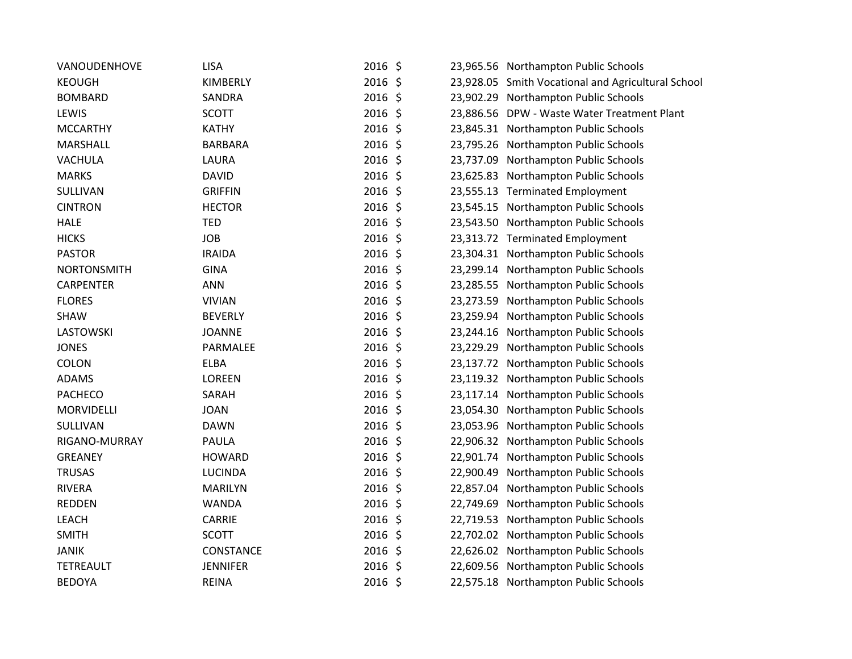| VANOUDENHOVE       | <b>LISA</b>     | 2016 \$   | 23,965.56 Northampton Public Schools               |
|--------------------|-----------------|-----------|----------------------------------------------------|
| <b>KEOUGH</b>      | KIMBERLY        | 2016 \$   | 23,928.05 Smith Vocational and Agricultural School |
| <b>BOMBARD</b>     | SANDRA          | 2016 \$   | 23,902.29 Northampton Public Schools               |
| LEWIS              | <b>SCOTT</b>    | $2016$ \$ | 23,886.56 DPW - Waste Water Treatment Plant        |
| <b>MCCARTHY</b>    | <b>KATHY</b>    | $2016$ \$ | 23,845.31 Northampton Public Schools               |
| <b>MARSHALL</b>    | <b>BARBARA</b>  | 2016 \$   | 23,795.26 Northampton Public Schools               |
| <b>VACHULA</b>     | LAURA           | 2016 \$   | 23,737.09 Northampton Public Schools               |
| <b>MARKS</b>       | <b>DAVID</b>    | 2016 \$   | 23,625.83 Northampton Public Schools               |
| SULLIVAN           | <b>GRIFFIN</b>  | $2016$ \$ | 23,555.13 Terminated Employment                    |
| <b>CINTRON</b>     | <b>HECTOR</b>   | 2016 \$   | 23,545.15 Northampton Public Schools               |
| <b>HALE</b>        | <b>TED</b>      | 2016 \$   | 23,543.50 Northampton Public Schools               |
| <b>HICKS</b>       | <b>JOB</b>      | 2016 \$   | 23,313.72 Terminated Employment                    |
| <b>PASTOR</b>      | <b>IRAIDA</b>   | 2016 \$   | 23,304.31 Northampton Public Schools               |
| <b>NORTONSMITH</b> | <b>GINA</b>     | 2016 \$   | 23,299.14 Northampton Public Schools               |
| <b>CARPENTER</b>   | <b>ANN</b>      | $2016$ \$ | 23,285.55 Northampton Public Schools               |
| <b>FLORES</b>      | <b>VIVIAN</b>   | 2016 \$   | 23,273.59 Northampton Public Schools               |
| SHAW               | <b>BEVERLY</b>  | 2016 \$   | 23,259.94 Northampton Public Schools               |
| <b>LASTOWSKI</b>   | <b>JOANNE</b>   | 2016 \$   | 23,244.16 Northampton Public Schools               |
| <b>JONES</b>       | PARMALEE        | $2016$ \$ | 23,229.29 Northampton Public Schools               |
| COLON              | <b>ELBA</b>     | 2016 \$   | 23,137.72 Northampton Public Schools               |
| ADAMS              | <b>LOREEN</b>   | $2016$ \$ | 23,119.32 Northampton Public Schools               |
| <b>PACHECO</b>     | SARAH           | 2016 \$   | 23,117.14 Northampton Public Schools               |
| <b>MORVIDELLI</b>  | <b>JOAN</b>     | 2016 \$   | 23,054.30 Northampton Public Schools               |
| SULLIVAN           | <b>DAWN</b>     | 2016 \$   | 23,053.96 Northampton Public Schools               |
| RIGANO-MURRAY      | <b>PAULA</b>    | 2016 \$   | 22,906.32 Northampton Public Schools               |
| <b>GREANEY</b>     | <b>HOWARD</b>   | $2016$ \$ | 22,901.74 Northampton Public Schools               |
| <b>TRUSAS</b>      | <b>LUCINDA</b>  | 2016 \$   | 22,900.49 Northampton Public Schools               |
| <b>RIVERA</b>      | <b>MARILYN</b>  | 2016 \$   | 22,857.04 Northampton Public Schools               |
| <b>REDDEN</b>      | <b>WANDA</b>    | $2016$ \$ | 22,749.69 Northampton Public Schools               |
| LEACH              | CARRIE          | 2016 \$   | 22,719.53 Northampton Public Schools               |
| <b>SMITH</b>       | <b>SCOTT</b>    | 2016 \$   | 22,702.02 Northampton Public Schools               |
| <b>JANIK</b>       | CONSTANCE       | 2016 \$   | 22,626.02 Northampton Public Schools               |
| <b>TETREAULT</b>   | <b>JENNIFER</b> | 2016 \$   | 22,609.56 Northampton Public Schools               |
| <b>BEDOYA</b>      | <b>REINA</b>    | 2016 \$   | 22,575.18 Northampton Public Schools               |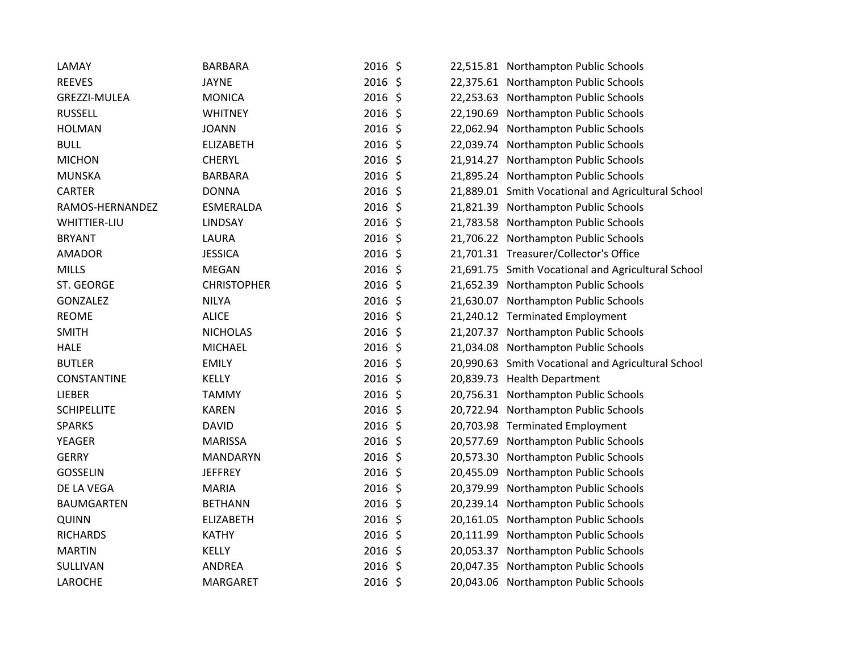| LAMAY               | <b>BARBARA</b>     | 2016 \$   | 22,515.81 Northampton Public Schools               |  |
|---------------------|--------------------|-----------|----------------------------------------------------|--|
| <b>REEVES</b>       | <b>JAYNE</b>       | 2016 \$   | 22,375.61 Northampton Public Schools               |  |
| <b>GREZZI-MULEA</b> | <b>MONICA</b>      | 2016 \$   | 22,253.63 Northampton Public Schools               |  |
| <b>RUSSELL</b>      | <b>WHITNEY</b>     | $2016$ \$ | 22,190.69 Northampton Public Schools               |  |
| <b>HOLMAN</b>       | <b>JOANN</b>       | $2016$ \$ | 22,062.94 Northampton Public Schools               |  |
| <b>BULL</b>         | <b>ELIZABETH</b>   | 2016 \$   | 22,039.74 Northampton Public Schools               |  |
| <b>MICHON</b>       | <b>CHERYL</b>      | 2016 \$   | 21,914.27 Northampton Public Schools               |  |
| <b>MUNSKA</b>       | <b>BARBARA</b>     | 2016 \$   | 21,895.24 Northampton Public Schools               |  |
| <b>CARTER</b>       | <b>DONNA</b>       | $2016$ \$ | 21,889.01 Smith Vocational and Agricultural School |  |
| RAMOS-HERNANDEZ     | ESMERALDA          | $2016$ \$ | 21,821.39 Northampton Public Schools               |  |
| <b>WHITTIER-LIU</b> | <b>LINDSAY</b>     | $2016$ \$ | 21,783.58 Northampton Public Schools               |  |
| <b>BRYANT</b>       | LAURA              | 2016 \$   | 21,706.22 Northampton Public Schools               |  |
| <b>AMADOR</b>       | <b>JESSICA</b>     | 2016 \$   | 21,701.31 Treasurer/Collector's Office             |  |
| <b>MILLS</b>        | <b>MEGAN</b>       | $2016$ \$ | 21,691.75 Smith Vocational and Agricultural School |  |
| ST. GEORGE          | <b>CHRISTOPHER</b> | $2016$ \$ | 21,652.39 Northampton Public Schools               |  |
| <b>GONZALEZ</b>     | <b>NILYA</b>       | 2016 \$   | 21,630.07 Northampton Public Schools               |  |
| <b>REOME</b>        | <b>ALICE</b>       | 2016 \$   | 21,240.12 Terminated Employment                    |  |
| <b>SMITH</b>        | <b>NICHOLAS</b>    | 2016 \$   | 21,207.37 Northampton Public Schools               |  |
| <b>HALE</b>         | <b>MICHAEL</b>     | $2016$ \$ | 21,034.08 Northampton Public Schools               |  |
| <b>BUTLER</b>       | <b>EMILY</b>       | 2016 \$   | 20,990.63 Smith Vocational and Agricultural School |  |
| <b>CONSTANTINE</b>  | <b>KELLY</b>       | $2016$ \$ | 20,839.73 Health Department                        |  |
| LIEBER              | <b>TAMMY</b>       | 2016 \$   | 20,756.31 Northampton Public Schools               |  |
| <b>SCHIPELLITE</b>  | <b>KAREN</b>       | 2016 \$   | 20,722.94 Northampton Public Schools               |  |
| <b>SPARKS</b>       | <b>DAVID</b>       | 2016 \$   | 20,703.98 Terminated Employment                    |  |
| YEAGER              | <b>MARISSA</b>     | 2016 \$   | 20,577.69 Northampton Public Schools               |  |
| <b>GERRY</b>        | <b>MANDARYN</b>    | $2016$ \$ | 20,573.30 Northampton Public Schools               |  |
| <b>GOSSELIN</b>     | <b>JEFFREY</b>     | 2016 \$   | 20,455.09 Northampton Public Schools               |  |
| DE LA VEGA          | <b>MARIA</b>       | 2016 \$   | 20,379.99 Northampton Public Schools               |  |
| <b>BAUMGARTEN</b>   | <b>BETHANN</b>     | $2016$ \$ | 20,239.14 Northampton Public Schools               |  |
| <b>QUINN</b>        | <b>ELIZABETH</b>   | 2016 \$   | 20,161.05 Northampton Public Schools               |  |
| <b>RICHARDS</b>     | <b>KATHY</b>       | $2016$ \$ | 20,111.99 Northampton Public Schools               |  |
| <b>MARTIN</b>       | <b>KELLY</b>       | 2016 \$   | 20,053.37 Northampton Public Schools               |  |
| SULLIVAN            | <b>ANDREA</b>      | $2016$ \$ | 20,047.35 Northampton Public Schools               |  |
| LAROCHE             | <b>MARGARET</b>    | 2016 \$   | 20,043.06 Northampton Public Schools               |  |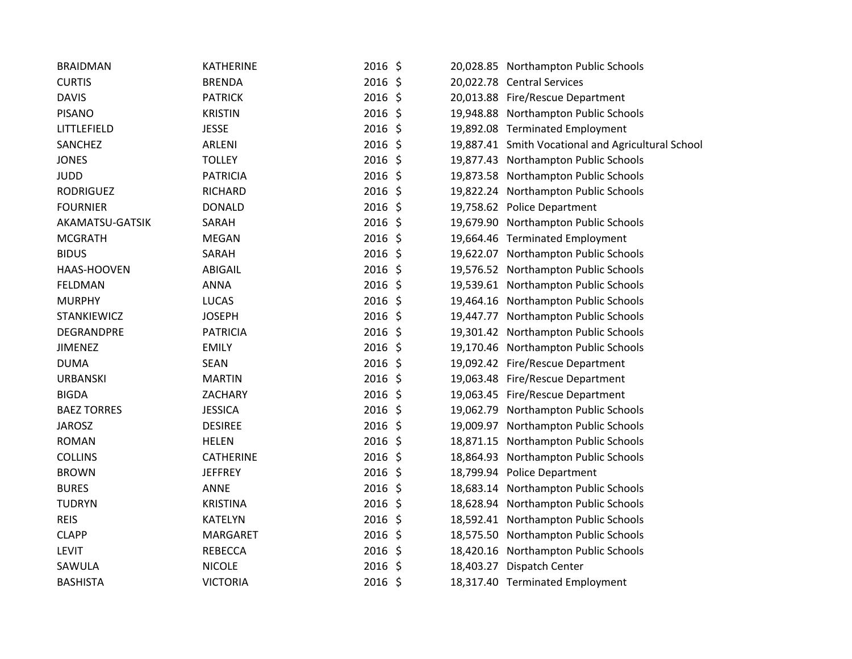| <b>BRAIDMAN</b>    | <b>KATHERINE</b> | 2016 \$   | 20,028.85 Northampton Public Schools               |
|--------------------|------------------|-----------|----------------------------------------------------|
| <b>CURTIS</b>      | <b>BRENDA</b>    | $2016$ \$ | 20,022.78 Central Services                         |
| <b>DAVIS</b>       | <b>PATRICK</b>   | 2016 \$   | 20,013.88 Fire/Rescue Department                   |
| <b>PISANO</b>      | <b>KRISTIN</b>   | 2016 \$   | 19,948.88 Northampton Public Schools               |
| LITTLEFIELD        | <b>JESSE</b>     | $2016$ \$ | 19,892.08 Terminated Employment                    |
| SANCHEZ            | <b>ARLENI</b>    | 2016 \$   | 19,887.41 Smith Vocational and Agricultural School |
| <b>JONES</b>       | <b>TOLLEY</b>    | $2016$ \$ | 19,877.43 Northampton Public Schools               |
| <b>JUDD</b>        | <b>PATRICIA</b>  | 2016 \$   | 19,873.58 Northampton Public Schools               |
| <b>RODRIGUEZ</b>   | <b>RICHARD</b>   | 2016 \$   | 19,822.24 Northampton Public Schools               |
| <b>FOURNIER</b>    | <b>DONALD</b>    | $2016$ \$ | 19,758.62 Police Department                        |
| AKAMATSU-GATSIK    | SARAH            | $2016$ \$ | 19,679.90 Northampton Public Schools               |
| <b>MCGRATH</b>     | <b>MEGAN</b>     | 2016 \$   | 19,664.46 Terminated Employment                    |
| <b>BIDUS</b>       | SARAH            | 2016 \$   | 19,622.07 Northampton Public Schools               |
| HAAS-HOOVEN        | ABIGAIL          | 2016 \$   | 19,576.52 Northampton Public Schools               |
| <b>FELDMAN</b>     | <b>ANNA</b>      | 2016 \$   | 19,539.61 Northampton Public Schools               |
| <b>MURPHY</b>      | <b>LUCAS</b>     | 2016 \$   | 19,464.16 Northampton Public Schools               |
| STANKIEWICZ        | <b>JOSEPH</b>    | 2016 \$   | 19,447.77 Northampton Public Schools               |
| DEGRANDPRE         | <b>PATRICIA</b>  | 2016 \$   | 19,301.42 Northampton Public Schools               |
| <b>JIMENEZ</b>     | <b>EMILY</b>     | $2016$ \$ | 19,170.46 Northampton Public Schools               |
| <b>DUMA</b>        | <b>SEAN</b>      | 2016 \$   | 19,092.42 Fire/Rescue Department                   |
| <b>URBANSKI</b>    | <b>MARTIN</b>    | $2016$ \$ | 19,063.48 Fire/Rescue Department                   |
| <b>BIGDA</b>       | ZACHARY          | 2016 \$   | 19,063.45 Fire/Rescue Department                   |
| <b>BAEZ TORRES</b> | <b>JESSICA</b>   | 2016 \$   | 19,062.79 Northampton Public Schools               |
| <b>JAROSZ</b>      | <b>DESIREE</b>   | $2016$ \$ | 19,009.97 Northampton Public Schools               |
| <b>ROMAN</b>       | <b>HELEN</b>     | 2016 \$   | 18,871.15 Northampton Public Schools               |
| <b>COLLINS</b>     | <b>CATHERINE</b> | 2016 \$   | 18,864.93 Northampton Public Schools               |
| <b>BROWN</b>       | <b>JEFFREY</b>   | 2016 \$   | 18,799.94 Police Department                        |
| <b>BURES</b>       | <b>ANNE</b>      | 2016 \$   | 18,683.14 Northampton Public Schools               |
| <b>TUDRYN</b>      | <b>KRISTINA</b>  | $2016$ \$ | 18,628.94 Northampton Public Schools               |
| <b>REIS</b>        | <b>KATELYN</b>   | $2016$ \$ | 18,592.41 Northampton Public Schools               |
| <b>CLAPP</b>       | MARGARET         | 2016 \$   | 18,575.50 Northampton Public Schools               |
| <b>LEVIT</b>       | <b>REBECCA</b>   | 2016 \$   | 18,420.16 Northampton Public Schools               |
| SAWULA             | <b>NICOLE</b>    | $2016$ \$ | 18,403.27 Dispatch Center                          |
| <b>BASHISTA</b>    | <b>VICTORIA</b>  | 2016 \$   | 18,317.40 Terminated Employment                    |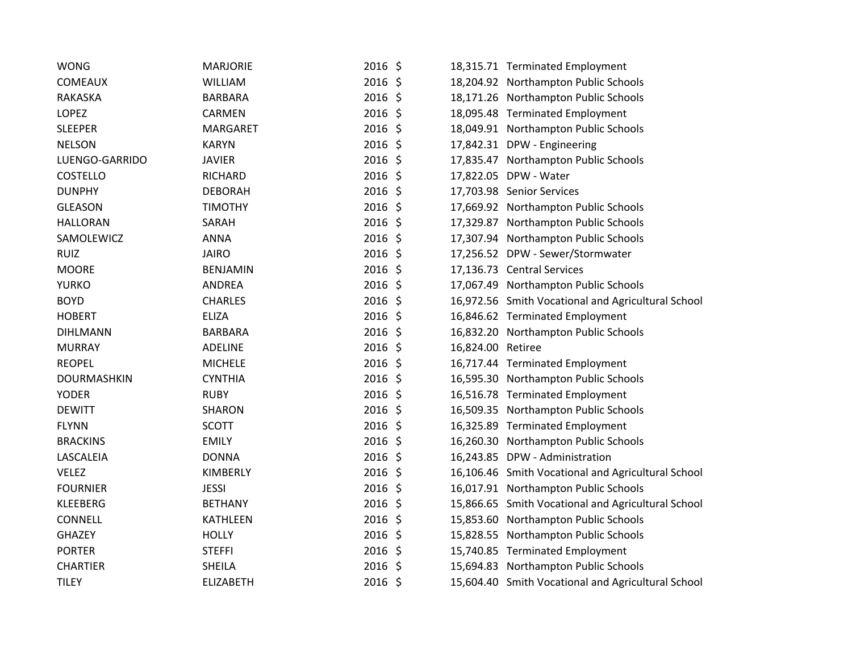| <b>WONG</b>        | <b>MARJORIE</b>  | 2016 \$   |                   |                                                    |
|--------------------|------------------|-----------|-------------------|----------------------------------------------------|
|                    |                  |           |                   | 18,315.71 Terminated Employment                    |
| <b>COMEAUX</b>     | <b>WILLIAM</b>   | 2016 \$   |                   | 18,204.92 Northampton Public Schools               |
| RAKASKA            | <b>BARBARA</b>   | $2016$ \$ |                   | 18,171.26 Northampton Public Schools               |
| LOPEZ              | CARMEN           | 2016 \$   |                   | 18,095.48 Terminated Employment                    |
| <b>SLEEPER</b>     | <b>MARGARET</b>  | 2016 \$   |                   | 18,049.91 Northampton Public Schools               |
| <b>NELSON</b>      | <b>KARYN</b>     | 2016 \$   |                   | 17,842.31 DPW - Engineering                        |
| LUENGO-GARRIDO     | <b>JAVIER</b>    | $2016$ \$ |                   | 17,835.47 Northampton Public Schools               |
| <b>COSTELLO</b>    | <b>RICHARD</b>   | 2016 \$   |                   | 17,822.05 DPW - Water                              |
| <b>DUNPHY</b>      | <b>DEBORAH</b>   | $2016$ \$ |                   | 17,703.98 Senior Services                          |
| <b>GLEASON</b>     | <b>TIMOTHY</b>   | 2016 \$   |                   | 17,669.92 Northampton Public Schools               |
| <b>HALLORAN</b>    | SARAH            | 2016 \$   |                   | 17,329.87 Northampton Public Schools               |
| SAMOLEWICZ         | <b>ANNA</b>      | $2016$ \$ |                   | 17,307.94 Northampton Public Schools               |
| <b>RUIZ</b>        | <b>JAIRO</b>     | $2016$ \$ |                   | 17,256.52 DPW - Sewer/Stormwater                   |
| <b>MOORE</b>       | <b>BENJAMIN</b>  | $2016$ \$ |                   | 17,136.73 Central Services                         |
| <b>YURKO</b>       | ANDREA           | $2016$ \$ |                   | 17,067.49 Northampton Public Schools               |
| <b>BOYD</b>        | <b>CHARLES</b>   | $2016$ \$ |                   | 16,972.56 Smith Vocational and Agricultural School |
| <b>HOBERT</b>      | <b>ELIZA</b>     | $2016$ \$ |                   | 16,846.62 Terminated Employment                    |
| <b>DIHLMANN</b>    | <b>BARBARA</b>   | 2016 \$   |                   | 16,832.20 Northampton Public Schools               |
| <b>MURRAY</b>      | <b>ADELINE</b>   | 2016 \$   | 16,824.00 Retiree |                                                    |
| <b>REOPEL</b>      | <b>MICHELE</b>   | $2016$ \$ |                   | 16,717.44 Terminated Employment                    |
| <b>DOURMASHKIN</b> | <b>CYNTHIA</b>   | 2016 \$   |                   | 16,595.30 Northampton Public Schools               |
| <b>YODER</b>       | <b>RUBY</b>      | 2016 \$   |                   | 16,516.78 Terminated Employment                    |
| <b>DEWITT</b>      | SHARON           | 2016 \$   |                   | 16,509.35 Northampton Public Schools               |
| <b>FLYNN</b>       | <b>SCOTT</b>     | $2016$ \$ |                   | 16,325.89 Terminated Employment                    |
| <b>BRACKINS</b>    | <b>EMILY</b>     | 2016 \$   |                   | 16,260.30 Northampton Public Schools               |
| LASCALEIA          | <b>DONNA</b>     | $2016$ \$ |                   | 16,243.85 DPW - Administration                     |
| <b>VELEZ</b>       | KIMBERLY         | 2016 \$   |                   | 16,106.46 Smith Vocational and Agricultural School |
| <b>FOURNIER</b>    | <b>JESSI</b>     | $2016$ \$ |                   | 16,017.91 Northampton Public Schools               |
| <b>KLEEBERG</b>    | <b>BETHANY</b>   | 2016 \$   |                   | 15,866.65 Smith Vocational and Agricultural School |
| <b>CONNELL</b>     | <b>KATHLEEN</b>  | $2016$ \$ |                   | 15,853.60 Northampton Public Schools               |
| <b>GHAZEY</b>      | <b>HOLLY</b>     | 2016 \$   |                   | 15,828.55 Northampton Public Schools               |
| <b>PORTER</b>      | <b>STEFFI</b>    | $2016$ \$ |                   | 15,740.85 Terminated Employment                    |
| <b>CHARTIER</b>    | <b>SHEILA</b>    | 2016 \$   |                   | 15,694.83 Northampton Public Schools               |
| <b>TILEY</b>       | <b>ELIZABETH</b> | 2016 \$   |                   | 15,604.40 Smith Vocational and Agricultural School |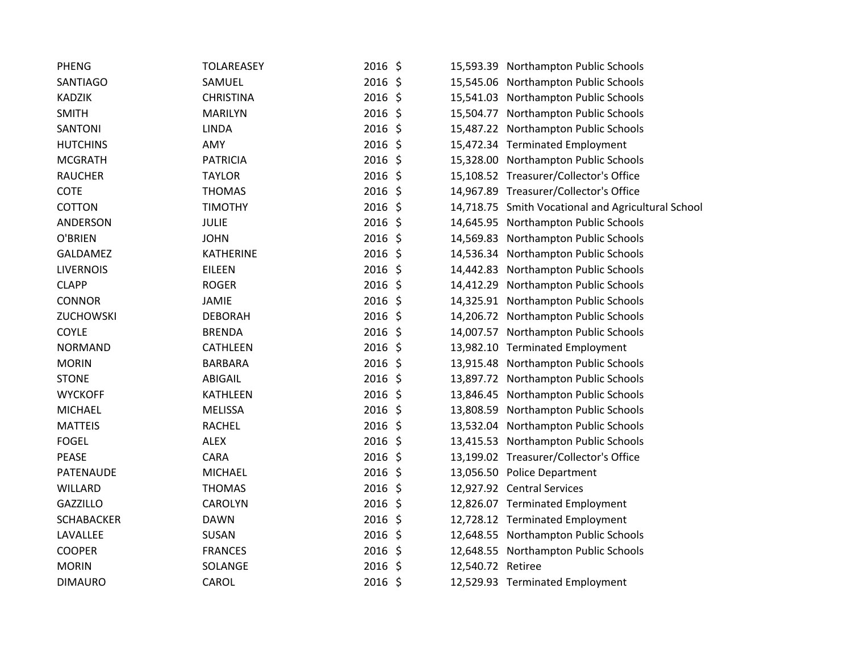| <b>PHENG</b>      | <b>TOLAREASEY</b> | 2016 \$   |                   | 15,593.39 Northampton Public Schools               |
|-------------------|-------------------|-----------|-------------------|----------------------------------------------------|
| SANTIAGO          | SAMUEL            | $2016$ \$ |                   | 15,545.06 Northampton Public Schools               |
| <b>KADZIK</b>     | <b>CHRISTINA</b>  | 2016 \$   |                   | 15,541.03 Northampton Public Schools               |
| <b>SMITH</b>      | <b>MARILYN</b>    | 2016 \$   |                   | 15,504.77 Northampton Public Schools               |
| SANTONI           | <b>LINDA</b>      | $2016$ \$ |                   | 15,487.22 Northampton Public Schools               |
| <b>HUTCHINS</b>   | AMY               | 2016 \$   |                   | 15,472.34 Terminated Employment                    |
| <b>MCGRATH</b>    | <b>PATRICIA</b>   | 2016 \$   |                   | 15,328.00 Northampton Public Schools               |
| <b>RAUCHER</b>    | <b>TAYLOR</b>     | 2016 \$   |                   | 15,108.52 Treasurer/Collector's Office             |
| <b>COTE</b>       | <b>THOMAS</b>     | 2016 \$   |                   | 14,967.89 Treasurer/Collector's Office             |
| <b>COTTON</b>     | <b>TIMOTHY</b>    | 2016 \$   |                   | 14,718.75 Smith Vocational and Agricultural School |
| ANDERSON          | <b>JULIE</b>      | $2016$ \$ |                   | 14,645.95 Northampton Public Schools               |
| O'BRIEN           | <b>JOHN</b>       | $2016$ \$ |                   | 14,569.83 Northampton Public Schools               |
| GALDAMEZ          | <b>KATHERINE</b>  | 2016 \$   |                   | 14,536.34 Northampton Public Schools               |
| <b>LIVERNOIS</b>  | EILEEN            | $2016$ \$ |                   | 14,442.83 Northampton Public Schools               |
| <b>CLAPP</b>      | <b>ROGER</b>      | 2016 \$   |                   | 14,412.29 Northampton Public Schools               |
| <b>CONNOR</b>     | <b>JAMIE</b>      | 2016 \$   |                   | 14,325.91 Northampton Public Schools               |
| ZUCHOWSKI         | <b>DEBORAH</b>    | 2016 \$   |                   | 14,206.72 Northampton Public Schools               |
| <b>COYLE</b>      | <b>BRENDA</b>     | 2016 \$   |                   | 14,007.57 Northampton Public Schools               |
| <b>NORMAND</b>    | <b>CATHLEEN</b>   | 2016 \$   |                   | 13,982.10 Terminated Employment                    |
| <b>MORIN</b>      | <b>BARBARA</b>    | $2016$ \$ |                   | 13,915.48 Northampton Public Schools               |
| <b>STONE</b>      | ABIGAIL           | 2016 \$   |                   | 13,897.72 Northampton Public Schools               |
| <b>WYCKOFF</b>    | <b>KATHLEEN</b>   | 2016 \$   |                   | 13,846.45 Northampton Public Schools               |
| <b>MICHAEL</b>    | <b>MELISSA</b>    | $2016$ \$ |                   | 13,808.59 Northampton Public Schools               |
| <b>MATTEIS</b>    | <b>RACHEL</b>     | 2016 \$   |                   | 13,532.04 Northampton Public Schools               |
| <b>FOGEL</b>      | <b>ALEX</b>       | $2016$ \$ |                   | 13,415.53 Northampton Public Schools               |
| <b>PEASE</b>      | <b>CARA</b>       | $2016$ \$ |                   | 13,199.02 Treasurer/Collector's Office             |
| PATENAUDE         | <b>MICHAEL</b>    | $2016$ \$ |                   | 13,056.50 Police Department                        |
| <b>WILLARD</b>    | <b>THOMAS</b>     | 2016 \$   |                   | 12,927.92 Central Services                         |
| <b>GAZZILLO</b>   | CAROLYN           | $2016$ \$ |                   | 12,826.07 Terminated Employment                    |
| <b>SCHABACKER</b> | <b>DAWN</b>       | $2016$ \$ |                   | 12,728.12 Terminated Employment                    |
| LAVALLEE          | SUSAN             | 2016 \$   |                   | 12,648.55 Northampton Public Schools               |
| <b>COOPER</b>     | <b>FRANCES</b>    | $2016$ \$ |                   | 12,648.55 Northampton Public Schools               |
| <b>MORIN</b>      | SOLANGE           | 2016 \$   | 12,540.72 Retiree |                                                    |
| <b>DIMAURO</b>    | CAROL             | $2016$ \$ |                   | 12,529.93 Terminated Employment                    |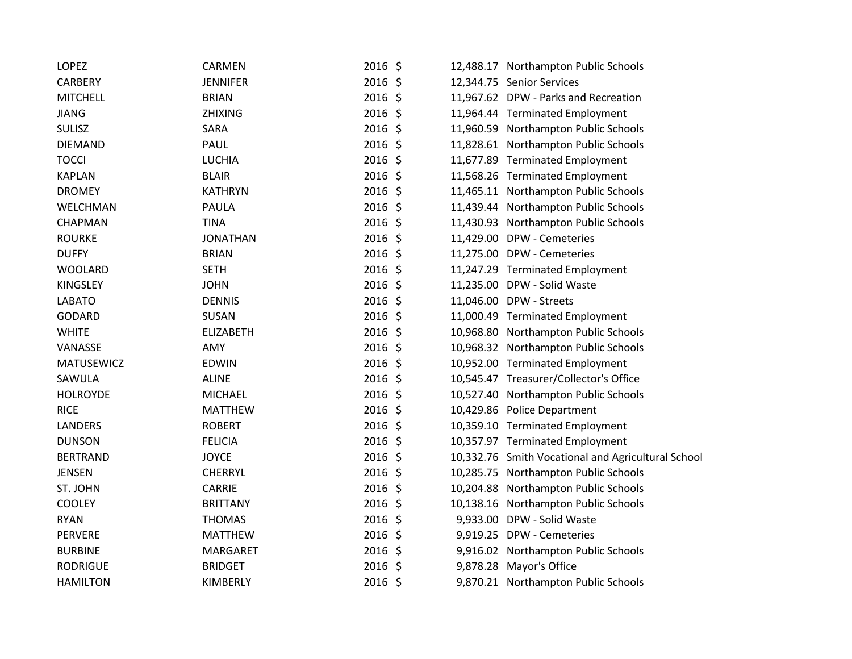| LOPEZ             | CARMEN           | 2016 \$   |  | 12,488.17 Northampton Public Schools               |
|-------------------|------------------|-----------|--|----------------------------------------------------|
| <b>CARBERY</b>    | <b>JENNIFER</b>  | 2016 \$   |  | 12,344.75 Senior Services                          |
| <b>MITCHELL</b>   | <b>BRIAN</b>     | 2016 \$   |  | 11,967.62 DPW - Parks and Recreation               |
| <b>JIANG</b>      | ZHIXING          | 2016 \$   |  | 11,964.44 Terminated Employment                    |
| SULISZ            | <b>SARA</b>      | $2016$ \$ |  | 11,960.59 Northampton Public Schools               |
| <b>DIEMAND</b>    | <b>PAUL</b>      | 2016 \$   |  | 11,828.61 Northampton Public Schools               |
| <b>TOCCI</b>      | <b>LUCHIA</b>    | 2016 \$   |  | 11,677.89 Terminated Employment                    |
| <b>KAPLAN</b>     | <b>BLAIR</b>     | 2016 \$   |  | 11,568.26 Terminated Employment                    |
| <b>DROMEY</b>     | <b>KATHRYN</b>   | 2016 \$   |  | 11,465.11 Northampton Public Schools               |
| WELCHMAN          | <b>PAULA</b>     | $2016$ \$ |  | 11,439.44 Northampton Public Schools               |
| <b>CHAPMAN</b>    | <b>TINA</b>      | 2016 \$   |  | 11,430.93 Northampton Public Schools               |
| <b>ROURKE</b>     | <b>JONATHAN</b>  | 2016 \$   |  | 11,429.00 DPW - Cemeteries                         |
| <b>DUFFY</b>      | <b>BRIAN</b>     | 2016 \$   |  | 11,275.00 DPW - Cemeteries                         |
| <b>WOOLARD</b>    | <b>SETH</b>      | $2016$ \$ |  | 11,247.29 Terminated Employment                    |
| <b>KINGSLEY</b>   | <b>JOHN</b>      | 2016 \$   |  | 11,235.00 DPW - Solid Waste                        |
| <b>LABATO</b>     | <b>DENNIS</b>    | $2016$ \$ |  | 11,046.00 DPW - Streets                            |
| <b>GODARD</b>     | SUSAN            | 2016 \$   |  | 11,000.49 Terminated Employment                    |
| <b>WHITE</b>      | <b>ELIZABETH</b> | 2016 \$   |  | 10,968.80 Northampton Public Schools               |
| VANASSE           | AMY              | 2016 \$   |  | 10,968.32 Northampton Public Schools               |
| <b>MATUSEWICZ</b> | <b>EDWIN</b>     | 2016 \$   |  | 10,952.00 Terminated Employment                    |
| SAWULA            | <b>ALINE</b>     | 2016 \$   |  | 10,545.47 Treasurer/Collector's Office             |
| <b>HOLROYDE</b>   | <b>MICHAEL</b>   | $2016$ \$ |  | 10,527.40 Northampton Public Schools               |
| <b>RICE</b>       | <b>MATTHEW</b>   | 2016 \$   |  | 10,429.86 Police Department                        |
| <b>LANDERS</b>    | <b>ROBERT</b>    | 2016 \$   |  | 10,359.10 Terminated Employment                    |
| <b>DUNSON</b>     | <b>FELICIA</b>   | 2016 \$   |  | 10,357.97 Terminated Employment                    |
| <b>BERTRAND</b>   | <b>JOYCE</b>     | 2016 \$   |  | 10,332.76 Smith Vocational and Agricultural School |
| <b>JENSEN</b>     | <b>CHERRYL</b>   | 2016 \$   |  | 10,285.75 Northampton Public Schools               |
| ST. JOHN          | CARRIE           | 2016 \$   |  | 10,204.88 Northampton Public Schools               |
| <b>COOLEY</b>     | <b>BRITTANY</b>  | 2016 \$   |  | 10,138.16 Northampton Public Schools               |
| <b>RYAN</b>       | <b>THOMAS</b>    | 2016 \$   |  | 9,933.00 DPW - Solid Waste                         |
| PERVERE           | <b>MATTHEW</b>   | $2016$ \$ |  | 9,919.25 DPW - Cemeteries                          |
| <b>BURBINE</b>    | <b>MARGARET</b>  | 2016 \$   |  | 9,916.02 Northampton Public Schools                |
| <b>RODRIGUE</b>   | <b>BRIDGET</b>   | 2016 \$   |  | 9,878.28 Mayor's Office                            |
| <b>HAMILTON</b>   | KIMBERLY         | 2016 \$   |  | 9,870.21 Northampton Public Schools                |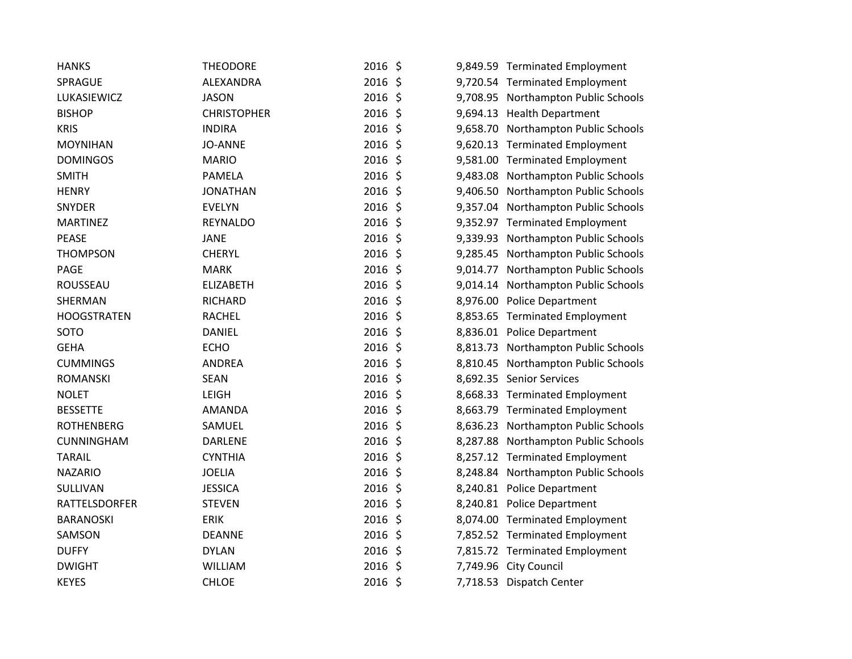| <b>HANKS</b>       | <b>THEODORE</b>    | 2016 \$   | 9,849.59 Terminated Employment      |
|--------------------|--------------------|-----------|-------------------------------------|
| SPRAGUE            | ALEXANDRA          | 2016 \$   | 9,720.54 Terminated Employment      |
| LUKASIEWICZ        | <b>JASON</b>       | 2016 \$   | 9,708.95 Northampton Public Schools |
| <b>BISHOP</b>      | <b>CHRISTOPHER</b> | $2016$ \$ | 9,694.13 Health Department          |
| <b>KRIS</b>        | <b>INDIRA</b>      | 2016 \$   | 9,658.70 Northampton Public Schools |
| <b>MOYNIHAN</b>    | <b>JO-ANNE</b>     | 2016 \$   | 9,620.13 Terminated Employment      |
| <b>DOMINGOS</b>    | <b>MARIO</b>       | 2016 \$   | 9,581.00 Terminated Employment      |
| <b>SMITH</b>       | <b>PAMELA</b>      | 2016 \$   | 9,483.08 Northampton Public Schools |
| <b>HENRY</b>       | <b>JONATHAN</b>    | 2016 \$   | 9,406.50 Northampton Public Schools |
| SNYDER             | <b>EVELYN</b>      | 2016 \$   | 9,357.04 Northampton Public Schools |
| <b>MARTINEZ</b>    | <b>REYNALDO</b>    | 2016 \$   | 9,352.97 Terminated Employment      |
| <b>PEASE</b>       | <b>JANE</b>        | 2016 \$   | 9,339.93 Northampton Public Schools |
| <b>THOMPSON</b>    | <b>CHERYL</b>      | $2016$ \$ | 9,285.45 Northampton Public Schools |
| PAGE               | <b>MARK</b>        | 2016 \$   | 9,014.77 Northampton Public Schools |
| ROUSSEAU           | <b>ELIZABETH</b>   | 2016 \$   | 9,014.14 Northampton Public Schools |
| SHERMAN            | <b>RICHARD</b>     | 2016 \$   | 8,976.00 Police Department          |
| <b>HOOGSTRATEN</b> | <b>RACHEL</b>      | 2016 \$   | 8,853.65 Terminated Employment      |
| SOTO               | <b>DANIEL</b>      | $2016$ \$ | 8,836.01 Police Department          |
| <b>GEHA</b>        | <b>ECHO</b>        | 2016 \$   | 8,813.73 Northampton Public Schools |
| <b>CUMMINGS</b>    | <b>ANDREA</b>      | 2016 \$   | 8,810.45 Northampton Public Schools |
| <b>ROMANSKI</b>    | <b>SEAN</b>        | 2016 \$   | 8,692.35 Senior Services            |
| <b>NOLET</b>       | LEIGH              | $2016$ \$ | 8,668.33 Terminated Employment      |
| <b>BESSETTE</b>    | <b>AMANDA</b>      | 2016 \$   | 8,663.79 Terminated Employment      |
| <b>ROTHENBERG</b>  | SAMUEL             | 2016 \$   | 8,636.23 Northampton Public Schools |
| <b>CUNNINGHAM</b>  | <b>DARLENE</b>     | $2016$ \$ | 8,287.88 Northampton Public Schools |
| <b>TARAIL</b>      | <b>CYNTHIA</b>     | 2016 \$   | 8,257.12 Terminated Employment      |
| <b>NAZARIO</b>     | <b>JOELIA</b>      | 2016 \$   | 8,248.84 Northampton Public Schools |
| SULLIVAN           | <b>JESSICA</b>     | 2016 \$   | 8,240.81 Police Department          |
| RATTELSDORFER      | <b>STEVEN</b>      | $2016$ \$ | 8,240.81 Police Department          |
| <b>BARANOSKI</b>   | <b>ERIK</b>        | 2016 \$   | 8,074.00 Terminated Employment      |
| SAMSON             | <b>DEANNE</b>      | 2016 \$   | 7,852.52 Terminated Employment      |
| <b>DUFFY</b>       | <b>DYLAN</b>       | 2016 \$   | 7,815.72 Terminated Employment      |
| <b>DWIGHT</b>      | <b>WILLIAM</b>     | 2016 \$   | 7,749.96 City Council               |
| <b>KEYES</b>       | <b>CHLOE</b>       | 2016 \$   | 7,718.53 Dispatch Center            |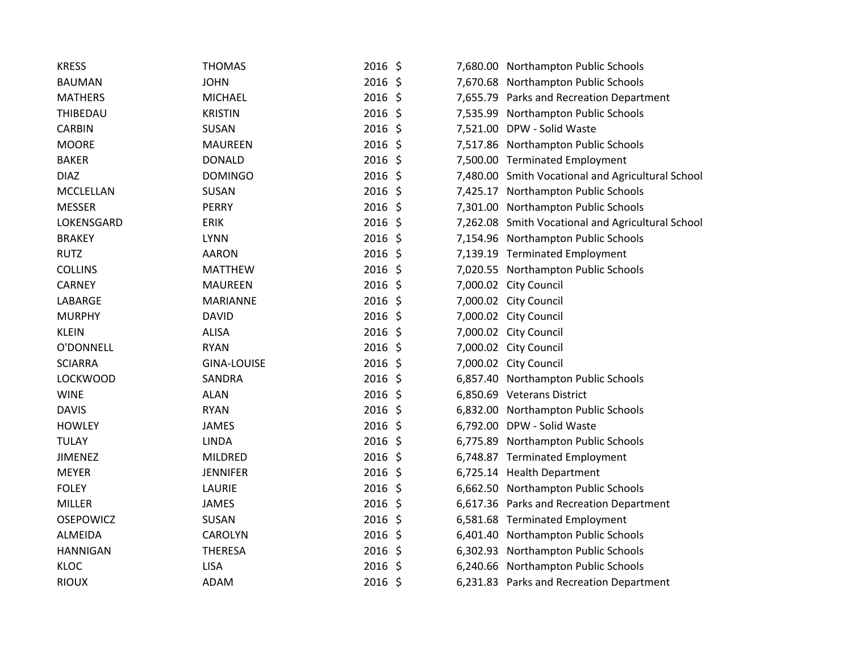| <b>KRESS</b>     | <b>THOMAS</b>      | $2016$ \$ | 7,680.00 Northampton Public Schools               |
|------------------|--------------------|-----------|---------------------------------------------------|
| <b>BAUMAN</b>    | <b>JOHN</b>        | $2016$ \$ | 7,670.68 Northampton Public Schools               |
| <b>MATHERS</b>   | <b>MICHAEL</b>     | $2016$ \$ | 7,655.79 Parks and Recreation Department          |
| THIBEDAU         | <b>KRISTIN</b>     | $2016$ \$ | 7,535.99 Northampton Public Schools               |
| <b>CARBIN</b>    | SUSAN              | $2016$ \$ | 7,521.00 DPW - Solid Waste                        |
| <b>MOORE</b>     | <b>MAUREEN</b>     | $2016$ \$ | 7,517.86 Northampton Public Schools               |
| <b>BAKER</b>     | <b>DONALD</b>      | $2016$ \$ | 7,500.00 Terminated Employment                    |
| <b>DIAZ</b>      | <b>DOMINGO</b>     | $2016$ \$ | 7,480.00 Smith Vocational and Agricultural School |
| <b>MCCLELLAN</b> | <b>SUSAN</b>       | $2016$ \$ | 7,425.17 Northampton Public Schools               |
| <b>MESSER</b>    | <b>PERRY</b>       | $2016$ \$ | 7,301.00 Northampton Public Schools               |
| LOKENSGARD       | <b>ERIK</b>        | $2016$ \$ | 7,262.08 Smith Vocational and Agricultural School |
| <b>BRAKEY</b>    | <b>LYNN</b>        | $2016$ \$ | 7,154.96 Northampton Public Schools               |
| <b>RUTZ</b>      | <b>AARON</b>       | $2016$ \$ | 7,139.19 Terminated Employment                    |
| <b>COLLINS</b>   | <b>MATTHEW</b>     | 2016 \$   | 7,020.55 Northampton Public Schools               |
| <b>CARNEY</b>    | <b>MAUREEN</b>     | $2016$ \$ | 7,000.02 City Council                             |
| LABARGE          | <b>MARIANNE</b>    | $2016$ \$ | 7,000.02 City Council                             |
| <b>MURPHY</b>    | <b>DAVID</b>       | $2016$ \$ | 7,000.02 City Council                             |
| <b>KLEIN</b>     | <b>ALISA</b>       | $2016$ \$ | 7,000.02 City Council                             |
| O'DONNELL        | <b>RYAN</b>        | $2016$ \$ | 7,000.02 City Council                             |
| <b>SCIARRA</b>   | <b>GINA-LOUISE</b> | $2016$ \$ | 7,000.02 City Council                             |
| <b>LOCKWOOD</b>  | SANDRA             | 2016 \$   | 6,857.40 Northampton Public Schools               |
| <b>WINE</b>      | <b>ALAN</b>        | $2016$ \$ | 6,850.69 Veterans District                        |
| <b>DAVIS</b>     | <b>RYAN</b>        | $2016$ \$ | 6,832.00 Northampton Public Schools               |
| <b>HOWLEY</b>    | <b>JAMES</b>       | $2016$ \$ | 6,792.00 DPW - Solid Waste                        |
| <b>TULAY</b>     | <b>LINDA</b>       | $2016$ \$ | 6,775.89 Northampton Public Schools               |
| <b>JIMENEZ</b>   | MILDRED            | $2016$ \$ | 6,748.87 Terminated Employment                    |
| <b>MEYER</b>     | <b>JENNIFER</b>    | $2016$ \$ | 6,725.14 Health Department                        |
| <b>FOLEY</b>     | LAURIE             | $2016$ \$ | 6,662.50 Northampton Public Schools               |
| <b>MILLER</b>    | <b>JAMES</b>       | $2016$ \$ | 6,617.36 Parks and Recreation Department          |
| <b>OSEPOWICZ</b> | SUSAN              | $2016$ \$ | 6,581.68 Terminated Employment                    |
| <b>ALMEIDA</b>   | <b>CAROLYN</b>     | $2016$ \$ | 6,401.40 Northampton Public Schools               |
| <b>HANNIGAN</b>  | <b>THERESA</b>     | $2016$ \$ | 6,302.93 Northampton Public Schools               |
| <b>KLOC</b>      | <b>LISA</b>        | $2016$ \$ | 6,240.66 Northampton Public Schools               |
| <b>RIOUX</b>     | ADAM               | $2016$ \$ | 6,231.83 Parks and Recreation Department          |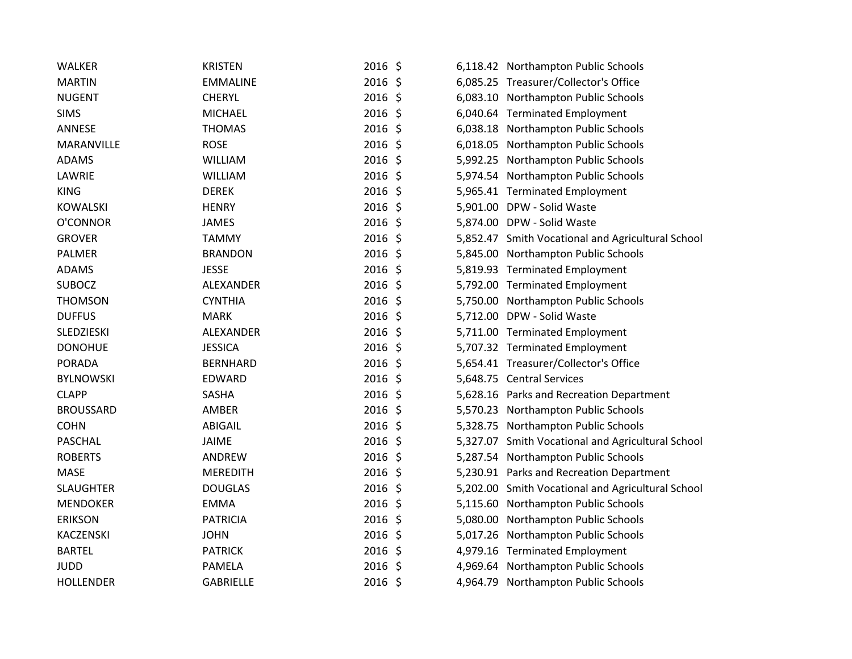| <b>WALKER</b>    | <b>KRISTEN</b>   | 2016 \$   | 6,118.42 Northampton Public Schools               |
|------------------|------------------|-----------|---------------------------------------------------|
| <b>MARTIN</b>    | <b>EMMALINE</b>  | $2016$ \$ | 6,085.25 Treasurer/Collector's Office             |
| <b>NUGENT</b>    | <b>CHERYL</b>    | 2016 \$   | 6,083.10 Northampton Public Schools               |
| <b>SIMS</b>      | <b>MICHAEL</b>   | 2016 \$   | 6,040.64 Terminated Employment                    |
| ANNESE           | <b>THOMAS</b>    | 2016 \$   | 6,038.18 Northampton Public Schools               |
| MARANVILLE       | <b>ROSE</b>      | 2016 \$   | 6,018.05 Northampton Public Schools               |
| <b>ADAMS</b>     | WILLIAM          | 2016 \$   | 5,992.25 Northampton Public Schools               |
| LAWRIE           | WILLIAM          | $2016$ \$ | 5,974.54 Northampton Public Schools               |
| <b>KING</b>      | <b>DEREK</b>     | 2016 \$   | 5,965.41 Terminated Employment                    |
| <b>KOWALSKI</b>  | <b>HENRY</b>     | $2016$ \$ | 5,901.00 DPW - Solid Waste                        |
| O'CONNOR         | JAMES            | $2016$ \$ | 5,874.00 DPW - Solid Waste                        |
| <b>GROVER</b>    | <b>TAMMY</b>     | $2016$ \$ | 5,852.47 Smith Vocational and Agricultural School |
| <b>PALMER</b>    | <b>BRANDON</b>   | 2016 \$   | 5,845.00 Northampton Public Schools               |
| ADAMS            | <b>JESSE</b>     | 2016 \$   | 5,819.93 Terminated Employment                    |
| <b>SUBOCZ</b>    | ALEXANDER        | $2016$ \$ | 5,792.00 Terminated Employment                    |
| <b>THOMSON</b>   | <b>CYNTHIA</b>   | 2016 \$   | 5,750.00 Northampton Public Schools               |
| <b>DUFFUS</b>    | <b>MARK</b>      | $2016$ \$ | 5,712.00 DPW - Solid Waste                        |
| SLEDZIESKI       | ALEXANDER        | 2016 \$   | 5,711.00 Terminated Employment                    |
| <b>DONOHUE</b>   | <b>JESSICA</b>   | $2016$ \$ | 5,707.32 Terminated Employment                    |
| <b>PORADA</b>    | <b>BERNHARD</b>  | $2016$ \$ | 5,654.41 Treasurer/Collector's Office             |
| <b>BYLNOWSKI</b> | EDWARD           | $2016$ \$ | 5,648.75 Central Services                         |
| <b>CLAPP</b>     | <b>SASHA</b>     | 2016 \$   | 5,628.16 Parks and Recreation Department          |
| <b>BROUSSARD</b> | AMBER            | 2016 \$   | 5,570.23 Northampton Public Schools               |
| <b>COHN</b>      | <b>ABIGAIL</b>   | $2016$ \$ | 5,328.75 Northampton Public Schools               |
| PASCHAL          | JAIME            | 2016 \$   | 5,327.07 Smith Vocational and Agricultural School |
| <b>ROBERTS</b>   | ANDREW           | 2016 \$   | 5,287.54 Northampton Public Schools               |
| <b>MASE</b>      | MEREDITH         | $2016$ \$ | 5,230.91 Parks and Recreation Department          |
| <b>SLAUGHTER</b> | <b>DOUGLAS</b>   | 2016 \$   | 5,202.00 Smith Vocational and Agricultural School |
| <b>MENDOKER</b>  | <b>EMMA</b>      | 2016 \$   | 5,115.60 Northampton Public Schools               |
| <b>ERIKSON</b>   | <b>PATRICIA</b>  | $2016$ \$ | 5,080.00 Northampton Public Schools               |
| <b>KACZENSKI</b> | <b>JOHN</b>      | 2016 \$   | 5,017.26 Northampton Public Schools               |
| <b>BARTEL</b>    | <b>PATRICK</b>   | $2016$ \$ | 4,979.16 Terminated Employment                    |
| <b>JUDD</b>      | <b>PAMELA</b>    | 2016 \$   | 4,969.64 Northampton Public Schools               |
| <b>HOLLENDER</b> | <b>GABRIELLE</b> | 2016 \$   | 4,964.79 Northampton Public Schools               |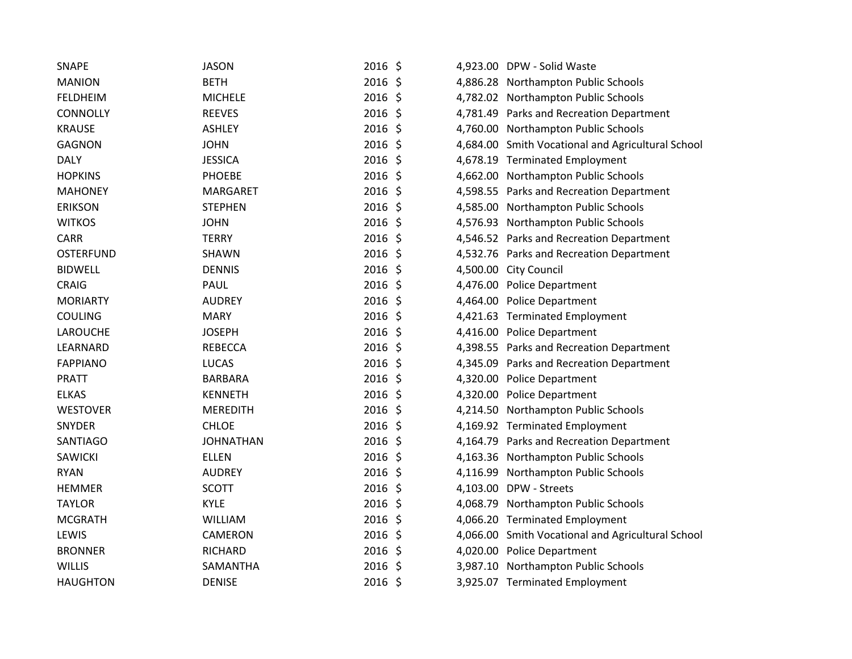| <b>SNAPE</b>     | <b>JASON</b>     | $2016$ \$  | 4,923.00 DPW - Solid Waste                        |
|------------------|------------------|------------|---------------------------------------------------|
| <b>MANION</b>    | <b>BETH</b>      | 2016 \$    | 4,886.28 Northampton Public Schools               |
| <b>FELDHEIM</b>  | <b>MICHELE</b>   | $2016$ \$  | 4,782.02 Northampton Public Schools               |
| <b>CONNOLLY</b>  | <b>REEVES</b>    | 2016 \$    | 4,781.49 Parks and Recreation Department          |
| <b>KRAUSE</b>    | <b>ASHLEY</b>    | $2016$ \$  | 4,760.00 Northampton Public Schools               |
| <b>GAGNON</b>    | <b>JOHN</b>      | 2016 \$    | 4,684.00 Smith Vocational and Agricultural School |
| <b>DALY</b>      | <b>JESSICA</b>   | $2016$ \$  | 4,678.19 Terminated Employment                    |
| <b>HOPKINS</b>   | <b>PHOEBE</b>    | \$<br>2016 | 4,662.00 Northampton Public Schools               |
| <b>MAHONEY</b>   | <b>MARGARET</b>  | $2016$ \$  | 4,598.55 Parks and Recreation Department          |
| <b>ERIKSON</b>   | <b>STEPHEN</b>   | 2016 \$    | 4,585.00 Northampton Public Schools               |
| <b>WITKOS</b>    | <b>JOHN</b>      | $2016$ \$  | 4,576.93 Northampton Public Schools               |
| <b>CARR</b>      | <b>TERRY</b>     | 2016 \$    | 4,546.52 Parks and Recreation Department          |
| <b>OSTERFUND</b> | <b>SHAWN</b>     | $2016$ \$  | 4,532.76 Parks and Recreation Department          |
| <b>BIDWELL</b>   | <b>DENNIS</b>    | 2016 \$    | 4,500.00 City Council                             |
| <b>CRAIG</b>     | PAUL             | 2016 \$    | 4,476.00 Police Department                        |
| <b>MORIARTY</b>  | <b>AUDREY</b>    | $2016$ \$  | 4,464.00 Police Department                        |
| <b>COULING</b>   | <b>MARY</b>      | $2016$ \$  | 4,421.63 Terminated Employment                    |
| <b>LAROUCHE</b>  | <b>JOSEPH</b>    | 2016 \$    | 4,416.00 Police Department                        |
| LEARNARD         | <b>REBECCA</b>   | 2016 \$    | 4,398.55 Parks and Recreation Department          |
| <b>FAPPIANO</b>  | <b>LUCAS</b>     | 2016 \$    | 4,345.09 Parks and Recreation Department          |
| <b>PRATT</b>     | <b>BARBARA</b>   | $2016$ \$  | 4,320.00 Police Department                        |
| <b>ELKAS</b>     | <b>KENNETH</b>   | 2016 \$    | 4,320.00 Police Department                        |
| <b>WESTOVER</b>  | <b>MEREDITH</b>  | 2016 \$    | 4,214.50 Northampton Public Schools               |
| <b>SNYDER</b>    | <b>CHLOE</b>     | 2016 \$    | 4,169.92 Terminated Employment                    |
| <b>SANTIAGO</b>  | <b>JOHNATHAN</b> | 2016 \$    | 4,164.79 Parks and Recreation Department          |
| <b>SAWICKI</b>   | <b>ELLEN</b>     | $2016$ \$  | 4,163.36 Northampton Public Schools               |
| <b>RYAN</b>      | <b>AUDREY</b>    | 2016 \$    | 4,116.99 Northampton Public Schools               |
| <b>HEMMER</b>    | <b>SCOTT</b>     | 2016 \$    | 4,103.00 DPW - Streets                            |
| <b>TAYLOR</b>    | <b>KYLE</b>      | 2016 \$    | 4,068.79 Northampton Public Schools               |
| <b>MCGRATH</b>   | WILLIAM          | $2016$ \$  | 4,066.20 Terminated Employment                    |
| LEWIS            | <b>CAMERON</b>   | 2016 \$    | 4,066.00 Smith Vocational and Agricultural School |
| <b>BRONNER</b>   | <b>RICHARD</b>   | $2016$ \$  | 4,020.00 Police Department                        |
| <b>WILLIS</b>    | SAMANTHA         | 2016 \$    | 3,987.10 Northampton Public Schools               |
| HAUGHTON         | <b>DENISE</b>    | 2016 \$    | 3,925.07 Terminated Employment                    |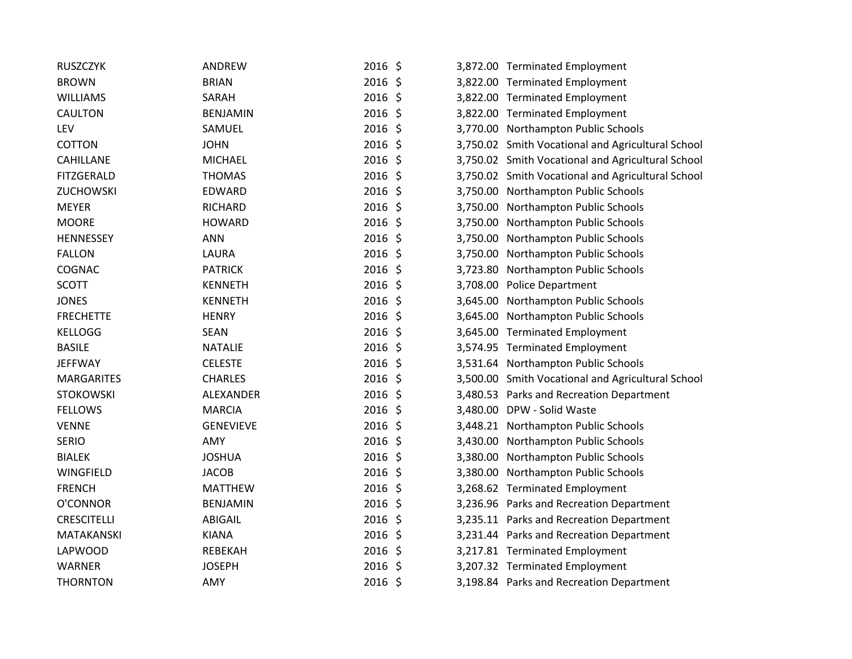| <b>RUSZCZYK</b>    | ANDREW           | $2016$ \$ | 3,872.00 Terminated Employment                    |
|--------------------|------------------|-----------|---------------------------------------------------|
| <b>BROWN</b>       | <b>BRIAN</b>     | $2016$ \$ | 3,822.00 Terminated Employment                    |
| <b>WILLIAMS</b>    | SARAH            | 2016 \$   | 3,822.00 Terminated Employment                    |
| <b>CAULTON</b>     | <b>BENJAMIN</b>  | $2016$ \$ | 3,822.00 Terminated Employment                    |
| LEV                | SAMUEL           | $2016$ \$ | 3,770.00 Northampton Public Schools               |
| <b>COTTON</b>      | <b>JOHN</b>      | $2016$ \$ | 3,750.02 Smith Vocational and Agricultural School |
| CAHILLANE          | <b>MICHAEL</b>   | 2016 \$   | 3,750.02 Smith Vocational and Agricultural School |
| <b>FITZGERALD</b>  | <b>THOMAS</b>    | $2016$ \$ | 3,750.02 Smith Vocational and Agricultural School |
| <b>ZUCHOWSKI</b>   | <b>EDWARD</b>    | $2016$ \$ | 3,750.00 Northampton Public Schools               |
| <b>MEYER</b>       | <b>RICHARD</b>   | 2016 \$   | 3,750.00 Northampton Public Schools               |
| <b>MOORE</b>       | <b>HOWARD</b>    | $2016$ \$ | 3,750.00 Northampton Public Schools               |
| HENNESSEY          | <b>ANN</b>       | $2016$ \$ | 3,750.00 Northampton Public Schools               |
| <b>FALLON</b>      | LAURA            | $2016$ \$ | 3,750.00 Northampton Public Schools               |
| <b>COGNAC</b>      | <b>PATRICK</b>   | 2016 \$   | 3,723.80 Northampton Public Schools               |
| <b>SCOTT</b>       | <b>KENNETH</b>   | $2016$ \$ | 3,708.00 Police Department                        |
| <b>JONES</b>       | <b>KENNETH</b>   | 2016 \$   | 3,645.00 Northampton Public Schools               |
| <b>FRECHETTE</b>   | <b>HENRY</b>     | $2016$ \$ | 3,645.00 Northampton Public Schools               |
| <b>KELLOGG</b>     | <b>SEAN</b>      | 2016 \$   | 3,645.00 Terminated Employment                    |
| <b>BASILE</b>      | <b>NATALIE</b>   | $2016$ \$ | 3,574.95 Terminated Employment                    |
| <b>JEFFWAY</b>     | <b>CELESTE</b>   | 2016 \$   | 3,531.64 Northampton Public Schools               |
| <b>MARGARITES</b>  | <b>CHARLES</b>   | 2016 \$   | 3,500.00 Smith Vocational and Agricultural School |
| <b>STOKOWSKI</b>   | ALEXANDER        | 2016 \$   | 3,480.53 Parks and Recreation Department          |
| <b>FELLOWS</b>     | <b>MARCIA</b>    | $2016$ \$ | 3,480.00 DPW - Solid Waste                        |
| <b>VENNE</b>       | <b>GENEVIEVE</b> | 2016 \$   | 3,448.21 Northampton Public Schools               |
| <b>SERIO</b>       | AMY              | $2016$ \$ | 3,430.00 Northampton Public Schools               |
| <b>BIALEK</b>      | <b>JOSHUA</b>    | $2016$ \$ | 3,380.00 Northampton Public Schools               |
| <b>WINGFIELD</b>   | <b>JACOB</b>     | $2016$ \$ | 3,380.00 Northampton Public Schools               |
| <b>FRENCH</b>      | <b>MATTHEW</b>   | 2016 \$   | 3,268.62 Terminated Employment                    |
| O'CONNOR           | <b>BENJAMIN</b>  | 2016 \$   | 3,236.96 Parks and Recreation Department          |
| <b>CRESCITELLI</b> | ABIGAIL          | $2016$ \$ | 3,235.11 Parks and Recreation Department          |
| MATAKANSKI         | <b>KIANA</b>     | 2016 \$   | 3,231.44 Parks and Recreation Department          |
| <b>LAPWOOD</b>     | REBEKAH          | 2016 \$   | 3,217.81 Terminated Employment                    |
| <b>WARNER</b>      | <b>JOSEPH</b>    | 2016 \$   | 3,207.32 Terminated Employment                    |
| <b>THORNTON</b>    | AMY              | 2016 \$   | 3,198.84 Parks and Recreation Department          |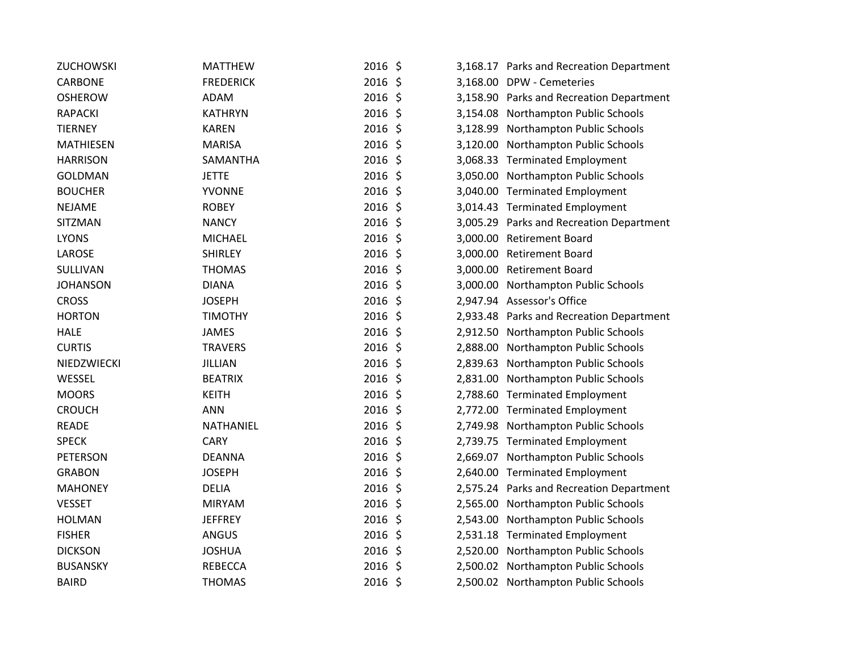| ZUCHOWSKI        | <b>MATTHEW</b>   | 2016 \$   | 3,168.17 Parks and Recreation Department |
|------------------|------------------|-----------|------------------------------------------|
| <b>CARBONE</b>   | <b>FREDERICK</b> | $2016$ \$ | 3,168.00 DPW - Cemeteries                |
| <b>OSHEROW</b>   | ADAM             | 2016 \$   | 3,158.90 Parks and Recreation Department |
| <b>RAPACKI</b>   | <b>KATHRYN</b>   | $2016$ \$ | 3,154.08 Northampton Public Schools      |
| <b>TIERNEY</b>   | <b>KAREN</b>     | $2016$ \$ | 3,128.99 Northampton Public Schools      |
| <b>MATHIESEN</b> | <b>MARISA</b>    | $2016$ \$ | 3,120.00 Northampton Public Schools      |
| <b>HARRISON</b>  | SAMANTHA         | 2016 \$   | 3,068.33 Terminated Employment           |
| <b>GOLDMAN</b>   | <b>JETTE</b>     | $2016$ \$ | 3,050.00 Northampton Public Schools      |
| <b>BOUCHER</b>   | YVONNE           | $2016$ \$ | 3,040.00 Terminated Employment           |
| <b>NEJAME</b>    | <b>ROBEY</b>     | $2016$ \$ | 3,014.43 Terminated Employment           |
| SITZMAN          | <b>NANCY</b>     | $2016$ \$ | 3,005.29 Parks and Recreation Department |
| <b>LYONS</b>     | <b>MICHAEL</b>   | $2016$ \$ | 3,000.00 Retirement Board                |
| LAROSE           | <b>SHIRLEY</b>   | $2016$ \$ | 3,000.00 Retirement Board                |
| SULLIVAN         | <b>THOMAS</b>    | $2016$ \$ | 3,000.00 Retirement Board                |
| <b>JOHANSON</b>  | <b>DIANA</b>     | $2016$ \$ | 3,000.00 Northampton Public Schools      |
| <b>CROSS</b>     | <b>JOSEPH</b>    | 2016 \$   | 2,947.94 Assessor's Office               |
| <b>HORTON</b>    | <b>TIMOTHY</b>   | 2016 \$   | 2,933.48 Parks and Recreation Department |
| <b>HALE</b>      | <b>JAMES</b>     | 2016 \$   | 2,912.50 Northampton Public Schools      |
| <b>CURTIS</b>    | <b>TRAVERS</b>   | $2016$ \$ | 2,888.00 Northampton Public Schools      |
| NIEDZWIECKI      | JILLIAN          | $2016$ \$ | 2,839.63 Northampton Public Schools      |
| WESSEL           | <b>BEATRIX</b>   | $2016$ \$ | 2,831.00 Northampton Public Schools      |
| <b>MOORS</b>     | <b>KEITH</b>     | 2016 \$   | 2,788.60 Terminated Employment           |
| <b>CROUCH</b>    | <b>ANN</b>       | $2016$ \$ | 2,772.00 Terminated Employment           |
| <b>READE</b>     | NATHANIEL        | $2016$ \$ | 2,749.98 Northampton Public Schools      |
| <b>SPECK</b>     | <b>CARY</b>      | $2016$ \$ | 2,739.75 Terminated Employment           |
| PETERSON         | <b>DEANNA</b>    | $2016$ \$ | 2,669.07 Northampton Public Schools      |
| <b>GRABON</b>    | <b>JOSEPH</b>    | $2016$ \$ | 2,640.00 Terminated Employment           |
| <b>MAHONEY</b>   | <b>DELIA</b>     | $2016$ \$ | 2,575.24 Parks and Recreation Department |
| <b>VESSET</b>    | <b>MIRYAM</b>    | $2016$ \$ | 2,565.00 Northampton Public Schools      |
| <b>HOLMAN</b>    | <b>JEFFREY</b>   | $2016$ \$ | 2,543.00 Northampton Public Schools      |
| <b>FISHER</b>    | ANGUS            | 2016 \$   | 2,531.18 Terminated Employment           |
| <b>DICKSON</b>   | <b>JOSHUA</b>    | $2016$ \$ | 2,520.00 Northampton Public Schools      |
| <b>BUSANSKY</b>  | <b>REBECCA</b>   | $2016$ \$ | 2,500.02 Northampton Public Schools      |
| <b>BAIRD</b>     | <b>THOMAS</b>    | $2016$ \$ | 2,500.02 Northampton Public Schools      |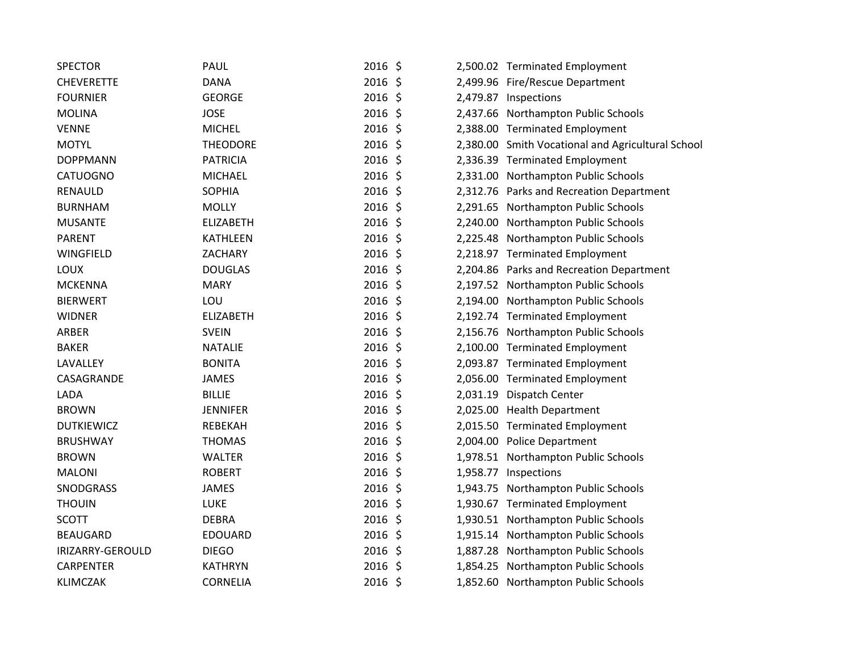| <b>SPECTOR</b>    | <b>PAUL</b>      | 2016 \$   | 2,500.02 Terminated Employment                    |
|-------------------|------------------|-----------|---------------------------------------------------|
| <b>CHEVERETTE</b> | <b>DANA</b>      | $2016$ \$ | 2,499.96 Fire/Rescue Department                   |
| <b>FOURNIER</b>   | <b>GEORGE</b>    | $2016$ \$ | 2,479.87 Inspections                              |
| <b>MOLINA</b>     | <b>JOSE</b>      | $2016$ \$ | 2,437.66 Northampton Public Schools               |
| <b>VENNE</b>      | <b>MICHEL</b>    | 2016 \$   | 2,388.00 Terminated Employment                    |
| <b>MOTYL</b>      | <b>THEODORE</b>  | $2016$ \$ | 2,380.00 Smith Vocational and Agricultural School |
| <b>DOPPMANN</b>   | <b>PATRICIA</b>  | $2016$ \$ | 2,336.39 Terminated Employment                    |
| <b>CATUOGNO</b>   | <b>MICHAEL</b>   | $2016$ \$ | 2,331.00 Northampton Public Schools               |
| RENAULD           | <b>SOPHIA</b>    | $2016$ \$ | 2,312.76 Parks and Recreation Department          |
| <b>BURNHAM</b>    | <b>MOLLY</b>     | $2016$ \$ | 2,291.65 Northampton Public Schools               |
| <b>MUSANTE</b>    | <b>ELIZABETH</b> | 2016 \$   | 2,240.00 Northampton Public Schools               |
| <b>PARENT</b>     | <b>KATHLEEN</b>  | $2016$ \$ | 2,225.48 Northampton Public Schools               |
| <b>WINGFIELD</b>  | ZACHARY          | $2016$ \$ | 2,218.97 Terminated Employment                    |
| LOUX              | <b>DOUGLAS</b>   | $2016$ \$ | 2,204.86 Parks and Recreation Department          |
| <b>MCKENNA</b>    | <b>MARY</b>      | 2016 \$   | 2,197.52 Northampton Public Schools               |
| <b>BIERWERT</b>   | LOU              | $2016$ \$ | 2,194.00 Northampton Public Schools               |
| <b>WIDNER</b>     | <b>ELIZABETH</b> | 2016 \$   | 2,192.74 Terminated Employment                    |
| ARBER             | <b>SVEIN</b>     | $2016$ \$ | 2,156.76 Northampton Public Schools               |
| <b>BAKER</b>      | <b>NATALIE</b>   | $2016$ \$ | 2,100.00 Terminated Employment                    |
| LAVALLEY          | <b>BONITA</b>    | $2016$ \$ | 2,093.87 Terminated Employment                    |
| CASAGRANDE        | <b>JAMES</b>     | 2016 \$   | 2,056.00 Terminated Employment                    |
| LADA              | <b>BILLIE</b>    | $2016$ \$ | 2,031.19 Dispatch Center                          |
| <b>BROWN</b>      | <b>JENNIFER</b>  | $2016$ \$ | 2,025.00 Health Department                        |
| <b>DUTKIEWICZ</b> | REBEKAH          | $2016$ \$ | 2,015.50 Terminated Employment                    |
| <b>BRUSHWAY</b>   | <b>THOMAS</b>    | 2016 \$   | 2,004.00 Police Department                        |
| <b>BROWN</b>      | <b>WALTER</b>    | $2016$ \$ | 1,978.51 Northampton Public Schools               |
| <b>MALONI</b>     | <b>ROBERT</b>    | 2016 \$   | 1,958.77 Inspections                              |
| SNODGRASS         | <b>JAMES</b>     | $2016$ \$ | 1,943.75 Northampton Public Schools               |
| <b>THOUIN</b>     | <b>LUKE</b>      | $2016$ \$ | 1,930.67 Terminated Employment                    |
| <b>SCOTT</b>      | <b>DEBRA</b>     | $2016$ \$ | 1,930.51 Northampton Public Schools               |
| <b>BEAUGARD</b>   | <b>EDOUARD</b>   | $2016$ \$ | 1,915.14 Northampton Public Schools               |
| IRIZARRY-GEROULD  | <b>DIEGO</b>     | $2016$ \$ | 1,887.28 Northampton Public Schools               |
| <b>CARPENTER</b>  | <b>KATHRYN</b>   | $2016$ \$ | 1,854.25 Northampton Public Schools               |
| <b>KLIMCZAK</b>   | <b>CORNELIA</b>  | $2016$ \$ | 1,852.60 Northampton Public Schools               |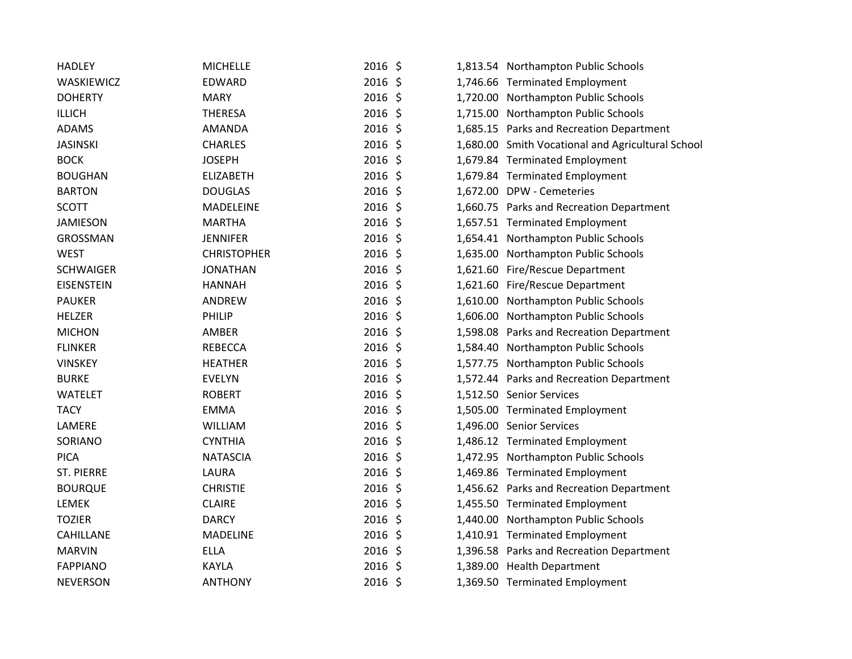| <b>HADLEY</b>     | <b>MICHELLE</b>    | 2016 \$   | 1,813.54 Northampton Public Schools               |
|-------------------|--------------------|-----------|---------------------------------------------------|
| WASKIEWICZ        | EDWARD             | 2016 \$   | 1,746.66 Terminated Employment                    |
| <b>DOHERTY</b>    | <b>MARY</b>        | 2016 \$   | 1,720.00 Northampton Public Schools               |
| <b>ILLICH</b>     | <b>THERESA</b>     | 2016 \$   | 1,715.00 Northampton Public Schools               |
| <b>ADAMS</b>      | <b>AMANDA</b>      | 2016 \$   | 1,685.15 Parks and Recreation Department          |
| <b>JASINSKI</b>   | <b>CHARLES</b>     | 2016 \$   | 1,680.00 Smith Vocational and Agricultural School |
| <b>BOCK</b>       | <b>JOSEPH</b>      | $2016$ \$ | 1,679.84 Terminated Employment                    |
| <b>BOUGHAN</b>    | <b>ELIZABETH</b>   | 2016 \$   | 1,679.84 Terminated Employment                    |
| <b>BARTON</b>     | <b>DOUGLAS</b>     | 2016 \$   | 1,672.00 DPW - Cemeteries                         |
| <b>SCOTT</b>      | <b>MADELEINE</b>   | 2016 \$   | 1,660.75 Parks and Recreation Department          |
| <b>JAMIESON</b>   | <b>MARTHA</b>      | 2016 \$   | 1,657.51 Terminated Employment                    |
| GROSSMAN          | <b>JENNIFER</b>    | 2016 \$   | 1,654.41 Northampton Public Schools               |
| <b>WEST</b>       | <b>CHRISTOPHER</b> | $2016$ \$ | 1,635.00 Northampton Public Schools               |
| <b>SCHWAIGER</b>  | <b>JONATHAN</b>    | 2016 \$   | 1,621.60 Fire/Rescue Department                   |
| <b>EISENSTEIN</b> | <b>HANNAH</b>      | 2016 \$   | 1,621.60 Fire/Rescue Department                   |
| <b>PAUKER</b>     | ANDREW             | 2016 \$   | 1,610.00 Northampton Public Schools               |
| <b>HELZER</b>     | PHILIP             | $2016$ \$ | 1,606.00 Northampton Public Schools               |
| <b>MICHON</b>     | AMBER              | 2016 \$   | 1,598.08 Parks and Recreation Department          |
| <b>FLINKER</b>    | <b>REBECCA</b>     | 2016 \$   | 1,584.40 Northampton Public Schools               |
| <b>VINSKEY</b>    | <b>HEATHER</b>     | 2016 \$   | 1,577.75 Northampton Public Schools               |
| <b>BURKE</b>      | <b>EVELYN</b>      | 2016 \$   | 1,572.44 Parks and Recreation Department          |
| <b>WATELET</b>    | <b>ROBERT</b>      | 2016 \$   | 1,512.50 Senior Services                          |
| <b>TACY</b>       | <b>EMMA</b>        | 2016 \$   | 1,505.00 Terminated Employment                    |
| LAMERE            | WILLIAM            | 2016 \$   | 1,496.00 Senior Services                          |
| SORIANO           | <b>CYNTHIA</b>     | 2016 \$   | 1,486.12 Terminated Employment                    |
| <b>PICA</b>       | <b>NATASCIA</b>    | 2016 \$   | 1,472.95 Northampton Public Schools               |
| <b>ST. PIERRE</b> | LAURA              | 2016 \$   | 1,469.86 Terminated Employment                    |
| <b>BOURQUE</b>    | <b>CHRISTIE</b>    | 2016 \$   | 1,456.62 Parks and Recreation Department          |
| LEMEK             | <b>CLAIRE</b>      | 2016 \$   | 1,455.50 Terminated Employment                    |
| <b>TOZIER</b>     | <b>DARCY</b>       | 2016 \$   | 1,440.00 Northampton Public Schools               |
| CAHILLANE         | <b>MADELINE</b>    | 2016 \$   | 1,410.91 Terminated Employment                    |
| <b>MARVIN</b>     | <b>ELLA</b>        | 2016 \$   | 1,396.58 Parks and Recreation Department          |
| <b>FAPPIANO</b>   | <b>KAYLA</b>       | 2016 \$   | 1,389.00 Health Department                        |
| <b>NEVERSON</b>   | <b>ANTHONY</b>     | 2016 \$   | 1,369.50 Terminated Employment                    |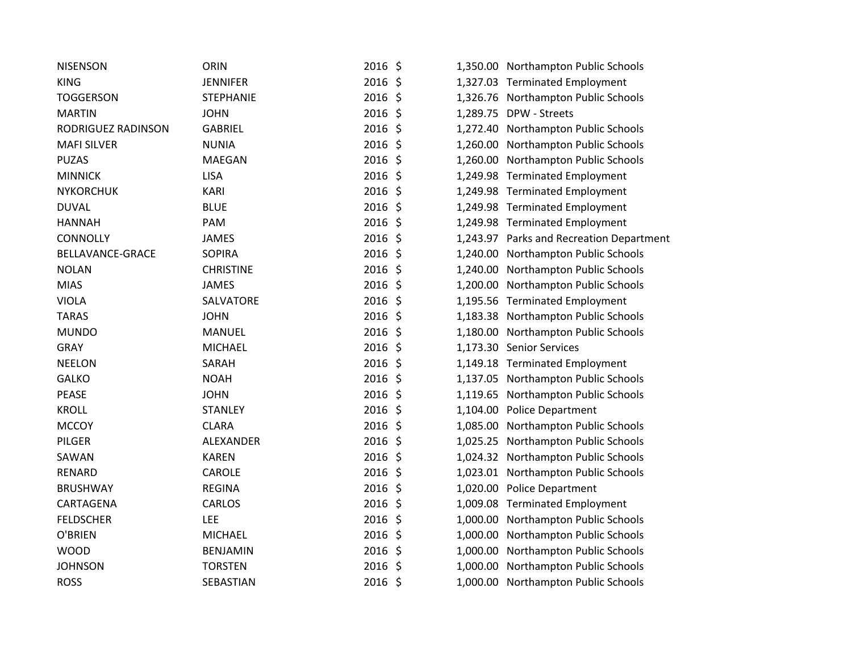| <b>NISENSON</b>         | ORIN             | 2016 \$   |          | 1,350.00 Northampton Public Schools      |
|-------------------------|------------------|-----------|----------|------------------------------------------|
| <b>KING</b>             | <b>JENNIFER</b>  | 2016 \$   |          | 1,327.03 Terminated Employment           |
| <b>TOGGERSON</b>        | <b>STEPHANIE</b> | 2016 \$   |          | 1,326.76 Northampton Public Schools      |
| <b>MARTIN</b>           | <b>JOHN</b>      | 2016 \$   |          | 1,289.75 DPW - Streets                   |
| RODRIGUEZ RADINSON      | <b>GABRIEL</b>   | 2016 \$   |          | 1,272.40 Northampton Public Schools      |
| <b>MAFI SILVER</b>      | <b>NUNIA</b>     | 2016 \$   |          | 1,260.00 Northampton Public Schools      |
| <b>PUZAS</b>            | <b>MAEGAN</b>    | 2016 \$   |          | 1,260.00 Northampton Public Schools      |
| <b>MINNICK</b>          | <b>LISA</b>      | 2016 \$   |          | 1,249.98 Terminated Employment           |
| <b>NYKORCHUK</b>        | KARI             | 2016 \$   |          | 1,249.98 Terminated Employment           |
| <b>DUVAL</b>            | <b>BLUE</b>      | 2016 \$   |          | 1,249.98 Terminated Employment           |
| <b>HANNAH</b>           | PAM              | 2016 \$   |          | 1,249.98 Terminated Employment           |
| <b>CONNOLLY</b>         | <b>JAMES</b>     | $2016$ \$ |          | 1,243.97 Parks and Recreation Department |
| <b>BELLAVANCE-GRACE</b> | <b>SOPIRA</b>    | 2016 \$   |          | 1,240.00 Northampton Public Schools      |
| <b>NOLAN</b>            | <b>CHRISTINE</b> | 2016 \$   |          | 1,240.00 Northampton Public Schools      |
| <b>MIAS</b>             | <b>JAMES</b>     | 2016 \$   |          | 1,200.00 Northampton Public Schools      |
| <b>VIOLA</b>            | SALVATORE        | 2016 \$   |          | 1,195.56 Terminated Employment           |
| <b>TARAS</b>            | <b>JOHN</b>      | 2016 \$   |          | 1,183.38 Northampton Public Schools      |
| <b>MUNDO</b>            | <b>MANUEL</b>    | 2016 \$   |          | 1,180.00 Northampton Public Schools      |
| <b>GRAY</b>             | <b>MICHAEL</b>   | $2016$ \$ |          | 1,173.30 Senior Services                 |
| <b>NEELON</b>           | SARAH            | 2016 \$   |          | 1,149.18 Terminated Employment           |
| <b>GALKO</b>            | <b>NOAH</b>      | 2016 \$   |          | 1,137.05 Northampton Public Schools      |
| PEASE                   | <b>JOHN</b>      | 2016 \$   |          | 1,119.65 Northampton Public Schools      |
| <b>KROLL</b>            | <b>STANLEY</b>   | 2016 \$   |          | 1,104.00 Police Department               |
| <b>MCCOY</b>            | <b>CLARA</b>     | $2016$ \$ |          | 1,085.00 Northampton Public Schools      |
| <b>PILGER</b>           | ALEXANDER        | 2016 \$   |          | 1,025.25 Northampton Public Schools      |
| SAWAN                   | <b>KAREN</b>     | 2016 \$   |          | 1,024.32 Northampton Public Schools      |
| <b>RENARD</b>           | CAROLE           | 2016 \$   |          | 1,023.01 Northampton Public Schools      |
| <b>BRUSHWAY</b>         | <b>REGINA</b>    | 2016 \$   |          | 1,020.00 Police Department               |
| CARTAGENA               | <b>CARLOS</b>    | 2016 \$   |          | 1,009.08 Terminated Employment           |
| <b>FELDSCHER</b>        | <b>LEE</b>       | 2016 \$   |          | 1,000.00 Northampton Public Schools      |
| O'BRIEN                 | <b>MICHAEL</b>   | $2016$ \$ | 1,000.00 | <b>Northampton Public Schools</b>        |
| <b>WOOD</b>             | <b>BENJAMIN</b>  | 2016 \$   | 1,000.00 | Northampton Public Schools               |
| <b>JOHNSON</b>          | <b>TORSTEN</b>   | 2016 \$   | 1,000.00 | Northampton Public Schools               |
| <b>ROSS</b>             | SEBASTIAN        | 2016 \$   |          | 1,000.00 Northampton Public Schools      |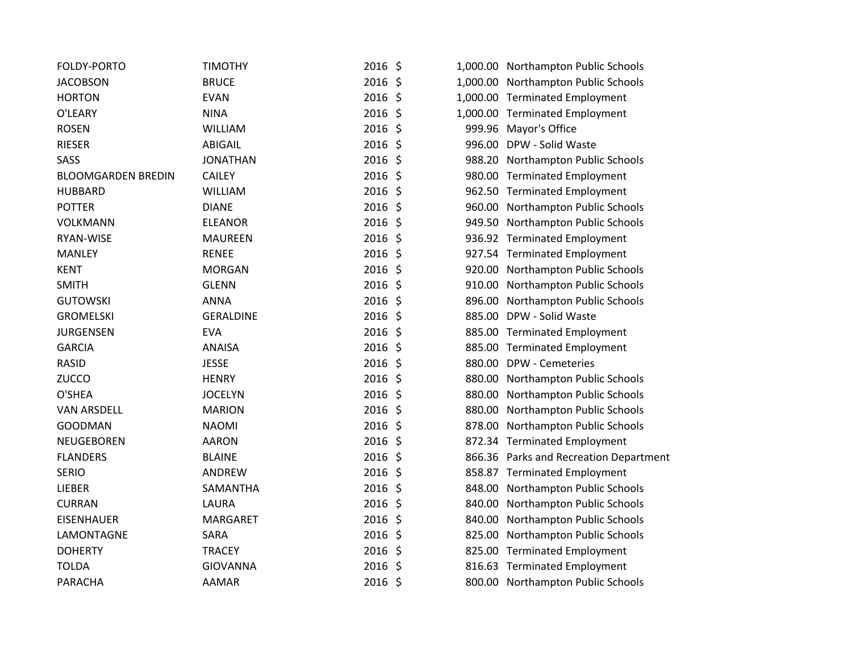| FOLDY-PORTO               | <b>TIMOTHY</b>   | 2016 \$ | 1,000.00 Northampton Public Schools    |
|---------------------------|------------------|---------|----------------------------------------|
| <b>JACOBSON</b>           | <b>BRUCE</b>     | 2016 \$ | 1,000.00 Northampton Public Schools    |
| <b>HORTON</b>             | <b>EVAN</b>      | 2016 \$ | 1,000.00 Terminated Employment         |
| O'LEARY                   | <b>NINA</b>      | 2016 \$ | 1,000.00 Terminated Employment         |
| <b>ROSEN</b>              | <b>WILLIAM</b>   | 2016 \$ | 999.96 Mayor's Office                  |
| <b>RIESER</b>             | <b>ABIGAIL</b>   | 2016 \$ | 996.00 DPW - Solid Waste               |
| SASS                      | <b>JONATHAN</b>  | 2016 \$ | 988.20 Northampton Public Schools      |
| <b>BLOOMGARDEN BREDIN</b> | <b>CAILEY</b>    | 2016 \$ | 980.00 Terminated Employment           |
| <b>HUBBARD</b>            | <b>WILLIAM</b>   | 2016 \$ | 962.50 Terminated Employment           |
| <b>POTTER</b>             | <b>DIANE</b>     | 2016 \$ | 960.00 Northampton Public Schools      |
| <b>VOLKMANN</b>           | <b>ELEANOR</b>   | 2016 \$ | 949.50 Northampton Public Schools      |
| RYAN-WISE                 | <b>MAUREEN</b>   | 2016 \$ | 936.92 Terminated Employment           |
| <b>MANLEY</b>             | <b>RENEE</b>     | 2016 \$ | 927.54 Terminated Employment           |
| <b>KENT</b>               | <b>MORGAN</b>    | 2016 \$ | 920.00 Northampton Public Schools      |
| <b>SMITH</b>              | <b>GLENN</b>     | 2016 \$ | 910.00 Northampton Public Schools      |
| <b>GUTOWSKI</b>           | <b>ANNA</b>      | 2016 \$ | 896.00 Northampton Public Schools      |
| <b>GROMELSKI</b>          | <b>GERALDINE</b> | 2016 \$ | 885.00 DPW - Solid Waste               |
| <b>JURGENSEN</b>          | <b>EVA</b>       | 2016 \$ | 885.00 Terminated Employment           |
| <b>GARCIA</b>             | <b>ANAISA</b>    | 2016 \$ | 885.00 Terminated Employment           |
| <b>RASID</b>              | <b>JESSE</b>     | 2016 \$ | 880.00 DPW - Cemeteries                |
| ZUCCO                     | <b>HENRY</b>     | 2016 \$ | 880.00 Northampton Public Schools      |
| O'SHEA                    | <b>JOCELYN</b>   | 2016 \$ | 880.00 Northampton Public Schools      |
| <b>VAN ARSDELL</b>        | <b>MARION</b>    | 2016 \$ | 880.00 Northampton Public Schools      |
| <b>GOODMAN</b>            | <b>NAOMI</b>     | 2016 \$ | 878.00 Northampton Public Schools      |
| <b>NEUGEBOREN</b>         | <b>AARON</b>     | 2016 \$ | 872.34 Terminated Employment           |
| <b>FLANDERS</b>           | <b>BLAINE</b>    | 2016 \$ | 866.36 Parks and Recreation Department |
| <b>SERIO</b>              | <b>ANDREW</b>    | 2016 \$ | 858.87 Terminated Employment           |
| <b>LIEBER</b>             | SAMANTHA         | 2016 \$ | 848.00 Northampton Public Schools      |
| <b>CURRAN</b>             | LAURA            | 2016 \$ | 840.00 Northampton Public Schools      |
| <b>EISENHAUER</b>         | <b>MARGARET</b>  | 2016 \$ | 840.00 Northampton Public Schools      |
| LAMONTAGNE                | SARA             | 2016 \$ | 825.00 Northampton Public Schools      |
| <b>DOHERTY</b>            | <b>TRACEY</b>    | 2016 \$ | 825.00 Terminated Employment           |
| <b>TOLDA</b>              | <b>GIOVANNA</b>  | 2016 \$ | 816.63 Terminated Employment           |
| <b>PARACHA</b>            | <b>AAMAR</b>     | 2016 \$ | 800.00 Northampton Public Schools      |
|                           |                  |         |                                        |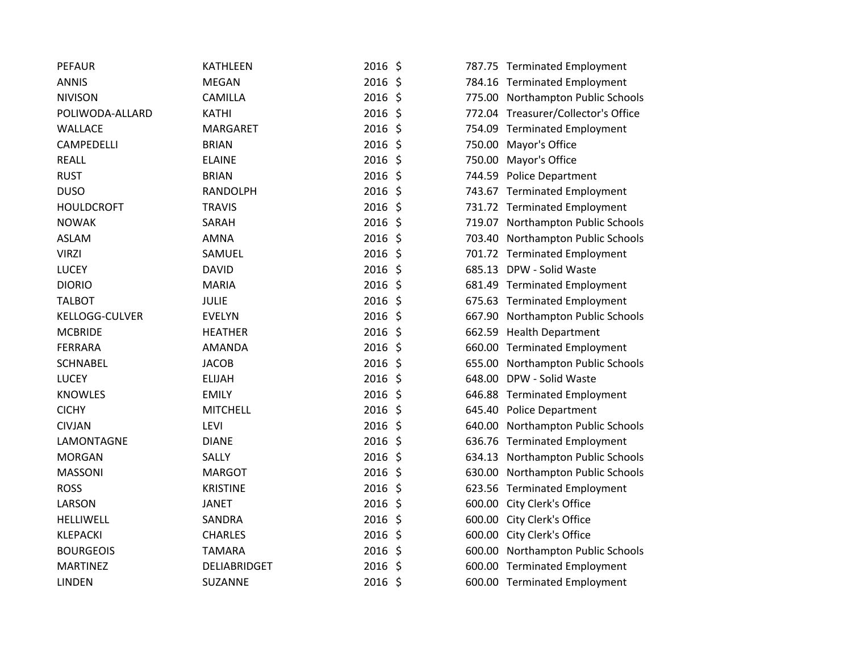| <b>PEFAUR</b>         | <b>KATHLEEN</b> | 2016 \$   | 787.75 Terminated Employment        |
|-----------------------|-----------------|-----------|-------------------------------------|
| <b>ANNIS</b>          | <b>MEGAN</b>    | 2016 \$   | 784.16 Terminated Employment        |
| <b>NIVISON</b>        | <b>CAMILLA</b>  | 2016 \$   | 775.00 Northampton Public Schools   |
| POLIWODA-ALLARD       | <b>KATHI</b>    | 2016 \$   | 772.04 Treasurer/Collector's Office |
| <b>WALLACE</b>        | <b>MARGARET</b> | 2016 \$   | 754.09 Terminated Employment        |
| CAMPEDELLI            | <b>BRIAN</b>    | 2016 \$   | 750.00 Mayor's Office               |
| <b>REALL</b>          | <b>ELAINE</b>   | 2016 \$   | 750.00 Mayor's Office               |
| <b>RUST</b>           | <b>BRIAN</b>    | 2016 \$   | 744.59 Police Department            |
| <b>DUSO</b>           | <b>RANDOLPH</b> | 2016 \$   | 743.67 Terminated Employment        |
| <b>HOULDCROFT</b>     | <b>TRAVIS</b>   | 2016 \$   | 731.72 Terminated Employment        |
| <b>NOWAK</b>          | SARAH           | 2016 \$   | 719.07 Northampton Public Schools   |
| <b>ASLAM</b>          | <b>AMNA</b>     | 2016 \$   | 703.40 Northampton Public Schools   |
| <b>VIRZI</b>          | SAMUEL          | 2016 \$   | 701.72 Terminated Employment        |
| <b>LUCEY</b>          | <b>DAVID</b>    | 2016 \$   | 685.13 DPW - Solid Waste            |
| <b>DIORIO</b>         | <b>MARIA</b>    | 2016 \$   | 681.49 Terminated Employment        |
| <b>TALBOT</b>         | <b>JULIE</b>    | 2016 \$   | 675.63 Terminated Employment        |
| <b>KELLOGG-CULVER</b> | <b>EVELYN</b>   | 2016 \$   | 667.90 Northampton Public Schools   |
| <b>MCBRIDE</b>        | <b>HEATHER</b>  | 2016 \$   | 662.59 Health Department            |
| <b>FERRARA</b>        | <b>AMANDA</b>   | 2016 \$   | 660.00 Terminated Employment        |
| <b>SCHNABEL</b>       | <b>JACOB</b>    | 2016 \$   | 655.00 Northampton Public Schools   |
| <b>LUCEY</b>          | <b>ELIJAH</b>   | 2016 \$   | 648.00 DPW - Solid Waste            |
| <b>KNOWLES</b>        | <b>EMILY</b>    | 2016 \$   | 646.88 Terminated Employment        |
| <b>CICHY</b>          | <b>MITCHELL</b> | 2016 \$   | 645.40 Police Department            |
| <b>CIVJAN</b>         | LEVI            | 2016 \$   | 640.00 Northampton Public Schools   |
| LAMONTAGNE            | <b>DIANE</b>    | 2016 \$   | 636.76 Terminated Employment        |
| <b>MORGAN</b>         | SALLY           | 2016 \$   | 634.13 Northampton Public Schools   |
| <b>MASSONI</b>        | <b>MARGOT</b>   | $2016$ \$ | 630.00 Northampton Public Schools   |
| <b>ROSS</b>           | <b>KRISTINE</b> | 2016 \$   | 623.56 Terminated Employment        |
| LARSON                | <b>JANET</b>    | 2016 \$   | 600.00 City Clerk's Office          |
| HELLIWELL             | SANDRA          | 2016 \$   | 600.00 City Clerk's Office          |
| <b>KLEPACKI</b>       | <b>CHARLES</b>  | 2016 \$   | 600.00 City Clerk's Office          |
| <b>BOURGEOIS</b>      | <b>TAMARA</b>   | 2016 \$   | 600.00 Northampton Public Schools   |
| <b>MARTINEZ</b>       | DELIABRIDGET    | 2016 \$   | 600.00 Terminated Employment        |
| <b>LINDEN</b>         | SUZANNE         | 2016 \$   | 600.00 Terminated Employment        |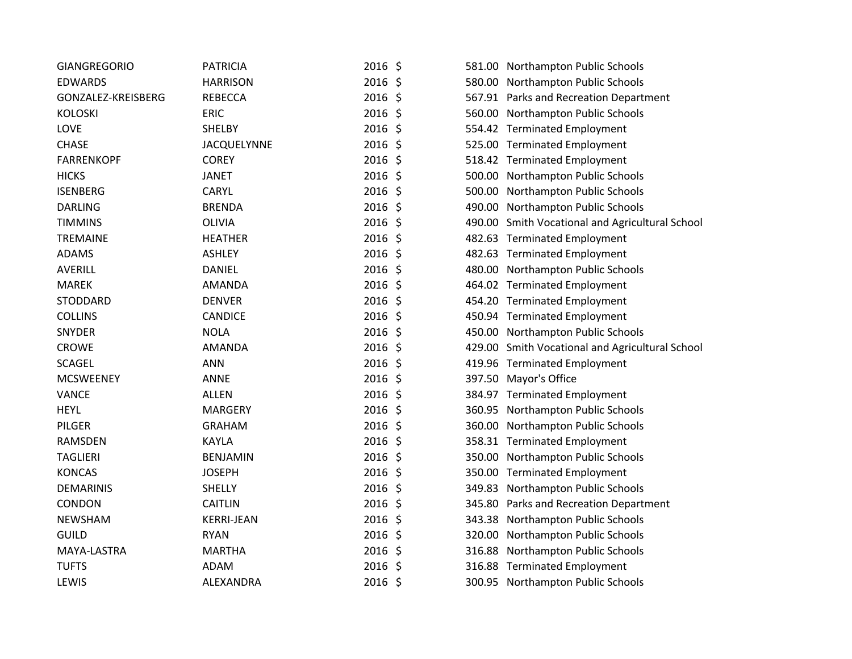| <b>GIANGREGORIO</b> | <b>PATRICIA</b>    | 2016 \$   | 581.00 Northampton Public Schools               |
|---------------------|--------------------|-----------|-------------------------------------------------|
| <b>EDWARDS</b>      | <b>HARRISON</b>    | 2016 \$   | 580.00 Northampton Public Schools               |
| GONZALEZ-KREISBERG  | <b>REBECCA</b>     | 2016 \$   | 567.91 Parks and Recreation Department          |
| <b>KOLOSKI</b>      | <b>ERIC</b>        | 2016 \$   | 560.00 Northampton Public Schools               |
| LOVE                | <b>SHELBY</b>      | 2016 \$   | 554.42 Terminated Employment                    |
| <b>CHASE</b>        | <b>JACQUELYNNE</b> | 2016 \$   | 525.00 Terminated Employment                    |
| <b>FARRENKOPF</b>   | <b>COREY</b>       | 2016 \$   | 518.42 Terminated Employment                    |
| <b>HICKS</b>        | <b>JANET</b>       | 2016 \$   | 500.00 Northampton Public Schools               |
| <b>ISENBERG</b>     | <b>CARYL</b>       | 2016 \$   | 500.00 Northampton Public Schools               |
| <b>DARLING</b>      | <b>BRENDA</b>      | 2016 \$   | 490.00 Northampton Public Schools               |
| <b>TIMMINS</b>      | <b>OLIVIA</b>      | 2016 \$   | 490.00 Smith Vocational and Agricultural School |
| <b>TREMAINE</b>     | <b>HEATHER</b>     | 2016 \$   | 482.63 Terminated Employment                    |
| ADAMS               | <b>ASHLEY</b>      | 2016 \$   | 482.63 Terminated Employment                    |
| <b>AVERILL</b>      | <b>DANIEL</b>      | 2016 \$   | 480.00 Northampton Public Schools               |
| <b>MAREK</b>        | AMANDA             | 2016 \$   | 464.02 Terminated Employment                    |
| <b>STODDARD</b>     | <b>DENVER</b>      | 2016 \$   | 454.20 Terminated Employment                    |
| <b>COLLINS</b>      | <b>CANDICE</b>     | 2016 \$   | 450.94 Terminated Employment                    |
| <b>SNYDER</b>       | <b>NOLA</b>        | 2016 \$   | 450.00 Northampton Public Schools               |
| <b>CROWE</b>        | <b>AMANDA</b>      | 2016 \$   | 429.00 Smith Vocational and Agricultural School |
| <b>SCAGEL</b>       | <b>ANN</b>         | $2016$ \$ | 419.96 Terminated Employment                    |
| <b>MCSWEENEY</b>    | <b>ANNE</b>        | 2016 \$   | 397.50 Mayor's Office                           |
| <b>VANCE</b>        | <b>ALLEN</b>       | 2016 \$   | 384.97 Terminated Employment                    |
| <b>HEYL</b>         | <b>MARGERY</b>     | 2016 \$   | 360.95 Northampton Public Schools               |
| <b>PILGER</b>       | <b>GRAHAM</b>      | 2016 \$   | 360.00 Northampton Public Schools               |
| RAMSDEN             | <b>KAYLA</b>       | 2016 \$   | 358.31 Terminated Employment                    |
| <b>TAGLIERI</b>     | <b>BENJAMIN</b>    | 2016 \$   | 350.00 Northampton Public Schools               |
| <b>KONCAS</b>       | <b>JOSEPH</b>      | 2016 \$   | 350.00 Terminated Employment                    |
| <b>DEMARINIS</b>    | <b>SHELLY</b>      | 2016 \$   | 349.83 Northampton Public Schools               |
| CONDON              | <b>CAITLIN</b>     | $2016$ \$ | 345.80 Parks and Recreation Department          |
| <b>NEWSHAM</b>      | <b>KERRI-JEAN</b>  | $2016$ \$ | 343.38 Northampton Public Schools               |
| <b>GUILD</b>        | <b>RYAN</b>        | 2016 \$   | 320.00 Northampton Public Schools               |
| MAYA-LASTRA         | <b>MARTHA</b>      | 2016 \$   | 316.88 Northampton Public Schools               |
| <b>TUFTS</b>        | <b>ADAM</b>        | 2016 \$   | 316.88 Terminated Employment                    |
| LEWIS               | ALEXANDRA          | 2016 \$   | 300.95 Northampton Public Schools               |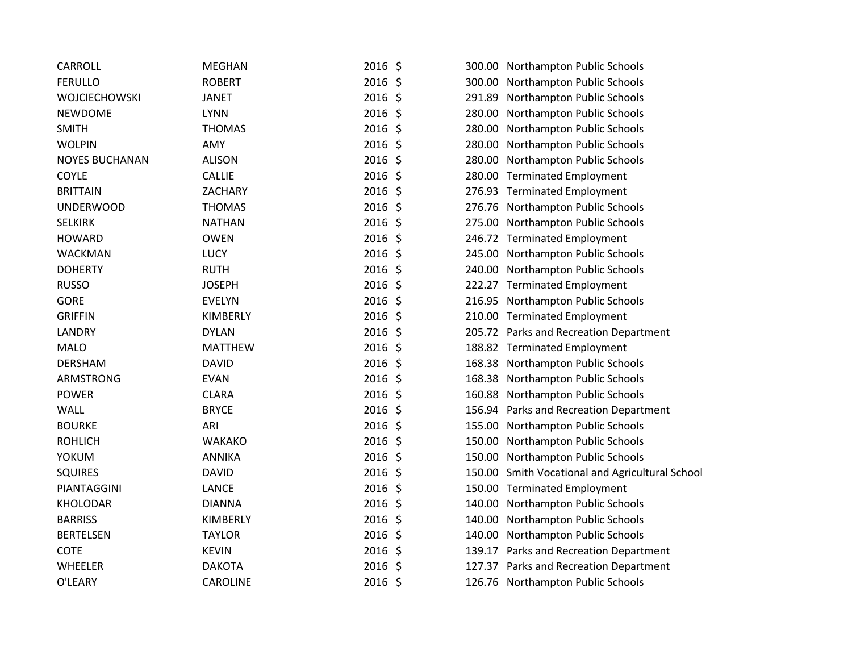| <b>CARROLL</b>        | <b>MEGHAN</b>   | 2016 \$ | 300.00 Northampton Public Schools               |
|-----------------------|-----------------|---------|-------------------------------------------------|
| <b>FERULLO</b>        | <b>ROBERT</b>   | 2016 \$ | 300.00 Northampton Public Schools               |
| WOJCIECHOWSKI         | <b>JANET</b>    | 2016 \$ | 291.89 Northampton Public Schools               |
| NEWDOME               | <b>LYNN</b>     | 2016 \$ | 280.00 Northampton Public Schools               |
| <b>SMITH</b>          | <b>THOMAS</b>   | 2016 \$ | 280.00 Northampton Public Schools               |
| <b>WOLPIN</b>         | AMY             | 2016 \$ | 280.00 Northampton Public Schools               |
| <b>NOYES BUCHANAN</b> | <b>ALISON</b>   | 2016 \$ | 280.00 Northampton Public Schools               |
| COYLE                 | <b>CALLIE</b>   | 2016 \$ | 280.00 Terminated Employment                    |
| <b>BRITTAIN</b>       | ZACHARY         | 2016 \$ | 276.93 Terminated Employment                    |
| <b>UNDERWOOD</b>      | <b>THOMAS</b>   | 2016 \$ | 276.76 Northampton Public Schools               |
| <b>SELKIRK</b>        | <b>NATHAN</b>   | 2016 \$ | 275.00 Northampton Public Schools               |
| <b>HOWARD</b>         | <b>OWEN</b>     | 2016 \$ | 246.72 Terminated Employment                    |
| <b>WACKMAN</b>        | <b>LUCY</b>     | 2016 \$ | 245.00 Northampton Public Schools               |
| <b>DOHERTY</b>        | <b>RUTH</b>     | 2016 \$ | 240.00 Northampton Public Schools               |
| <b>RUSSO</b>          | <b>JOSEPH</b>   | 2016 \$ | 222.27 Terminated Employment                    |
| <b>GORE</b>           | <b>EVELYN</b>   | 2016 \$ | 216.95 Northampton Public Schools               |
| <b>GRIFFIN</b>        | KIMBERLY        | 2016 \$ | 210.00 Terminated Employment                    |
| LANDRY                | <b>DYLAN</b>    | 2016 \$ | 205.72 Parks and Recreation Department          |
| <b>MALO</b>           | <b>MATTHEW</b>  | 2016 \$ | 188.82 Terminated Employment                    |
| <b>DERSHAM</b>        | <b>DAVID</b>    | 2016 \$ | 168.38 Northampton Public Schools               |
| ARMSTRONG             | <b>EVAN</b>     | 2016 \$ | 168.38 Northampton Public Schools               |
| <b>POWER</b>          | <b>CLARA</b>    | 2016 \$ | 160.88 Northampton Public Schools               |
| <b>WALL</b>           | <b>BRYCE</b>    | 2016 \$ | 156.94 Parks and Recreation Department          |
| <b>BOURKE</b>         | ARI             | 2016 \$ | 155.00 Northampton Public Schools               |
| <b>ROHLICH</b>        | <b>WAKAKO</b>   | 2016 \$ | 150.00 Northampton Public Schools               |
| YOKUM                 | <b>ANNIKA</b>   | 2016 \$ | 150.00 Northampton Public Schools               |
| <b>SQUIRES</b>        | <b>DAVID</b>    | 2016 \$ | 150.00 Smith Vocational and Agricultural School |
| PIANTAGGINI           | <b>LANCE</b>    | 2016 \$ | 150.00 Terminated Employment                    |
| <b>KHOLODAR</b>       | <b>DIANNA</b>   | 2016 \$ | 140.00 Northampton Public Schools               |
| <b>BARRISS</b>        | KIMBERLY        | 2016 \$ | 140.00 Northampton Public Schools               |
| <b>BERTELSEN</b>      | <b>TAYLOR</b>   | 2016 \$ | 140.00 Northampton Public Schools               |
| COTE                  | <b>KEVIN</b>    | 2016 \$ | 139.17 Parks and Recreation Department          |
| WHEELER               | <b>DAKOTA</b>   | 2016 \$ | 127.37 Parks and Recreation Department          |
| O'LEARY               | <b>CAROLINE</b> | 2016 \$ | 126.76 Northampton Public Schools               |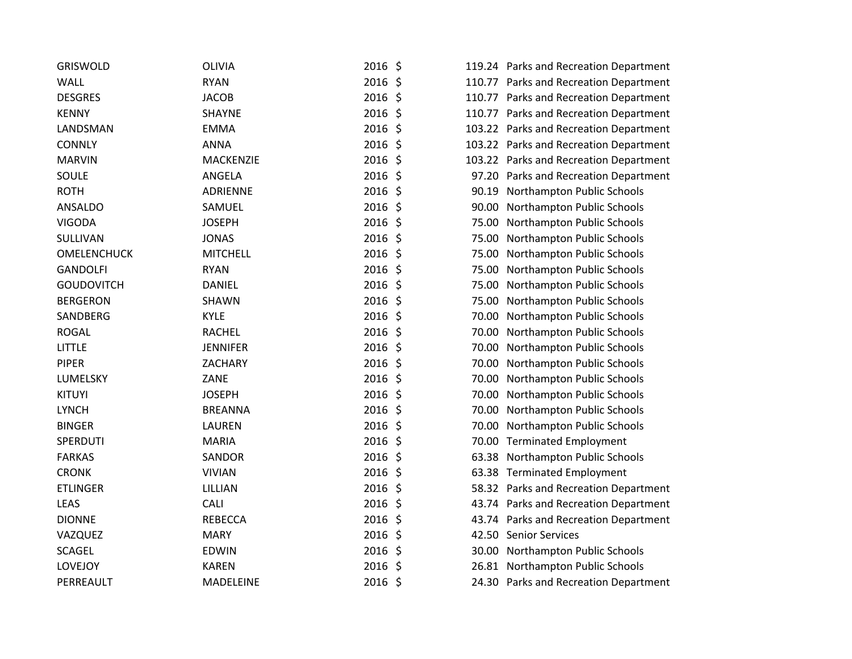| GRISWOLD           | <b>OLIVIA</b>    | 2016 \$   |  | 119.24 Parks and Recreation Department |
|--------------------|------------------|-----------|--|----------------------------------------|
| <b>WALL</b>        | <b>RYAN</b>      | 2016 \$   |  | 110.77 Parks and Recreation Department |
| <b>DESGRES</b>     | <b>JACOB</b>     | 2016 \$   |  | 110.77 Parks and Recreation Department |
| <b>KENNY</b>       | SHAYNE           | $2016$ \$ |  | 110.77 Parks and Recreation Department |
| LANDSMAN           | <b>EMMA</b>      | 2016 \$   |  | 103.22 Parks and Recreation Department |
| <b>CONNLY</b>      | <b>ANNA</b>      | $2016$ \$ |  | 103.22 Parks and Recreation Department |
| <b>MARVIN</b>      | <b>MACKENZIE</b> | 2016 \$   |  | 103.22 Parks and Recreation Department |
| SOULE              | <b>ANGELA</b>    | 2016 \$   |  | 97.20 Parks and Recreation Department  |
| <b>ROTH</b>        | ADRIENNE         | $2016$ \$ |  | 90.19 Northampton Public Schools       |
| <b>ANSALDO</b>     | SAMUEL           | $2016$ \$ |  | 90.00 Northampton Public Schools       |
| <b>VIGODA</b>      | <b>JOSEPH</b>    | 2016 \$   |  | 75.00 Northampton Public Schools       |
| SULLIVAN           | <b>JONAS</b>     | 2016 \$   |  | 75.00 Northampton Public Schools       |
| <b>OMELENCHUCK</b> | <b>MITCHELL</b>  | 2016 \$   |  | 75.00 Northampton Public Schools       |
| <b>GANDOLFI</b>    | <b>RYAN</b>      | 2016 \$   |  | 75.00 Northampton Public Schools       |
| <b>GOUDOVITCH</b>  | <b>DANIEL</b>    | 2016 \$   |  | 75.00 Northampton Public Schools       |
| <b>BERGERON</b>    | SHAWN            | 2016 \$   |  | 75.00 Northampton Public Schools       |
| SANDBERG           | <b>KYLE</b>      | 2016 \$   |  | 70.00 Northampton Public Schools       |
| <b>ROGAL</b>       | <b>RACHEL</b>    | 2016 \$   |  | 70.00 Northampton Public Schools       |
| LITTLE             | <b>JENNIFER</b>  | $2016$ \$ |  | 70.00 Northampton Public Schools       |
| <b>PIPER</b>       | ZACHARY          | 2016 \$   |  | 70.00 Northampton Public Schools       |
| LUMELSKY           | ZANE             | 2016 \$   |  | 70.00 Northampton Public Schools       |
| <b>KITUYI</b>      | <b>JOSEPH</b>    | 2016 \$   |  | 70.00 Northampton Public Schools       |
| <b>LYNCH</b>       | <b>BREANNA</b>   | $2016$ \$ |  | 70.00 Northampton Public Schools       |
| <b>BINGER</b>      | <b>LAUREN</b>    | 2016 \$   |  | 70.00 Northampton Public Schools       |
| SPERDUTI           | <b>MARIA</b>     | 2016 \$   |  | 70.00 Terminated Employment            |
| <b>FARKAS</b>      | SANDOR           | $2016$ \$ |  | 63.38 Northampton Public Schools       |
| <b>CRONK</b>       | <b>VIVIAN</b>    | $2016$ \$ |  | 63.38 Terminated Employment            |
| <b>ETLINGER</b>    | LILLIAN          | $2016$ \$ |  | 58.32 Parks and Recreation Department  |
| LEAS               | <b>CALI</b>      | 2016 \$   |  | 43.74 Parks and Recreation Department  |
| <b>DIONNE</b>      | <b>REBECCA</b>   | $2016$ \$ |  | 43.74 Parks and Recreation Department  |
| VAZQUEZ            | <b>MARY</b>      | 2016 \$   |  | 42.50 Senior Services                  |
| <b>SCAGEL</b>      | <b>EDWIN</b>     | 2016 \$   |  | 30.00 Northampton Public Schools       |
| LOVEJOY            | <b>KAREN</b>     | 2016 \$   |  | 26.81 Northampton Public Schools       |
| PERREAULT          | MADELEINE        | 2016 \$   |  | 24.30 Parks and Recreation Department  |